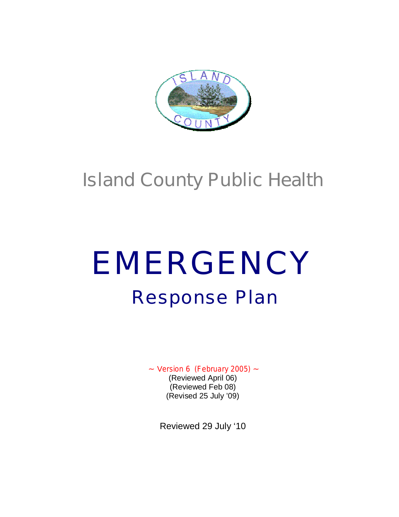

# **Island County Public Health**

# **EMERGENCY** Response Plan

**~** V*ersion 6 (February 2005)* **~**

(Reviewed April 06) (Reviewed Feb 08) (Revised 25 July '09)

Reviewed 29 July '10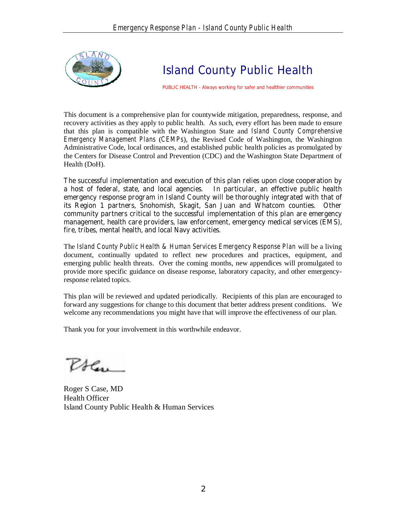

# **Island County Public Health**

PUBLIC HEALTH - Always working for safer and healthier communities

This document is a comprehensive plan for countywide mitigation, preparedness, response, and recovery activities as they apply to public health. As such, every effort has been made to ensure that this plan is compatible with the Washington State and *Island County Comprehensive Emergency Management Plans* (*CEMPs*), the Revised Code of Washington, the Washington Administrative Code, local ordinances, and established public health policies as promulgated by the Centers for Disease Control and Prevention (CDC) and the Washington State Department of Health (DoH).

**The successful implementation and execution of this plan relies upon close cooperation by a host of federal, state, and local agencies. In particular, an effective public health emergency response program in Island County will be thoroughly integrated with that of its Region 1 partners, Snohomish, Skagit, San Juan and Whatcom counties. Other community partners critical to the successful implementation of this plan are emergency management, health care providers, law enforcement, emergency medical services (EMS), fire, tribes, mental health, and local Navy activities.** 

The *Island County Public Health & Human Services Emergency Response Plan* will be a living document, continually updated to reflect new procedures and practices, equipment, and emerging public health threats. Over the coming months, new appendices will promulgated to provide more specific guidance on disease response, laboratory capacity, and other emergencyresponse related topics.

This plan will be reviewed and updated periodically. Recipients of this plan are encouraged to forward any suggestions for change to this document that better address present conditions. We welcome any recommendations you might have that will improve the effectiveness of our plan.

Thank you for your involvement in this worthwhile endeavor.

Pola

Roger S Case, MD Health Officer Island County Public Health & Human Services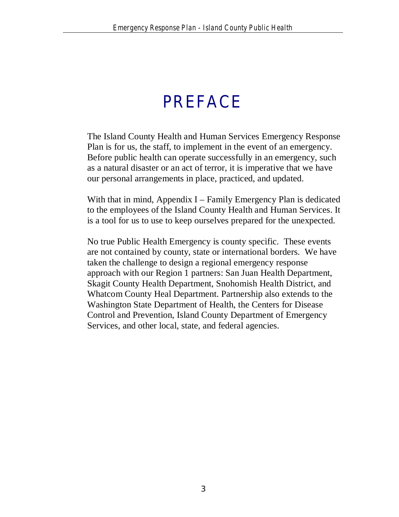# **PREFACE**

The Island County Health and Human Services Emergency Response Plan is for us, the staff, to implement in the event of an emergency. Before public health can operate successfully in an emergency, such as a natural disaster or an act of terror, it is imperative that we have our personal arrangements in place, practiced, and updated.

With that in mind, Appendix I – Family Emergency Plan is dedicated to the employees of the Island County Health and Human Services. It is a tool for us to use to keep ourselves prepared for the unexpected.

No true Public Health Emergency is county specific. These events are not contained by county, state or international borders. We have taken the challenge to design a regional emergency response approach with our Region 1 partners: San Juan Health Department, Skagit County Health Department, Snohomish Health District, and Whatcom County Heal Department. Partnership also extends to the Washington State Department of Health, the Centers for Disease Control and Prevention, Island County Department of Emergency Services, and other local, state, and federal agencies.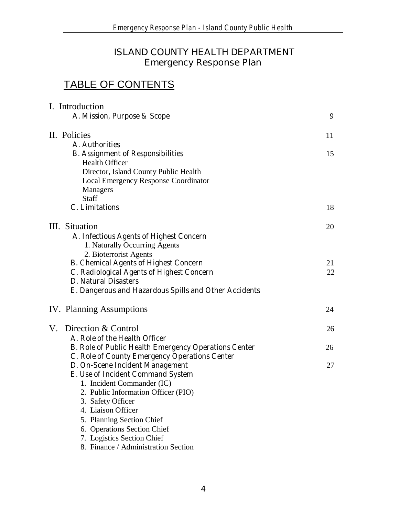## **ISLAND COUNTY HEALTH DEPARTMENT Emergency Response Plan**

# TABLE OF CONTENTS

| I. Introduction<br>A. Mission, Purpose & Scope              | 9  |
|-------------------------------------------------------------|----|
|                                                             |    |
| II. Policies                                                | 11 |
| A. Authorities                                              |    |
| <b>B.</b> Assignment of Responsibilities                    | 15 |
| <b>Health Officer</b>                                       |    |
| Director, Island County Public Health                       |    |
| <b>Local Emergency Response Coordinator</b>                 |    |
| Managers<br>Staff                                           |    |
| <b>C.</b> Limitations                                       | 18 |
|                                                             |    |
| III. Situation                                              | 20 |
| A. Infectious Agents of Highest Concern                     |    |
| 1. Naturally Occurring Agents                               |    |
| 2. Bioterrorist Agents                                      |    |
| <b>B. Chemical Agents of Highest Concern</b>                | 21 |
| <b>C. Radiological Agents of Highest Concern</b>            | 22 |
| <b>D. Natural Disasters</b>                                 |    |
| E. Dangerous and Hazardous Spills and Other Accidents       |    |
| IV. Planning Assumptions                                    | 24 |
| V. Direction & Control                                      | 26 |
| A. Role of the Health Officer                               |    |
| <b>B. Role of Public Health Emergency Operations Center</b> | 26 |
| <b>C. Role of County Emergency Operations Center</b>        |    |
| <b>D. On-Scene Incident Management</b>                      | 27 |
| E. Use of Incident Command System                           |    |
| 1. Incident Commander (IC)                                  |    |
| 2. Public Information Officer (PIO)                         |    |
| 3. Safety Officer                                           |    |
| 4. Liaison Officer                                          |    |
| 5. Planning Section Chief                                   |    |
| 6. Operations Section Chief                                 |    |
| 7. Logistics Section Chief                                  |    |
| 8. Finance / Administration Section                         |    |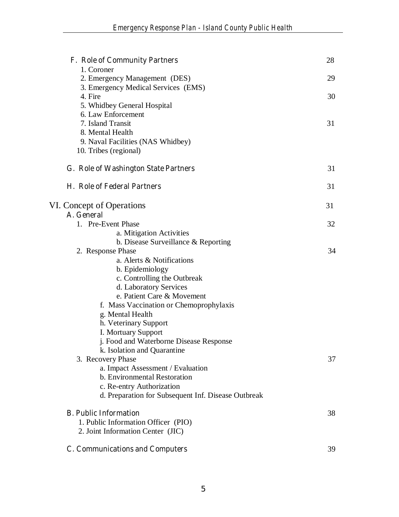| <b>F. Role of Community Partners</b>                 | 28 |
|------------------------------------------------------|----|
| 1. Coroner                                           |    |
| 2. Emergency Management (DES)                        | 29 |
| 3. Emergency Medical Services (EMS)                  |    |
| 4. Fire                                              | 30 |
| 5. Whidbey General Hospital                          |    |
| 6. Law Enforcement                                   |    |
| 7. Island Transit                                    | 31 |
| 8. Mental Health                                     |    |
| 9. Naval Facilities (NAS Whidbey)                    |    |
| 10. Tribes (regional)                                |    |
| <b>G. Role of Washington State Partners</b>          | 31 |
| <b>H. Role of Federal Partners</b>                   | 31 |
| VI. Concept of Operations                            | 31 |
| A. General                                           |    |
| 1. Pre-Event Phase                                   | 32 |
| a. Mitigation Activities                             |    |
| b. Disease Surveillance & Reporting                  |    |
| 2. Response Phase                                    | 34 |
| a. Alerts & Notifications                            |    |
| b. Epidemiology                                      |    |
| c. Controlling the Outbreak                          |    |
| d. Laboratory Services<br>e. Patient Care & Movement |    |
| f. Mass Vaccination or Chemoprophylaxis              |    |
| g. Mental Health                                     |    |
| h. Veterinary Support                                |    |
| <b>I. Mortuary Support</b>                           |    |
| j. Food and Waterborne Disease Response              |    |
| k. Isolation and Quarantine                          |    |
| 3. Recovery Phase                                    | 37 |
| a. Impact Assessment / Evaluation                    |    |
| b. Environmental Restoration                         |    |
| c. Re-entry Authorization                            |    |
| d. Preparation for Subsequent Inf. Disease Outbreak  |    |
| <b>B. Public Information</b>                         | 38 |
| 1. Public Information Officer (PIO)                  |    |
| 2. Joint Information Center (JIC)                    |    |
|                                                      |    |
| <b>C. Communications and Computers</b>               | 39 |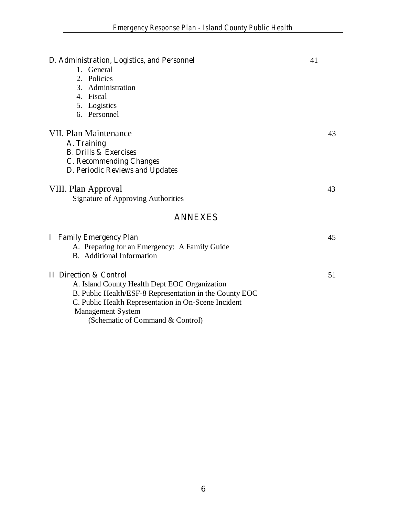| D. Administration, Logistics, and Personnel             | 41 |
|---------------------------------------------------------|----|
| 1. General                                              |    |
| 2. Policies                                             |    |
| 3. Administration                                       |    |
| 4. Fiscal                                               |    |
| 5. Logistics                                            |    |
| 6. Personnel                                            |    |
| <b>VII. Plan Maintenance</b>                            | 43 |
| A. Training                                             |    |
| <b>B. Drills &amp; Exercises</b>                        |    |
| <b>C. Recommending Changes</b>                          |    |
| <b>D. Periodic Reviews and Updates</b>                  |    |
| VIII. Plan Approval                                     | 43 |
| <b>Signature of Approving Authorities</b>               |    |
| <b>ANNEXES</b>                                          |    |
| <b>I</b> Family Emergency Plan                          | 45 |
| A. Preparing for an Emergency: A Family Guide           |    |
| <b>B.</b> Additional Information                        |    |
| <b>II Direction &amp; Control</b>                       | 51 |
| A. Island County Health Dept EOC Organization           |    |
| B. Public Health/ESF-8 Representation in the County EOC |    |
| C. Public Health Representation in On-Scene Incident    |    |
| <b>Management System</b>                                |    |
| (Schematic of Command & Control)                        |    |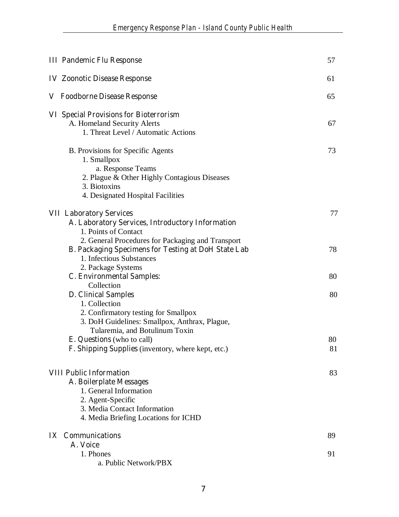| <b>III Pandemic Flu Response</b>                           | 57 |
|------------------------------------------------------------|----|
| <b>IV Zoonotic Disease Response</b>                        | 61 |
| <b>Foodborne Disease Response</b><br>$\mathbf V$           | 65 |
| <b>VI Special Provisions for Bioterrorism</b>              |    |
| A. Homeland Security Alerts                                | 67 |
| 1. Threat Level / Automatic Actions                        |    |
| B. Provisions for Specific Agents                          | 73 |
| 1. Smallpox                                                |    |
| a. Response Teams                                          |    |
| 2. Plague & Other Highly Contagious Diseases               |    |
| 3. Biotoxins                                               |    |
| 4. Designated Hospital Facilities                          |    |
| <b>VII Laboratory Services</b>                             | 77 |
| A. Laboratory Services, Introductory Information           |    |
| 1. Points of Contact                                       |    |
| 2. General Procedures for Packaging and Transport          |    |
| <b>B. Packaging Specimens for Testing at DoH State Lab</b> | 78 |
| 1. Infectious Substances                                   |    |
| 2. Package Systems                                         |    |
| <b>C. Environmental Samples:</b>                           | 80 |
| Collection                                                 |    |
| <b>D. Clinical Samples</b>                                 | 80 |
| 1. Collection                                              |    |
| 2. Confirmatory testing for Smallpox                       |    |
| 3. DoH Guidelines: Smallpox, Anthrax, Plague,              |    |
| Tularemia, and Botulinum Toxin                             |    |
| <b>E. Questions</b> (who to call)                          | 80 |
| F. Shipping Supplies (inventory, where kept, etc.)         | 81 |
| <b>VIII Public Information</b>                             | 83 |
|                                                            |    |
| <b>A. Boilerplate Messages</b><br>1. General Information   |    |
|                                                            |    |
| 2. Agent-Specific                                          |    |
| 3. Media Contact Information                               |    |
| 4. Media Briefing Locations for ICHD                       |    |
| <b>IX</b> Communications                                   | 89 |
| A. Voice                                                   |    |
| 1. Phones                                                  | 91 |
| a. Public Network/PBX                                      |    |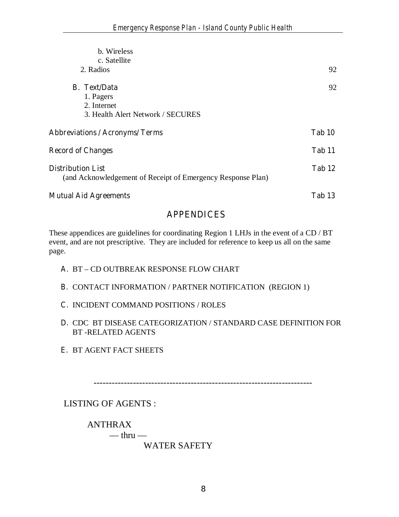| b. Wireless                                                                             |        |
|-----------------------------------------------------------------------------------------|--------|
| c. Satellite                                                                            |        |
| 2. Radios                                                                               | 92     |
| <b>B.</b> Text/Data                                                                     | 92     |
| 1. Pagers                                                                               |        |
| 2. Internet                                                                             |        |
| 3. Health Alert Network / SECURES                                                       |        |
| <b>Abbreviations / Acronyms/ Terms</b>                                                  | Tab 10 |
| <b>Record of Changes</b>                                                                | Tab 11 |
| <b>Distribution List</b><br>(and Acknowledgement of Receipt of Emergency Response Plan) | Tab 12 |
| <b>Mutual Aid Agreements</b>                                                            | Tab 13 |

#### **APPENDICES**

These appendices are guidelines for coordinating Region 1 LHJs in the event of a CD / BT event, and are not prescriptive. They are included for reference to keep us all on the same page.

- **A.** BT CD OUTBREAK RESPONSE FLOW CHART
- **B.** CONTACT INFORMATION / PARTNER NOTIFICATION (REGION 1)
- **C.** INCIDENT COMMAND POSITIONS / ROLES
- **D.** CDC BT DISEASE CATEGORIZATION / STANDARD CASE DEFINITION FOR BT -RELATED AGENTS
- **E.** BT AGENT FACT SHEETS

------------------------------------------------------------------------

LISTING OF AGENTS :

ANTHRAX

 $-$  thru  $-$ 

WATER SAFETY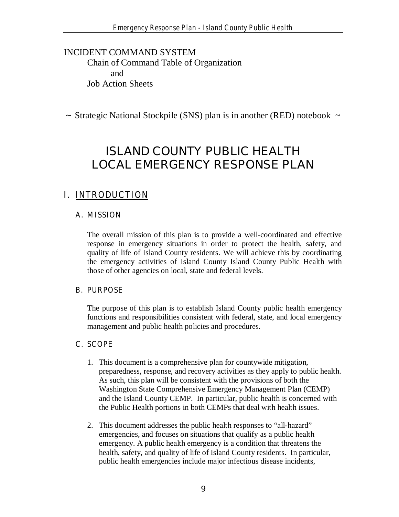INCIDENT COMMAND SYSTEM Chain of Command Table of Organization and Job Action Sheets

**~** Strategic National Stockpile (SNS) plan is in another (RED) notebook ~

# **ISLAND COUNTY PUBLIC HEALTH LOCAL EMERGENCY RESPONSE PLAN**

## **I. INTRODUCTION**

#### **A. MISSION**

The overall mission of this plan is to provide a well-coordinated and effective response in emergency situations in order to protect the health, safety, and quality of life of Island County residents. We will achieve this by coordinating the emergency activities of Island County Island County Public Health with those of other agencies on local, state and federal levels.

#### **B. PURPOSE**

The purpose of this plan is to establish Island County public health emergency functions and responsibilities consistent with federal, state, and local emergency management and public health policies and procedures.

#### **C. SCOPE**

- 1. This document is a comprehensive plan for countywide mitigation, preparedness, response, and recovery activities as they apply to public health. As such, this plan will be consistent with the provisions of both the Washington State Comprehensive Emergency Management Plan (CEMP) and the Island County CEMP. In particular, public health is concerned with the Public Health portions in both CEMPs that deal with health issues.
- 2. This document addresses the public health responses to "all-hazard" emergencies, and focuses on situations that qualify as a public health emergency. A public health emergency is a condition that threatens the health, safety, and quality of life of Island County residents. In particular, public health emergencies include major infectious disease incidents,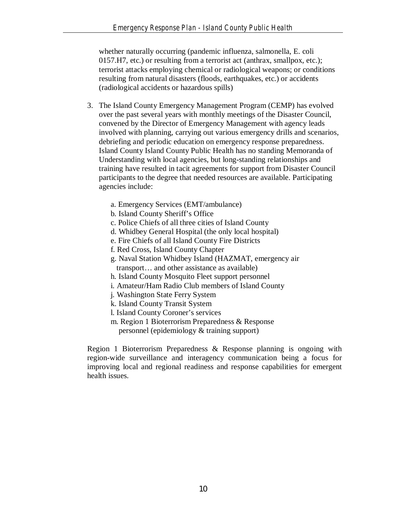whether naturally occurring (pandemic influenza, salmonella, E. coli 0157.H7, etc.) or resulting from a terrorist act (anthrax, smallpox, etc.); terrorist attacks employing chemical or radiological weapons; or conditions resulting from natural disasters (floods, earthquakes, etc.) or accidents (radiological accidents or hazardous spills)

- 3. The Island County Emergency Management Program (CEMP) has evolved over the past several years with monthly meetings of the Disaster Council, convened by the Director of Emergency Management with agency leads involved with planning, carrying out various emergency drills and scenarios, debriefing and periodic education on emergency response preparedness. Island County Island County Public Health has no standing Memoranda of Understanding with local agencies, but long-standing relationships and training have resulted in tacit agreements for support from Disaster Council participants to the degree that needed resources are available. Participating agencies include:
	- a. Emergency Services (EMT/ambulance)
	- b. Island County Sheriff's Office
	- c. Police Chiefs of all three cities of Island County
	- d. Whidbey General Hospital (the only local hospital)
	- e. Fire Chiefs of all Island County Fire Districts
	- f. Red Cross, Island County Chapter
	- g. Naval Station Whidbey Island (HAZMAT, emergency air transport… and other assistance as available)
	- h. Island County Mosquito Fleet support personnel
	- i. Amateur/Ham Radio Club members of Island County
	- j. Washington State Ferry System
	- k. Island County Transit System
	- l. Island County Coroner's services
	- m. Region 1 Bioterrorism Preparedness & Response personnel (epidemiology & training support)

Region 1 Bioterrorism Preparedness & Response planning is ongoing with region-wide surveillance and interagency communication being a focus for improving local and regional readiness and response capabilities for emergent health issues.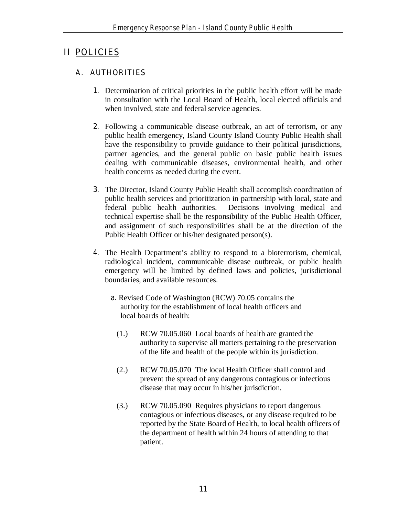## **II POLICIES**

#### **A. AUTHORITIES**

- **1.** Determination of critical priorities in the public health effort will be made in consultation with the Local Board of Health, local elected officials and when involved, state and federal service agencies.
- **2.** Following a communicable disease outbreak, an act of terrorism, or any public health emergency, Island County Island County Public Health shall have the responsibility to provide guidance to their political jurisdictions, partner agencies, and the general public on basic public health issues dealing with communicable diseases, environmental health, and other health concerns as needed during the event.
- **3.** The Director, Island County Public Health shall accomplish coordination of public health services and prioritization in partnership with local, state and federal public health authorities. Decisions involving medical and technical expertise shall be the responsibility of the Public Health Officer, and assignment of such responsibilities shall be at the direction of the Public Health Officer or his/her designated person(s).
- **4.** The Health Department's ability to respond to a bioterrorism, chemical, radiological incident, communicable disease outbreak, or public health emergency will be limited by defined laws and policies, jurisdictional boundaries, and available resources.
	- **a.** Revised Code of Washington (RCW) 70.05 contains the authority for the establishment of local health officers and local boards of health:
		- (1.) RCW 70.05.060 Local boards of health are granted the authority to supervise all matters pertaining to the preservation of the life and health of the people within its jurisdiction.
		- (2.) RCW 70.05.070 The local Health Officer shall control and prevent the spread of any dangerous contagious or infectious disease that may occur in his/her jurisdiction.
		- (3.) RCW 70.05.090 Requires physicians to report dangerous contagious or infectious diseases, or any disease required to be reported by the State Board of Health, to local health officers of the department of health within 24 hours of attending to that patient.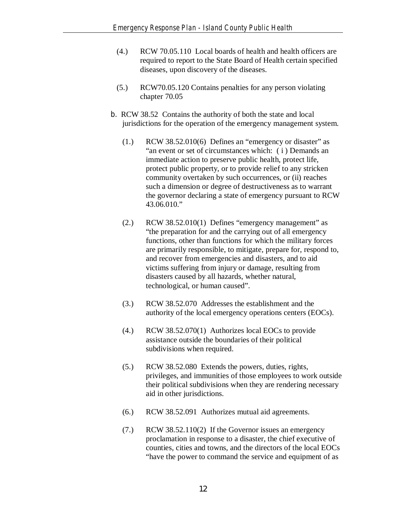- (4.) RCW 70.05.110 Local boards of health and health officers are required to report to the State Board of Health certain specified diseases, upon discovery of the diseases.
- (5.) RCW70.05.120 Contains penalties for any person violating chapter 70.05
- **b.** RCW 38.52 Contains the authority of both the state and local jurisdictions for the operation of the emergency management system.
	- (1.) RCW 38.52.010(6) Defines an "emergency or disaster" as "an event or set of circumstances which: ( i ) Demands an immediate action to preserve public health, protect life, protect public property, or to provide relief to any stricken community overtaken by such occurrences, or (ii) reaches such a dimension or degree of destructiveness as to warrant the governor declaring a state of emergency pursuant to RCW 43.06.010."
	- (2.) RCW 38.52.010(1) Defines "emergency management" as "the preparation for and the carrying out of all emergency functions, other than functions for which the military forces are primarily responsible, to mitigate, prepare for, respond to, and recover from emergencies and disasters, and to aid victims suffering from injury or damage, resulting from disasters caused by all hazards, whether natural, technological, or human caused".
	- (3.) RCW 38.52.070 Addresses the establishment and the authority of the local emergency operations centers (EOCs).
	- (4.) RCW 38.52.070(1) Authorizes local EOCs to provide assistance outside the boundaries of their political subdivisions when required.
	- (5.) RCW 38.52.080 Extends the powers, duties, rights, privileges, and immunities of those employees to work outside their political subdivisions when they are rendering necessary aid in other jurisdictions.
	- (6.) RCW 38.52.091 Authorizes mutual aid agreements.
	- (7.) RCW 38.52.110(2) If the Governor issues an emergency proclamation in response to a disaster, the chief executive of counties, cities and towns, and the directors of the local EOCs "have the power to command the service and equipment of as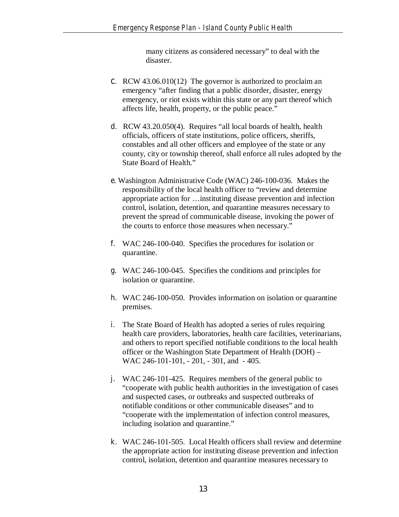many citizens as considered necessary" to deal with the disaster.

- **c**. RCW 43.06.010(12) The governor is authorized to proclaim an emergency "after finding that a public disorder, disaster, energy emergency, or riot exists within this state or any part thereof which affects life, health, property, or the public peace."
- **d**. RCW 43.20.050(4). Requires "all local boards of health, health officials, officers of state institutions, police officers, sheriffs, constables and all other officers and employee of the state or any county, city or township thereof, shall enforce all rules adopted by the State Board of Health."
- **e**. Washington Administrative Code (WAC) 246-100-036. Makes the responsibility of the local health officer to "review and determine appropriate action for …instituting disease prevention and infection control, isolation, detention, and quarantine measures necessary to prevent the spread of communicable disease, invoking the power of the courts to enforce those measures when necessary."
- **f.** WAC 246-100-040. Specifies the procedures for isolation or quarantine.
- **g.** WAC 246-100-045. Specifies the conditions and principles for isolation or quarantine.
- **h.** WAC 246-100-050. Provides information on isolation or quarantine premises.
- **i.** The State Board of Health has adopted a series of rules requiring health care providers, laboratories, health care facilities, veterinarians, and others to report specified notifiable conditions to the local health officer or the Washington State Department of Health (DOH) – WAC 246-101-101, - 201, - 301, and - 405.
- **j.** WAC 246-101-425. Requires members of the general public to "cooperate with public health authorities in the investigation of cases and suspected cases, or outbreaks and suspected outbreaks of notifiable conditions or other communicable diseases" and to "cooperate with the implementation of infection control measures, including isolation and quarantine."
- **k.** WAC 246-101-505. Local Health officers shall review and determine the appropriate action for instituting disease prevention and infection control, isolation, detention and quarantine measures necessary to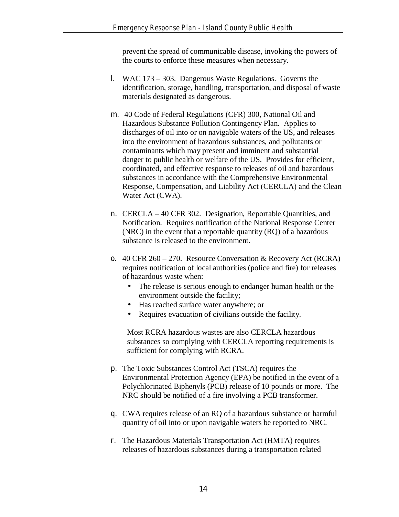prevent the spread of communicable disease, invoking the powers of the courts to enforce these measures when necessary.

- **l.** WAC 173 303. Dangerous Waste Regulations. Governs the identification, storage, handling, transportation, and disposal of waste materials designated as dangerous.
- **m.** 40 Code of Federal Regulations (CFR) 300, National Oil and Hazardous Substance Pollution Contingency Plan. Applies to discharges of oil into or on navigable waters of the US, and releases into the environment of hazardous substances, and pollutants or contaminants which may present and imminent and substantial danger to public health or welfare of the US. Provides for efficient, coordinated, and effective response to releases of oil and hazardous substances in accordance with the Comprehensive Environmental Response, Compensation, and Liability Act (CERCLA) and the Clean Water Act (CWA).
- **n.** CERCLA 40 CFR 302. Designation, Reportable Quantities, and Notification. Requires notification of the National Response Center (NRC) in the event that a reportable quantity (RQ) of a hazardous substance is released to the environment.
- **o.** 40 CFR 260 270. Resource Conversation & Recovery Act (RCRA) requires notification of local authorities (police and fire) for releases of hazardous waste when:
	- The release is serious enough to endanger human health or the environment outside the facility;
	- Has reached surface water anywhere; or
	- Requires evacuation of civilians outside the facility.

Most RCRA hazardous wastes are also CERCLA hazardous substances so complying with CERCLA reporting requirements is sufficient for complying with RCRA.

- **p.** The Toxic Substances Control Act (TSCA) requires the Environmental Protection Agency (EPA) be notified in the event of a Polychlorinated Biphenyls (PCB) release of 10 pounds or more. The NRC should be notified of a fire involving a PCB transformer.
- **q.** CWA requires release of an RQ of a hazardous substance or harmful quantity of oil into or upon navigable waters be reported to NRC.
- **r.** The Hazardous Materials Transportation Act (HMTA) requires releases of hazardous substances during a transportation related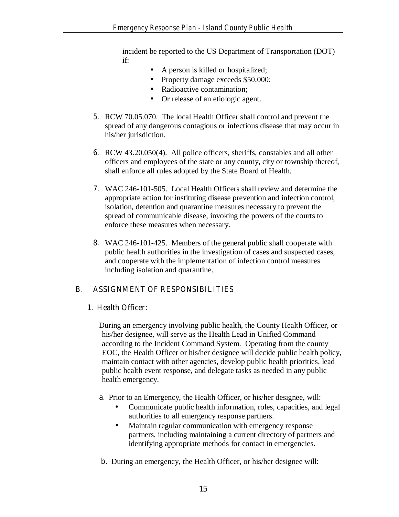incident be reported to the US Department of Transportation (DOT) if:

- A person is killed or hospitalized;
- Property damage exceeds \$50,000;
- Radioactive contamination;
- Or release of an etiologic agent.
- **5.** RCW 70.05.070. The local Health Officer shall control and prevent the spread of any dangerous contagious or infectious disease that may occur in his/her jurisdiction.
- **6.** RCW 43.20.050(4). All police officers, sheriffs, constables and all other officers and employees of the state or any county, city or township thereof, shall enforce all rules adopted by the State Board of Health.
- **7.** WAC 246-101-505. Local Health Officers shall review and determine the appropriate action for instituting disease prevention and infection control, isolation, detention and quarantine measures necessary to prevent the spread of communicable disease, invoking the powers of the courts to enforce these measures when necessary.
- **8.** WAC 246-101-425. Members of the general public shall cooperate with public health authorities in the investigation of cases and suspected cases, and cooperate with the implementation of infection control measures including isolation and quarantine.

#### **B. ASSIGNMENT OF RESPONSIBILITIES**

#### **1. Health Officer:**

 During an emergency involving public health, the County Health Officer, or his/her designee, will serve as the Health Lead in Unified Command according to the Incident Command System. Operating from the county EOC, the Health Officer or his/her designee will decide public health policy, maintain contact with other agencies, develop public health priorities, lead public health event response, and delegate tasks as needed in any public health emergency.

- **a.** Prior to an Emergency, the Health Officer, or his/her designee, will:
	- Communicate public health information, roles, capacities, and legal authorities to all emergency response partners.
	- Maintain regular communication with emergency response partners, including maintaining a current directory of partners and identifying appropriate methods for contact in emergencies.
- **b.** During an emergency, the Health Officer, or his/her designee will: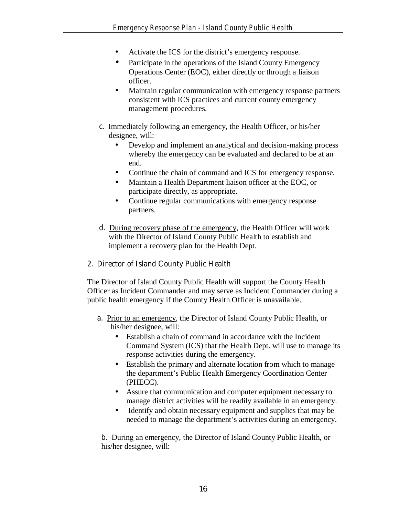- Activate the ICS for the district's emergency response.
- Participate in the operations of the Island County Emergency Operations Center (EOC), either directly or through a liaison officer.
- Maintain regular communication with emergency response partners consistent with ICS practices and current county emergency management procedures.
- **c.** Immediately following an emergency, the Health Officer, or his/her designee, will:
	- Develop and implement an analytical and decision-making process whereby the emergency can be evaluated and declared to be at an end.
	- Continue the chain of command and ICS for emergency response.
	- Maintain a Health Department liaison officer at the EOC, or participate directly, as appropriate.
	- Continue regular communications with emergency response partners.
- **d.** During recovery phase of the emergency, the Health Officer will work with the Director of Island County Public Health to establish and implement a recovery plan for the Health Dept.

#### **2. Director of Island County Public Health**

 The Director of Island County Public Health will support the County Health Officer as Incident Commander and may serve as Incident Commander during a public health emergency if the County Health Officer is unavailable.

- **a.** Prior to an emergency, the Director of Island County Public Health, or his/her designee, will:
	- Establish a chain of command in accordance with the Incident Command System (ICS) that the Health Dept. will use to manage its response activities during the emergency.
	- Establish the primary and alternate location from which to manage the department's Public Health Emergency Coordination Center (PHECC).
	- Assure that communication and computer equipment necessary to manage district activities will be readily available in an emergency.
	- Identify and obtain necessary equipment and supplies that may be needed to manage the department's activities during an emergency.

**b.** During an emergency, the Director of Island County Public Health, or his/her designee, will: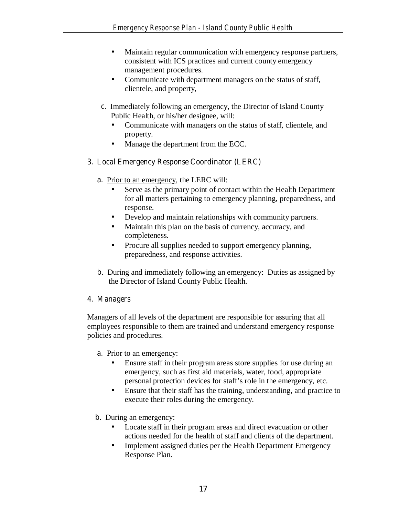- Maintain regular communication with emergency response partners, consistent with ICS practices and current county emergency management procedures.
- Communicate with department managers on the status of staff, clientele, and property,
- **c.** Immediately following an emergency, the Director of Island County Public Health, or his/her designee, will:
	- Communicate with managers on the status of staff, clientele, and property.
	- Manage the department from the ECC.

#### **3. Local Emergency Response Coordinator (LERC)**

- **a.** Prior to an emergency, the LERC will:
	- Serve as the primary point of contact within the Health Department for all matters pertaining to emergency planning, preparedness, and response.
	- Develop and maintain relationships with community partners.
	- Maintain this plan on the basis of currency, accuracy, and completeness.
	- Procure all supplies needed to support emergency planning, preparedness, and response activities.
- **b.** During and immediately following an emergency: Duties as assigned by the Director of Island County Public Health.

#### **4. Managers**

Managers of all levels of the department are responsible for assuring that all employees responsible to them are trained and understand emergency response policies and procedures.

- **a.** Prior to an emergency:
	- Ensure staff in their program areas store supplies for use during an emergency, such as first aid materials, water, food, appropriate personal protection devices for staff's role in the emergency, etc.
	- Ensure that their staff has the training, understanding, and practice to execute their roles during the emergency.
- **b.** During an emergency:
	- Locate staff in their program areas and direct evacuation or other actions needed for the health of staff and clients of the department.
	- Implement assigned duties per the Health Department Emergency Response Plan.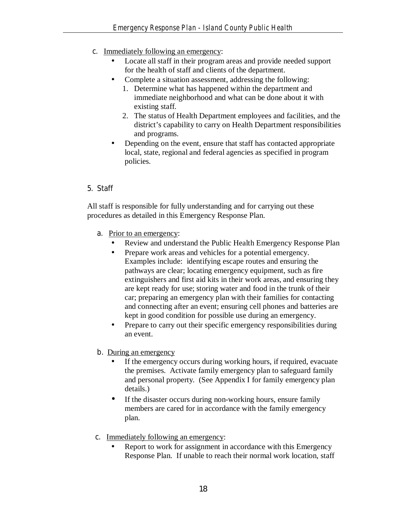- **c.** Immediately following an emergency:
	- Locate all staff in their program areas and provide needed support for the health of staff and clients of the department.
	- Complete a situation assessment, addressing the following:
		- 1. Determine what has happened within the department and immediate neighborhood and what can be done about it with existing staff.
		- 2. The status of Health Department employees and facilities, and the district's capability to carry on Health Department responsibilities and programs.
	- Depending on the event, ensure that staff has contacted appropriate local, state, regional and federal agencies as specified in program policies.

#### **5. Staff**

All staff is responsible for fully understanding and for carrying out these procedures as detailed in this Emergency Response Plan.

- **a.** Prior to an emergency:
	- Review and understand the Public Health Emergency Response Plan
	- Prepare work areas and vehicles for a potential emergency. Examples include: identifying escape routes and ensuring the pathways are clear; locating emergency equipment, such as fire extinguishers and first aid kits in their work areas, and ensuring they are kept ready for use; storing water and food in the trunk of their car; preparing an emergency plan with their families for contacting and connecting after an event; ensuring cell phones and batteries are kept in good condition for possible use during an emergency.
	- Prepare to carry out their specific emergency responsibilities during an event.
- **b.** During an emergency
	- If the emergency occurs during working hours, if required, evacuate the premises. Activate family emergency plan to safeguard family and personal property. (See Appendix I for family emergency plan details.)
	- If the disaster occurs during non-working hours, ensure family members are cared for in accordance with the family emergency plan.
- **c.** Immediately following an emergency:
	- Report to work for assignment in accordance with this Emergency Response Plan. If unable to reach their normal work location, staff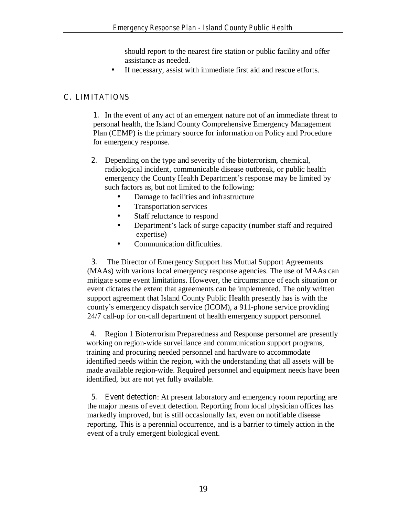should report to the nearest fire station or public facility and offer assistance as needed.

If necessary, assist with immediate first aid and rescue efforts.

#### **C. LIMITATIONS**

**1.** In the event of any act of an emergent nature not of an immediate threat to personal health, the Island County Comprehensive Emergency Management Plan (CEMP) is the primary source for information on Policy and Procedure for emergency response.

- **2.** Depending on the type and severity of the bioterrorism, chemical, radiological incident, communicable disease outbreak, or public health emergency the County Health Department's response may be limited by such factors as, but not limited to the following:
	- Damage to facilities and infrastructure
	- Transportation services
	- Staff reluctance to respond
	- Department's lack of surge capacity (number staff and required expertise)
	- Communication difficulties.

 **3.** The Director of Emergency Support has Mutual Support Agreements (MAAs) with various local emergency response agencies. The use of MAAs can mitigate some event limitations. However, the circumstance of each situation or event dictates the extent that agreements can be implemented. The only written support agreement that Island County Public Health presently has is with the county's emergency dispatch service (ICOM), a 911-phone service providing 24/7 call-up for on-call department of health emergency support personnel.

 **4.** Region 1 Bioterrorism Preparedness and Response personnel are presently working on region-wide surveillance and communication support programs, training and procuring needed personnel and hardware to accommodate identified needs within the region, with the understanding that all assets will be made available region-wide. Required personnel and equipment needs have been identified, but are not yet fully available.

 **5. Event detection**: At present laboratory and emergency room reporting are the major means of event detection. Reporting from local physician offices has markedly improved, but is still occasionally lax, even on notifiable disease reporting. This is a perennial occurrence, and is a barrier to timely action in the event of a truly emergent biological event.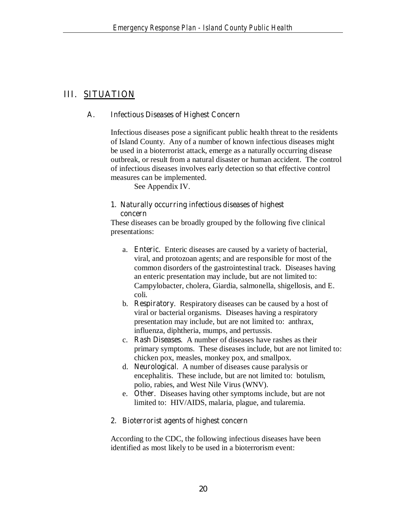# **III. SITUATION**

#### **A. Infectious Diseases of Highest Concern**

Infectious diseases pose a significant public health threat to the residents of Island County. Any of a number of known infectious diseases might be used in a bioterrorist attack, emerge as a naturally occurring disease outbreak, or result from a natural disaster or human accident. The control of infectious diseases involves early detection so that effective control measures can be implemented.

See Appendix IV.

#### **1. Naturally occurring infectious diseases of highest concern**

These diseases can be broadly grouped by the following five clinical presentations:

- a. **Enteric**. Enteric diseases are caused by a variety of bacterial, viral, and protozoan agents; and are responsible for most of the common disorders of the gastrointestinal track. Diseases having an enteric presentation may include, but are not limited to: Campylobacter, cholera, Giardia, salmonella, shigellosis, and E. coli.
- b. **Respiratory**. Respiratory diseases can be caused by a host of viral or bacterial organisms. Diseases having a respiratory presentation may include, but are not limited to: anthrax, influenza, diphtheria, mumps, and pertussis.
- c. **Rash Diseases**. A number of diseases have rashes as their primary symptoms. These diseases include, but are not limited to: chicken pox, measles, monkey pox, and smallpox.
- d. **Neurological**. A number of diseases cause paralysis or encephalitis. These include, but are not limited to: botulism, polio, rabies, and West Nile Virus (WNV).
- e. **Other**. Diseases having other symptoms include, but are not limited to: HIV/AIDS, malaria, plague, and tularemia.

#### **2. Bioterrorist agents of highest concern**

According to the CDC, the following infectious diseases have been identified as most likely to be used in a bioterrorism event: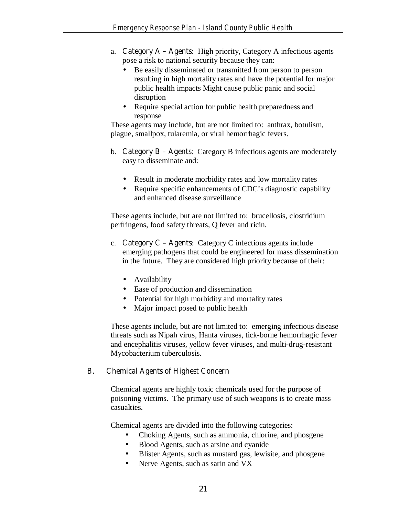- a. **Category A Agents**: High priority, Category A infectious agents pose a risk to national security because they can:
	- Be easily disseminated or transmitted from person to person resulting in high mortality rates and have the potential for major public health impacts Might cause public panic and social disruption
	- Require special action for public health preparedness and response

These agents may include, but are not limited to: anthrax, botulism, plague, smallpox, tularemia, or viral hemorrhagic fevers.

- b. **Category B Agents**: Category B infectious agents are moderately easy to disseminate and:
	- Result in moderate morbidity rates and low mortality rates
	- Require specific enhancements of CDC's diagnostic capability and enhanced disease surveillance

These agents include, but are not limited to: brucellosis, clostridium perfringens, food safety threats, Q fever and ricin.

- c. **Category C Agents**: Category C infectious agents include emerging pathogens that could be engineered for mass dissemination in the future. They are considered high priority because of their:
	- Availability
	- Ease of production and dissemination
	- Potential for high morbidity and mortality rates
	- Major impact posed to public health

These agents include, but are not limited to: emerging infectious disease threats such as Nipah virus, Hanta viruses, tick-borne hemorrhagic fever and encephalitis viruses, yellow fever viruses, and multi-drug-resistant Mycobacterium tuberculosis.

#### **B. Chemical Agents of Highest Concern**

Chemical agents are highly toxic chemicals used for the purpose of poisoning victims. The primary use of such weapons is to create mass casualties.

Chemical agents are divided into the following categories:

- Choking Agents, such as ammonia, chlorine, and phosgene
- Blood Agents, such as arsine and cyanide
- Blister Agents, such as mustard gas, lewisite, and phosgene
- Nerve Agents, such as sarin and VX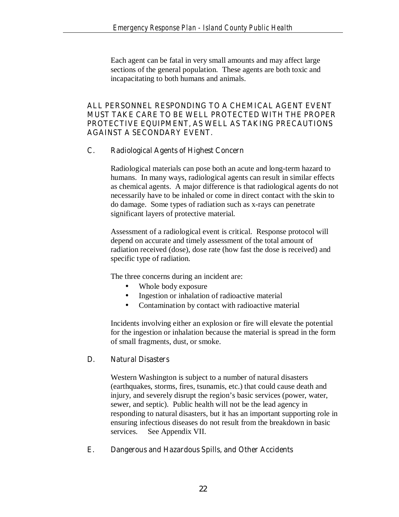Each agent can be fatal in very small amounts and may affect large sections of the general population. These agents are both toxic and incapacitating to both humans and animals.

#### **ALL PERSONNEL RESPONDING TO A CHEMICAL AGENT EVENT MUST TAKE CARE TO BE WELL PROTECTED WITH THE PROPER PROTECTIVE EQUIPMENT, AS WELL AS TAKING PRECAUTIONS AGAINST A SECONDARY EVENT.**

#### **C. Radiological Agents of Highest Concern**

Radiological materials can pose both an acute and long-term hazard to humans. In many ways, radiological agents can result in similar effects as chemical agents. A major difference is that radiological agents do not necessarily have to be inhaled or come in direct contact with the skin to do damage. Some types of radiation such as x-rays can penetrate significant layers of protective material.

Assessment of a radiological event is critical. Response protocol will depend on accurate and timely assessment of the total amount of radiation received (dose), dose rate (how fast the dose is received) and specific type of radiation.

The three concerns during an incident are:

- Whole body exposure
- Ingestion or inhalation of radioactive material
- Contamination by contact with radioactive material

Incidents involving either an explosion or fire will elevate the potential for the ingestion or inhalation because the material is spread in the form of small fragments, dust, or smoke.

#### **D. Natural Disasters**

Western Washington is subject to a number of natural disasters (earthquakes, storms, fires, tsunamis, etc.) that could cause death and injury, and severely disrupt the region's basic services (power, water, sewer, and septic). Public health will not be the lead agency in responding to natural disasters, but it has an important supporting role in ensuring infectious diseases do not result from the breakdown in basic services. See Appendix VII.

#### **E. Dangerous and Hazardous Spills, and Other Accidents**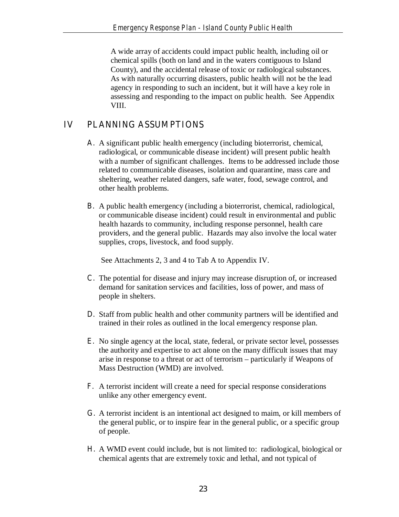A wide array of accidents could impact public health, including oil or chemical spills (both on land and in the waters contiguous to Island County), and the accidental release of toxic or radiological substances. As with naturally occurring disasters, public health will not be the lead agency in responding to such an incident, but it will have a key role in assessing and responding to the impact on public health. See Appendix VIII.

#### **IV PLANNING ASSUMPTIONS**

- **A.** A significant public health emergency (including bioterrorist, chemical, radiological, or communicable disease incident) will present public health with a number of significant challenges. Items to be addressed include those related to communicable diseases, isolation and quarantine, mass care and sheltering, weather related dangers, safe water, food, sewage control, and other health problems.
- **B.** A public health emergency (including a bioterrorist, chemical, radiological, or communicable disease incident) could result in environmental and public health hazards to community, including response personnel, health care providers, and the general public. Hazards may also involve the local water supplies, crops, livestock, and food supply.

See Attachments 2, 3 and 4 to Tab A to Appendix IV.

- **C.** The potential for disease and injury may increase disruption of, or increased demand for sanitation services and facilities, loss of power, and mass of people in shelters.
- **D.** Staff from public health and other community partners will be identified and trained in their roles as outlined in the local emergency response plan.
- **E.** No single agency at the local, state, federal, or private sector level, possesses the authority and expertise to act alone on the many difficult issues that may arise in response to a threat or act of terrorism – particularly if Weapons of Mass Destruction (WMD) are involved.
- **F.** A terrorist incident will create a need for special response considerations unlike any other emergency event.
- **G.** A terrorist incident is an intentional act designed to maim, or kill members of the general public, or to inspire fear in the general public, or a specific group of people.
- **H.** A WMD event could include, but is not limited to: radiological, biological or chemical agents that are extremely toxic and lethal, and not typical of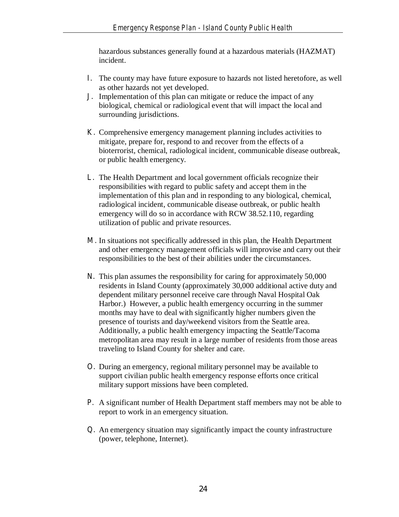hazardous substances generally found at a hazardous materials (HAZMAT) incident.

- **I.** The county may have future exposure to hazards not listed heretofore, as well as other hazards not yet developed.
- **J.** Implementation of this plan can mitigate or reduce the impact of any biological, chemical or radiological event that will impact the local and surrounding jurisdictions.
- **K.** Comprehensive emergency management planning includes activities to mitigate, prepare for, respond to and recover from the effects of a bioterrorist, chemical, radiological incident, communicable disease outbreak, or public health emergency.
- **L.** The Health Department and local government officials recognize their responsibilities with regard to public safety and accept them in the implementation of this plan and in responding to any biological, chemical, radiological incident, communicable disease outbreak, or public health emergency will do so in accordance with RCW 38.52.110, regarding utilization of public and private resources.
- **M.** In situations not specifically addressed in this plan, the Health Department and other emergency management officials will improvise and carry out their responsibilities to the best of their abilities under the circumstances.
- **N.** This plan assumes the responsibility for caring for approximately 50,000 residents in Island County (approximately 30,000 additional active duty and dependent military personnel receive care through Naval Hospital Oak Harbor.) However, a public health emergency occurring in the summer months may have to deal with significantly higher numbers given the presence of tourists and day/weekend visitors from the Seattle area. Additionally, a public health emergency impacting the Seattle/Tacoma metropolitan area may result in a large number of residents from those areas traveling to Island County for shelter and care.
- **O.** During an emergency, regional military personnel may be available to support civilian public health emergency response efforts once critical military support missions have been completed.
- **P.** A significant number of Health Department staff members may not be able to report to work in an emergency situation.
- **Q.** An emergency situation may significantly impact the county infrastructure (power, telephone, Internet).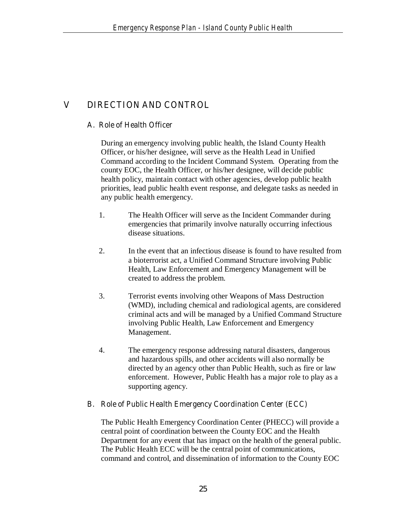# **V DIRECTION AND CONTROL**

#### **A. Role of Health Officer**

During an emergency involving public health, the Island County Health Officer, or his/her designee, will serve as the Health Lead in Unified Command according to the Incident Command System. Operating from the county EOC, the Health Officer, or his/her designee, will decide public health policy, maintain contact with other agencies, develop public health priorities, lead public health event response, and delegate tasks as needed in any public health emergency.

- 1. The Health Officer will serve as the Incident Commander during emergencies that primarily involve naturally occurring infectious disease situations.
- 2. In the event that an infectious disease is found to have resulted from a bioterrorist act, a Unified Command Structure involving Public Health, Law Enforcement and Emergency Management will be created to address the problem.
- 3. Terrorist events involving other Weapons of Mass Destruction (WMD), including chemical and radiological agents, are considered criminal acts and will be managed by a Unified Command Structure involving Public Health, Law Enforcement and Emergency Management.
- 4. The emergency response addressing natural disasters, dangerous and hazardous spills, and other accidents will also normally be directed by an agency other than Public Health, such as fire or law enforcement. However, Public Health has a major role to play as a supporting agency.

#### **B. Role of Public Health Emergency Coordination Center (ECC)**

The Public Health Emergency Coordination Center (PHECC) will provide a central point of coordination between the County EOC and the Health Department for any event that has impact on the health of the general public. The Public Health ECC will be the central point of communications, command and control, and dissemination of information to the County EOC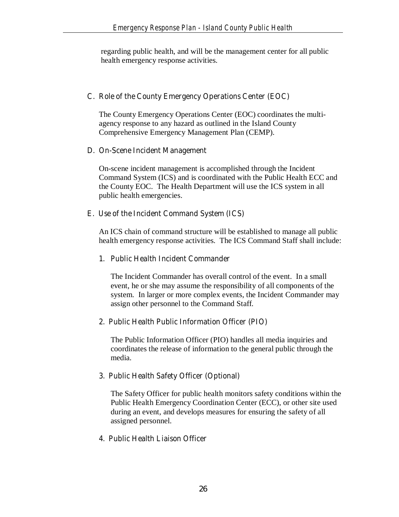regarding public health, and will be the management center for all public health emergency response activities.

#### **C. Role of the County Emergency Operations Center (EOC)**

The County Emergency Operations Center (EOC) coordinates the multiagency response to any hazard as outlined in the Island County Comprehensive Emergency Management Plan (CEMP).

#### **D. On-Scene Incident Management**

On-scene incident management is accomplished through the Incident Command System (ICS) and is coordinated with the Public Health ECC and the County EOC. The Health Department will use the ICS system in all public health emergencies.

#### **E. Use of the Incident Command System (ICS)**

An ICS chain of command structure will be established to manage all public health emergency response activities. The ICS Command Staff shall include:

#### **1. Public Health Incident Commander**

The Incident Commander has overall control of the event. In a small event, he or she may assume the responsibility of all components of the system. In larger or more complex events, the Incident Commander may assign other personnel to the Command Staff.

#### **2. Public Health Public Information Officer (PIO)**

The Public Information Officer (PIO) handles all media inquiries and coordinates the release of information to the general public through the media.

#### **3. Public Health Safety Officer (Optional)**

The Safety Officer for public health monitors safety conditions within the Public Health Emergency Coordination Center (ECC), or other site used during an event, and develops measures for ensuring the safety of all assigned personnel.

#### **4. Public Health Liaison Officer**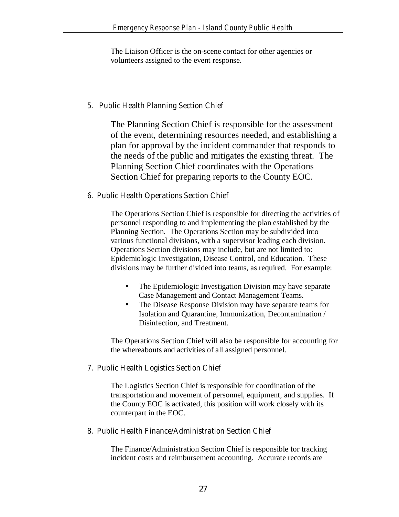The Liaison Officer is the on-scene contact for other agencies or volunteers assigned to the event response.

#### **5. Public Health Planning Section Chief**

The Planning Section Chief is responsible for the assessment of the event, determining resources needed, and establishing a plan for approval by the incident commander that responds to the needs of the public and mitigates the existing threat. The Planning Section Chief coordinates with the Operations Section Chief for preparing reports to the County EOC.

#### **6. Public Health Operations Section Chief**

The Operations Section Chief is responsible for directing the activities of personnel responding to and implementing the plan established by the Planning Section. The Operations Section may be subdivided into various functional divisions, with a supervisor leading each division. Operations Section divisions may include, but are not limited to: Epidemiologic Investigation, Disease Control, and Education. These divisions may be further divided into teams, as required. For example:

- The Epidemiologic Investigation Division may have separate Case Management and Contact Management Teams.
- The Disease Response Division may have separate teams for Isolation and Quarantine, Immunization, Decontamination / Disinfection, and Treatment.

The Operations Section Chief will also be responsible for accounting for the whereabouts and activities of all assigned personnel.

#### **7. Public Health Logistics Section Chief**

The Logistics Section Chief is responsible for coordination of the transportation and movement of personnel, equipment, and supplies. If the County EOC is activated, this position will work closely with its counterpart in the EOC.

#### **8. Public Health Finance/Administration Section Chief**

The Finance/Administration Section Chief is responsible for tracking incident costs and reimbursement accounting. Accurate records are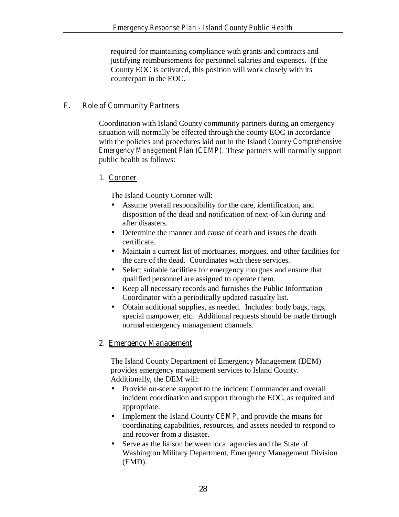required for maintaining compliance with grants and contracts and justifying reimbursements for personnel salaries and expenses. If the County EOC is activated, this position will work closely with its counterpart in the EOC.

#### **F. Role of Community Partners**

Coordination with Island County community partners during an emergency situation will normally be effected through the county EOC in accordance with the policies and procedures laid out in the Island County *Comprehensive Emergency Management Plan (CEMP).* These partners will normally support public health as follows:

#### **1. Coroner**

The Island County Coroner will:

- Assume overall responsibility for the care, identification, and disposition of the dead and notification of next-of-kin during and after disasters.
- Determine the manner and cause of death and issues the death certificate.
- Maintain a current list of mortuaries, morgues, and other facilities for the care of the dead. Coordinates with these services.
- Select suitable facilities for emergency morgues and ensure that qualified personnel are assigned to operate them.
- Keep all necessary records and furnishes the Public Information Coordinator with a periodically updated casualty list.
- Obtain additional supplies, as needed. Includes: body bags, tags, special manpower, etc. Additional requests should be made through normal emergency management channels.

#### **2. Emergency Management**

The Island County Department of Emergency Management (DEM) provides emergency management services to Island County. Additionally, the DEM will:

- Provide on-scene support to the incident Commander and overall incident coordination and support through the EOC, as required and appropriate.
- Implement the Island County *CEMP*, and provide the means for coordinating capabilities, resources, and assets needed to respond to and recover from a disaster.
- Serve as the liaison between local agencies and the State of Washington Military Department, Emergency Management Division (EMD).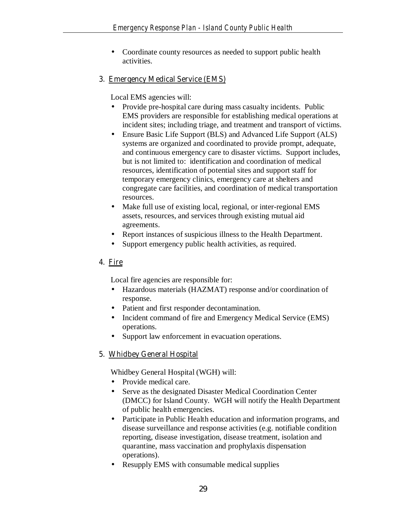• Coordinate county resources as needed to support public health activities.

#### **3. Emergency Medical Service (EMS)**

Local EMS agencies will:

- Provide pre-hospital care during mass casualty incidents. Public EMS providers are responsible for establishing medical operations at incident sites; including triage, and treatment and transport of victims.
- Ensure Basic Life Support (BLS) and Advanced Life Support (ALS) systems are organized and coordinated to provide prompt, adequate, and continuous emergency care to disaster victims. Support includes, but is not limited to: identification and coordination of medical resources, identification of potential sites and support staff for temporary emergency clinics, emergency care at shelters and congregate care facilities, and coordination of medical transportation resources.
- Make full use of existing local, regional, or inter-regional EMS assets, resources, and services through existing mutual aid agreements.
- Report instances of suspicious illness to the Health Department.
- Support emergency public health activities, as required.

#### **4. Fire**

Local fire agencies are responsible for:

- Hazardous materials (HAZMAT) response and/or coordination of response.
- Patient and first responder decontamination.
- Incident command of fire and Emergency Medical Service (EMS) operations.
- Support law enforcement in evacuation operations.

#### **5. Whidbey General Hospital**

Whidbey General Hospital (WGH) will:

- Provide medical care.
- Serve as the designated Disaster Medical Coordination Center (DMCC) for Island County. WGH will notify the Health Department of public health emergencies.
- Participate in Public Health education and information programs, and disease surveillance and response activities (e.g. notifiable condition reporting, disease investigation, disease treatment, isolation and quarantine, mass vaccination and prophylaxis dispensation operations).
- Resupply EMS with consumable medical supplies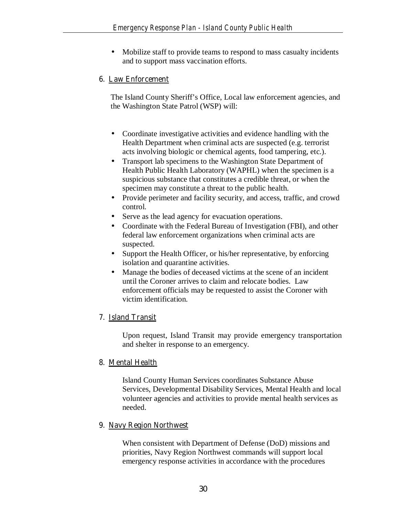• Mobilize staff to provide teams to respond to mass casualty incidents and to support mass vaccination efforts.

#### **6. Law Enforcement**

The Island County Sheriff's Office, Local law enforcement agencies, and the Washington State Patrol (WSP) will:

- Coordinate investigative activities and evidence handling with the Health Department when criminal acts are suspected (e.g. terrorist acts involving biologic or chemical agents, food tampering, etc.).
- Transport lab specimens to the Washington State Department of Health Public Health Laboratory (WAPHL) when the specimen is a suspicious substance that constitutes a credible threat, or when the specimen may constitute a threat to the public health.
- Provide perimeter and facility security, and access, traffic, and crowd control.
- Serve as the lead agency for evacuation operations.
- Coordinate with the Federal Bureau of Investigation (FBI), and other federal law enforcement organizations when criminal acts are suspected.
- Support the Health Officer, or his/her representative, by enforcing isolation and quarantine activities.
- Manage the bodies of deceased victims at the scene of an incident until the Coroner arrives to claim and relocate bodies. Law enforcement officials may be requested to assist the Coroner with victim identification.

#### **7. Island Transit**

Upon request, Island Transit may provide emergency transportation and shelter in response to an emergency.

#### **8. Mental Health**

Island County Human Services coordinates Substance Abuse Services, Developmental Disability Services, Mental Health and local volunteer agencies and activities to provide mental health services as needed.

#### **9. Navy Region Northwest**

When consistent with Department of Defense (DoD) missions and priorities, Navy Region Northwest commands will support local emergency response activities in accordance with the procedures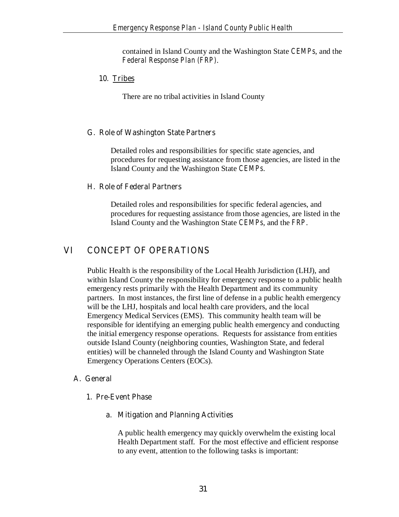contained in Island County and the Washington State *CEMPs*, and the *Federal Response Plan (FRP)*.

#### **10. Tribes**

There are no tribal activities in Island County

#### **G. Role of Washington State Partners**

Detailed roles and responsibilities for specific state agencies, and procedures for requesting assistance from those agencies, are listed in the Island County and the Washington State *CEMPs*.

#### **H. Role of Federal Partners**

Detailed roles and responsibilities for specific federal agencies, and procedures for requesting assistance from those agencies, are listed in the Island County and the Washington State *CEMPs*, and the *FRP*.

#### **VI CONCEPT OF OPERATIONS**

Public Health is the responsibility of the Local Health Jurisdiction (LHJ), and within Island County the responsibility for emergency response to a public health emergency rests primarily with the Health Department and its community partners. In most instances, the first line of defense in a public health emergency will be the LHJ, hospitals and local health care providers, and the local Emergency Medical Services (EMS). This community health team will be responsible for identifying an emerging public health emergency and conducting the initial emergency response operations. Requests for assistance from entities outside Island County (neighboring counties, Washington State, and federal entities) will be channeled through the Island County and Washington State Emergency Operations Centers (EOCs).

#### **A. General**

#### **1. Pre-Event Phase**

#### **a. Mitigation and Planning Activities**

A public health emergency may quickly overwhelm the existing local Health Department staff. For the most effective and efficient response to any event, attention to the following tasks is important: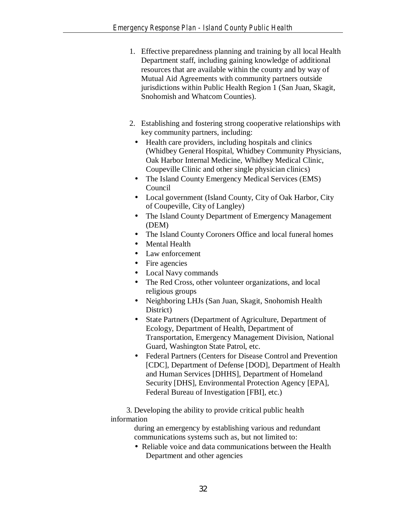- 1. Effective preparedness planning and training by all local Health Department staff, including gaining knowledge of additional resources that are available within the county and by way of Mutual Aid Agreements with community partners outside jurisdictions within Public Health Region 1 (San Juan, Skagit, Snohomish and Whatcom Counties).
- 2. Establishing and fostering strong cooperative relationships with key community partners, including:
	- Health care providers, including hospitals and clinics (Whidbey General Hospital, Whidbey Community Physicians, Oak Harbor Internal Medicine, Whidbey Medical Clinic, Coupeville Clinic and other single physician clinics)
- The Island County Emergency Medical Services (EMS) Council
- Local government (Island County, City of Oak Harbor, City of Coupeville, City of Langley)
- The Island County Department of Emergency Management (DEM)
- The Island County Coroners Office and local funeral homes
- Mental Health
- Law enforcement
- Fire agencies
- Local Navy commands
- The Red Cross, other volunteer organizations, and local religious groups
- Neighboring LHJs (San Juan, Skagit, Snohomish Health District)
- State Partners (Department of Agriculture, Department of Ecology, Department of Health, Department of Transportation, Emergency Management Division, National Guard, Washington State Patrol, etc.
- Federal Partners (Centers for Disease Control and Prevention [CDC], Department of Defense [DOD], Department of Health and Human Services [DHHS], Department of Homeland Security [DHS], Environmental Protection Agency [EPA], Federal Bureau of Investigation [FBI], etc.)

 3. Developing the ability to provide critical public health information

> during an emergency by establishing various and redundant communications systems such as, but not limited to:

• Reliable voice and data communications between the Health Department and other agencies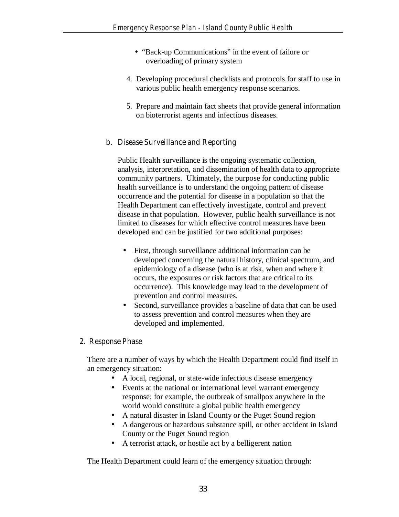- "Back-up Communications" in the event of failure or overloading of primary system
- 4. Developing procedural checklists and protocols for staff to use in various public health emergency response scenarios.
- 5. Prepare and maintain fact sheets that provide general information on bioterrorist agents and infectious diseases.

#### **b. Disease Surveillance and Reporting**

Public Health surveillance is the ongoing systematic collection, analysis, interpretation, and dissemination of health data to appropriate community partners. Ultimately, the purpose for conducting public health surveillance is to understand the ongoing pattern of disease occurrence and the potential for disease in a population so that the Health Department can effectively investigate, control and prevent disease in that population. However, public health surveillance is not limited to diseases for which effective control measures have been developed and can be justified for two additional purposes:

- First, through surveillance additional information can be developed concerning the natural history, clinical spectrum, and epidemiology of a disease (who is at risk, when and where it occurs, the exposures or risk factors that are critical to its occurrence). This knowledge may lead to the development of prevention and control measures.
- Second, surveillance provides a baseline of data that can be used to assess prevention and control measures when they are developed and implemented.

#### **2. Response Phase**

There are a number of ways by which the Health Department could find itself in an emergency situation:

- A local, regional, or state-wide infectious disease emergency
- Events at the national or international level warrant emergency response; for example, the outbreak of smallpox anywhere in the world would constitute a global public health emergency
- A natural disaster in Island County or the Puget Sound region
- A dangerous or hazardous substance spill, or other accident in Island County or the Puget Sound region
- A terrorist attack, or hostile act by a belligerent nation

The Health Department could learn of the emergency situation through: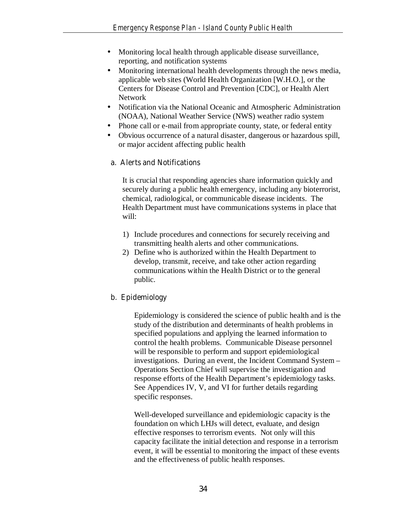- Monitoring local health through applicable disease surveillance, reporting, and notification systems
- Monitoring international health developments through the news media, applicable web sites (World Health Organization [W.H.O.], or the Centers for Disease Control and Prevention [CDC], or Health Alert Network
- Notification via the National Oceanic and Atmospheric Administration (NOAA), National Weather Service (NWS) weather radio system
- Phone call or e-mail from appropriate county, state, or federal entity
- Obvious occurrence of a natural disaster, dangerous or hazardous spill, or major accident affecting public health

#### **a. Alerts and Notifications**

It is crucial that responding agencies share information quickly and securely during a public health emergency, including any bioterrorist, chemical, radiological, or communicable disease incidents. The Health Department must have communications systems in place that will:

- 1) Include procedures and connections for securely receiving and transmitting health alerts and other communications.
- 2) Define who is authorized within the Health Department to develop, transmit, receive, and take other action regarding communications within the Health District or to the general public.

#### **b. Epidemiology**

Epidemiology is considered the science of public health and is the study of the distribution and determinants of health problems in specified populations and applying the learned information to control the health problems. Communicable Disease personnel will be responsible to perform and support epidemiological investigations. During an event, the Incident Command System – Operations Section Chief will supervise the investigation and response efforts of the Health Department's epidemiology tasks. See Appendices IV, V, and VI for further details regarding specific responses.

Well-developed surveillance and epidemiologic capacity is the foundation on which LHJs will detect, evaluate, and design effective responses to terrorism events. Not only will this capacity facilitate the initial detection and response in a terrorism event, it will be essential to monitoring the impact of these events and the effectiveness of public health responses.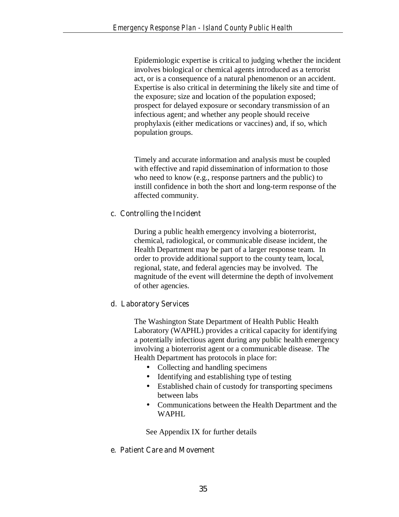Epidemiologic expertise is critical to judging whether the incident involves biological or chemical agents introduced as a terrorist act, or is a consequence of a natural phenomenon or an accident. Expertise is also critical in determining the likely site and time of the exposure; size and location of the population exposed; prospect for delayed exposure or secondary transmission of an infectious agent; and whether any people should receive prophylaxis (either medications or vaccines) and, if so, which population groups.

Timely and accurate information and analysis must be coupled with effective and rapid dissemination of information to those who need to know (e.g., response partners and the public) to instill confidence in both the short and long-term response of the affected community.

#### **c. Controlling the Incident**

During a public health emergency involving a bioterrorist, chemical, radiological, or communicable disease incident, the Health Department may be part of a larger response team. In order to provide additional support to the county team, local, regional, state, and federal agencies may be involved. The magnitude of the event will determine the depth of involvement of other agencies.

#### **d. Laboratory Services**

The Washington State Department of Health Public Health Laboratory (WAPHL) provides a critical capacity for identifying a potentially infectious agent during any public health emergency involving a bioterrorist agent or a communicable disease. The Health Department has protocols in place for:

- Collecting and handling specimens
- Identifying and establishing type of testing
- Established chain of custody for transporting specimens between labs
- Communications between the Health Department and the WAPHL

See Appendix IX for further details

#### **e. Patient Care and Movement**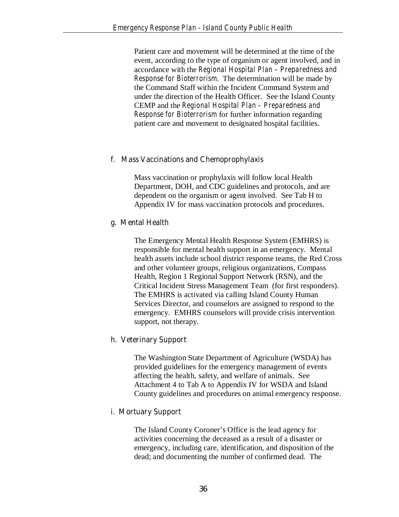Patient care and movement will be determined at the time of the event, according to the type of organism or agent involved, and in accordance with the *Regional Hospital Plan – Preparedness and Response for Bioterrorism*. The determination will be made by the Command Staff within the Incident Command System and under the direction of the Health Officer. See the Island County CEMP and the *Regional Hospital Plan – Preparedness and Response for Bioterrorism* for further information regarding patient care and movement to designated hospital facilities.

#### **f. Mass Vaccinations and Chemoprophylaxis**

Mass vaccination or prophylaxis will follow local Health Department, DOH, and CDC guidelines and protocols, and are dependent on the organism or agent involved. See Tab H to Appendix IV for mass vaccination protocols and procedures.

#### **g. Mental Health**

The Emergency Mental Health Response System (EMHRS) is responsible for mental health support in an emergency. Mental health assets include school district response teams, the Red Cross and other volunteer groups, religious organizations, Compass Health, Region 1 Regional Support Network (RSN), and the Critical Incident Stress Management Team (for first responders). The EMHRS is activated via calling Island County Human Services Director, and counselors are assigned to respond to the emergency. EMHRS counselors will provide crisis intervention support, not therapy.

#### **h. Veterinary Support**

The Washington State Department of Agriculture (WSDA) has provided guidelines for the emergency management of events affecting the health, safety, and welfare of animals. See Attachment 4 to Tab A to Appendix IV for WSDA and Island County guidelines and procedures on animal emergency response.

#### **i. Mortuary Support**

The Island County Coroner's Office is the lead agency for activities concerning the deceased as a result of a disaster or emergency, including care, identification, and disposition of the dead; and documenting the number of confirmed dead. The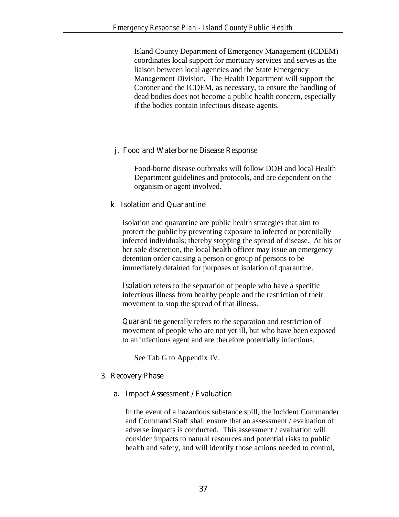Island County Department of Emergency Management (ICDEM) coordinates local support for mortuary services and serves as the liaison between local agencies and the State Emergency Management Division. The Health Department will support the Coroner and the ICDEM, as necessary, to ensure the handling of dead bodies does not become a public health concern, especially if the bodies contain infectious disease agents.

### **j. Food and Waterborne Disease Response**

Food-borne disease outbreaks will follow DOH and local Health Department guidelines and protocols, and are dependent on the organism or agent involved.

# **k. Isolation and Quarantine**

Isolation and quarantine are public health strategies that aim to protect the public by preventing exposure to infected or potentially infected individuals; thereby stopping the spread of disease. At his or her sole discretion, the local health officer may issue an emergency detention order causing a person or group of persons to be immediately detained for purposes of isolation of quarantine.

**Isolation** refers to the separation of people who have a specific infectious illness from healthy people and the restriction of their movement to stop the spread of that illness.

**Quarantine** generally refers to the separation and restriction of movement of people who are not yet ill, but who have been exposed to an infectious agent and are therefore potentially infectious.

See Tab G to Appendix IV.

#### **3. Recovery Phase**

#### **a. Impact Assessment / Evaluation**

In the event of a hazardous substance spill, the Incident Commander and Command Staff shall ensure that an assessment / evaluation of adverse impacts is conducted. This assessment / evaluation will consider impacts to natural resources and potential risks to public health and safety, and will identify those actions needed to control,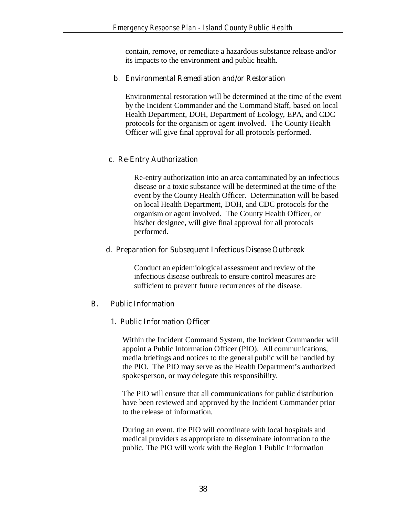contain, remove, or remediate a hazardous substance release and/or its impacts to the environment and public health.

#### **b. Environmental Remediation and/or Restoration**

Environmental restoration will be determined at the time of the event by the Incident Commander and the Command Staff, based on local Health Department, DOH, Department of Ecology, EPA, and CDC protocols for the organism or agent involved. The County Health Officer will give final approval for all protocols performed.

# **c. Re-Entry Authorization**

Re-entry authorization into an area contaminated by an infectious disease or a toxic substance will be determined at the time of the event by the County Health Officer. Determination will be based on local Health Department, DOH, and CDC protocols for the organism or agent involved. The County Health Officer, or his/her designee, will give final approval for all protocols performed.

# **d. Preparation for Subsequent Infectious Disease Outbreak**

Conduct an epidemiological assessment and review of the infectious disease outbreak to ensure control measures are sufficient to prevent future recurrences of the disease.

# **B. Public Information**

# **1. Public Information Officer**

Within the Incident Command System, the Incident Commander will appoint a Public Information Officer (PIO). All communications, media briefings and notices to the general public will be handled by the PIO. The PIO may serve as the Health Department's authorized spokesperson, or may delegate this responsibility.

The PIO will ensure that all communications for public distribution have been reviewed and approved by the Incident Commander prior to the release of information.

During an event, the PIO will coordinate with local hospitals and medical providers as appropriate to disseminate information to the public. The PIO will work with the Region 1 Public Information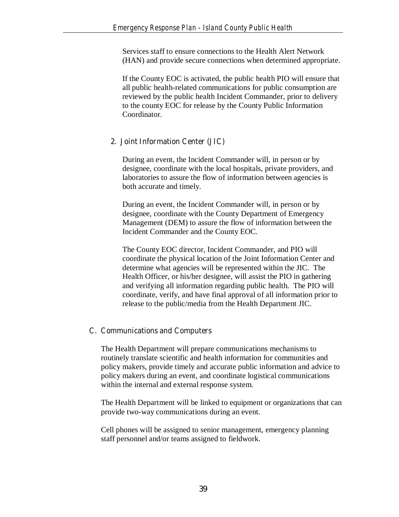Services staff to ensure connections to the Health Alert Network (HAN) and provide secure connections when determined appropriate.

If the County EOC is activated, the public health PIO will ensure that all public health-related communications for public consumption are reviewed by the public health Incident Commander, prior to delivery to the county EOC for release by the County Public Information Coordinator.

### **2. Joint Information Center (JIC)**

During an event, the Incident Commander will, in person or by designee, coordinate with the local hospitals, private providers, and laboratories to assure the flow of information between agencies is both accurate and timely.

During an event, the Incident Commander will, in person or by designee, coordinate with the County Department of Emergency Management (DEM) to assure the flow of information between the Incident Commander and the County EOC.

The County EOC director, Incident Commander, and PIO will coordinate the physical location of the Joint Information Center and determine what agencies will be represented within the JIC. The Health Officer, or his/her designee, will assist the PIO in gathering and verifying all information regarding public health. The PIO will coordinate, verify, and have final approval of all information prior to release to the public/media from the Health Department JIC.

#### **C. Communications and Computers**

The Health Department will prepare communications mechanisms to routinely translate scientific and health information for communities and policy makers, provide timely and accurate public information and advice to policy makers during an event, and coordinate logistical communications within the internal and external response system.

The Health Department will be linked to equipment or organizations that can provide two-way communications during an event.

Cell phones will be assigned to senior management, emergency planning staff personnel and/or teams assigned to fieldwork.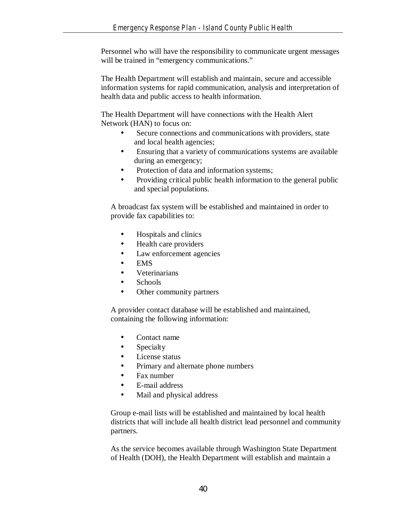Personnel who will have the responsibility to communicate urgent messages will be trained in "emergency communications."

The Health Department will establish and maintain, secure and accessible information systems for rapid communication, analysis and interpretation of health data and public access to health information.

The Health Department will have connections with the Health Alert Network (HAN) to focus on:

- Secure connections and communications with providers, state and local health agencies;
- Ensuring that a variety of communications systems are available during an emergency;
- Protection of data and information systems;
- Providing critical public health information to the general public and special populations.

A broadcast fax system will be established and maintained in order to provide fax capabilities to:

- Hospitals and clinics
- Health care providers
- Law enforcement agencies
- EMS
- Veterinarians
- Schools
- Other community partners

A provider contact database will be established and maintained, containing the following information:

- Contact name
- Specialty
- License status
- Primary and alternate phone numbers
- Fax number
- E-mail address
- Mail and physical address

Group e-mail lists will be established and maintained by local health districts that will include all health district lead personnel and community partners.

As the service becomes available through Washington State Department of Health (DOH), the Health Department will establish and maintain a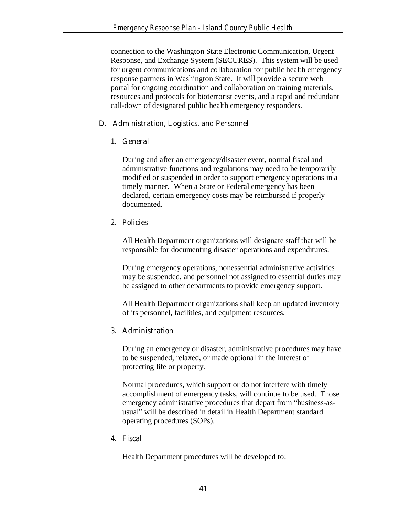connection to the Washington State Electronic Communication, Urgent Response, and Exchange System (SECURES). This system will be used for urgent communications and collaboration for public health emergency response partners in Washington State. It will provide a secure web portal for ongoing coordination and collaboration on training materials, resources and protocols for bioterrorist events, and a rapid and redundant call-down of designated public health emergency responders.

### **D. Administration, Logistics, and Personnel**

### **1. General**

During and after an emergency/disaster event, normal fiscal and administrative functions and regulations may need to be temporarily modified or suspended in order to support emergency operations in a timely manner. When a State or Federal emergency has been declared, certain emergency costs may be reimbursed if properly documented.

### **2. Policies**

All Health Department organizations will designate staff that will be responsible for documenting disaster operations and expenditures.

During emergency operations, nonessential administrative activities may be suspended, and personnel not assigned to essential duties may be assigned to other departments to provide emergency support.

All Health Department organizations shall keep an updated inventory of its personnel, facilities, and equipment resources.

#### **3. Administration**

During an emergency or disaster, administrative procedures may have to be suspended, relaxed, or made optional in the interest of protecting life or property.

Normal procedures, which support or do not interfere with timely accomplishment of emergency tasks, will continue to be used. Those emergency administrative procedures that depart from "business-asusual" will be described in detail in Health Department standard operating procedures (SOPs).

#### **4. Fiscal**

Health Department procedures will be developed to: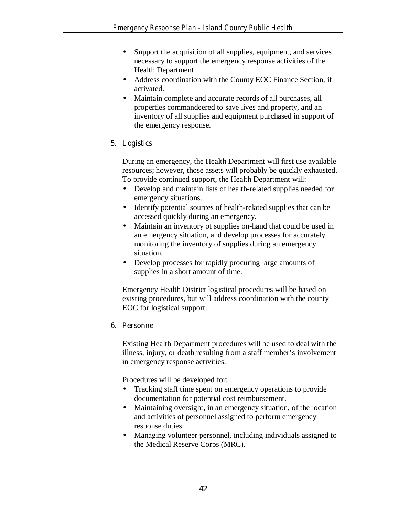- Support the acquisition of all supplies, equipment, and services necessary to support the emergency response activities of the Health Department
- Address coordination with the County EOC Finance Section, if activated.
- Maintain complete and accurate records of all purchases, all properties commandeered to save lives and property, and an inventory of all supplies and equipment purchased in support of the emergency response.

# **5. Logistics**

During an emergency, the Health Department will first use available resources; however, those assets will probably be quickly exhausted. To provide continued support, the Health Department will:

- Develop and maintain lists of health-related supplies needed for emergency situations.
- Identify potential sources of health-related supplies that can be accessed quickly during an emergency.
- Maintain an inventory of supplies on-hand that could be used in an emergency situation, and develop processes for accurately monitoring the inventory of supplies during an emergency situation.
- Develop processes for rapidly procuring large amounts of supplies in a short amount of time.

Emergency Health District logistical procedures will be based on existing procedures, but will address coordination with the county EOC for logistical support.

# **6. Personnel**

Existing Health Department procedures will be used to deal with the illness, injury, or death resulting from a staff member's involvement in emergency response activities.

Procedures will be developed for:

- Tracking staff time spent on emergency operations to provide documentation for potential cost reimbursement.
- Maintaining oversight, in an emergency situation, of the location and activities of personnel assigned to perform emergency response duties.
- Managing volunteer personnel, including individuals assigned to the Medical Reserve Corps (MRC).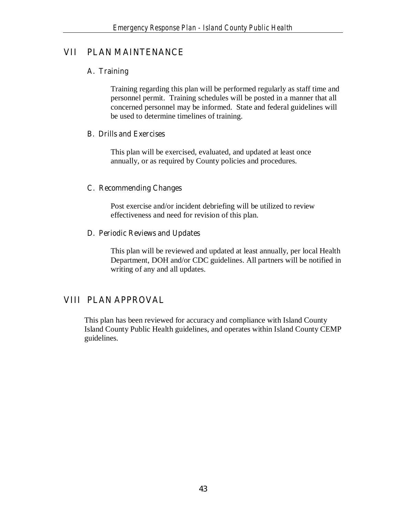# **VII PLAN MAINTENANCE**

#### **A. Training**

Training regarding this plan will be performed regularly as staff time and personnel permit. Training schedules will be posted in a manner that all concerned personnel may be informed. State and federal guidelines will be used to determine timelines of training.

#### **B. Drills and Exercises**

This plan will be exercised, evaluated, and updated at least once annually, or as required by County policies and procedures.

#### **C. Recommending Changes**

Post exercise and/or incident debriefing will be utilized to review effectiveness and need for revision of this plan.

#### **D. Periodic Reviews and Updates**

This plan will be reviewed and updated at least annually, per local Health Department, DOH and/or CDC guidelines. All partners will be notified in writing of any and all updates.

# **VIII PLAN APPROVAL**

This plan has been reviewed for accuracy and compliance with Island County Island County Public Health guidelines, and operates within Island County CEMP guidelines.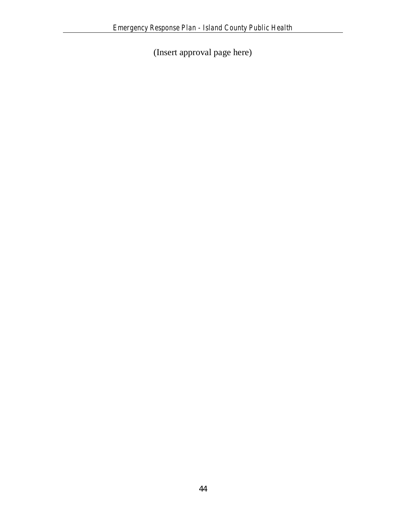(Insert approval page here)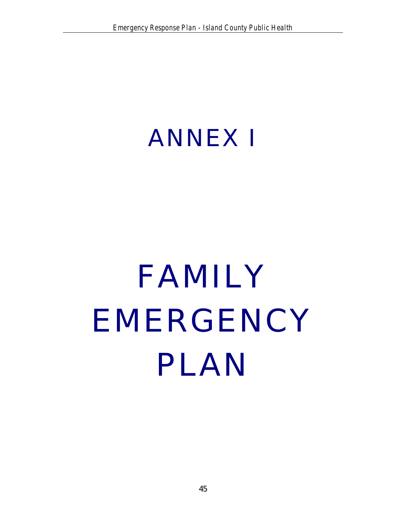# ANNEX I

# FAMILY **EMERGENCY** PLAN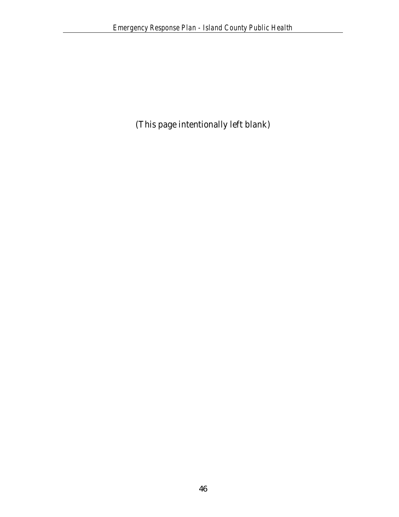# **(This page intentionally left blank)**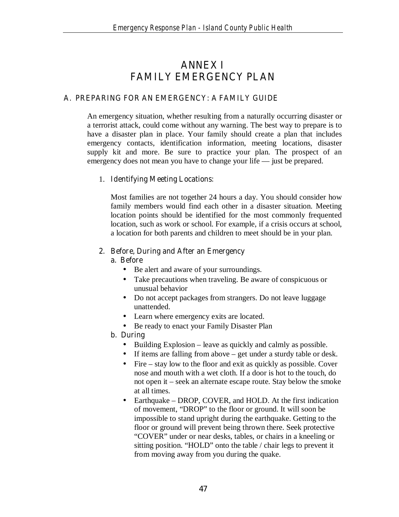# **ANNEX I FAMILY EMERGENCY PLAN**

# **A. PREPARING FOR AN EMERGENCY: A FAMILY GUIDE**

An emergency situation, whether resulting from a naturally occurring disaster or a terrorist attack, could come without any warning. The best way to prepare is to have a disaster plan in place. Your family should create a plan that includes emergency contacts, identification information, meeting locations, disaster supply kit and more. Be sure to practice your plan. The prospect of an emergency does not mean you have to change your life — just be prepared.

# 1. **Identifying Meeting Locations:**

Most families are not together 24 hours a day. You should consider how family members would find each other in a disaster situation. Meeting location points should be identified for the most commonly frequented location, such as work or school. For example, if a crisis occurs at school, a location for both parents and children to meet should be in your plan.

### **2. Before, During and After an Emergency**

#### **a. Before**

- Be alert and aware of your surroundings.
- Take precautions when traveling. Be aware of conspicuous or unusual behavior
- Do not accept packages from strangers. Do not leave luggage unattended.
- Learn where emergency exits are located.
- Be ready to enact your Family Disaster Plan

#### **b. During**

- Building Explosion leave as quickly and calmly as possible.
- If items are falling from above get under a sturdy table or desk.
- Fire stay low to the floor and exit as quickly as possible. Cover nose and mouth with a wet cloth. If a door is hot to the touch, do not open it – seek an alternate escape route. Stay below the smoke at all times.
- Earthquake DROP, COVER, and HOLD. At the first indication of movement, "DROP" to the floor or ground. It will soon be impossible to stand upright during the earthquake. Getting to the floor or ground will prevent being thrown there. Seek protective "COVER" under or near desks, tables, or chairs in a kneeling or sitting position. "HOLD" onto the table / chair legs to prevent it from moving away from you during the quake.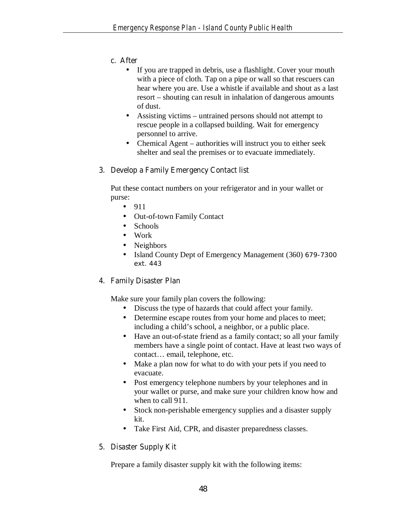# **c. After**

- If you are trapped in debris, use a flashlight. Cover your mouth with a piece of cloth. Tap on a pipe or wall so that rescuers can hear where you are. Use a whistle if available and shout as a last resort – shouting can result in inhalation of dangerous amounts of dust.
- Assisting victims untrained persons should not attempt to rescue people in a collapsed building. Wait for emergency personnel to arrive.
- Chemical Agent authorities will instruct you to either seek shelter and seal the premises or to evacuate immediately.

# **3. Develop a Family Emergency Contact list**

Put these contact numbers on your refrigerator and in your wallet or purse:

- 911
- Out-of-town Family Contact
- Schools
- Work
- Neighbors
- Island County Dept of Emergency Management (360) 679-7300 ext. 443

# **4. Family Disaster Plan**

Make sure your family plan covers the following:

- Discuss the type of hazards that could affect your family.
- Determine escape routes from your home and places to meet; including a child's school, a neighbor, or a public place.
- Have an out-of-state friend as a family contact; so all your family members have a single point of contact. Have at least two ways of contact… email, telephone, etc.
- Make a plan now for what to do with your pets if you need to evacuate.
- Post emergency telephone numbers by your telephones and in your wallet or purse, and make sure your children know how and when to call 911.
- Stock non-perishable emergency supplies and a disaster supply kit.
- Take First Aid, CPR, and disaster preparedness classes.

# **5. Disaster Supply Kit**

Prepare a family disaster supply kit with the following items: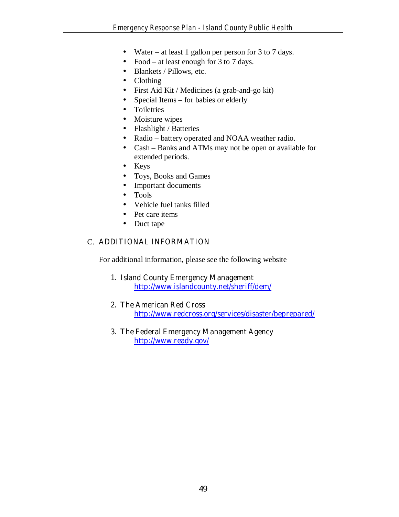- Water at least 1 gallon per person for 3 to 7 days.
- Food at least enough for 3 to 7 days.
- Blankets / Pillows, etc.
- Clothing
- First Aid Kit / Medicines (a grab-and-go kit)
- Special Items for babies or elderly
- Toiletries
- Moisture wipes
- Flashlight / Batteries
- Radio battery operated and NOAA weather radio.
- Cash Banks and ATMs may not be open or available for extended periods.
- Keys
- Toys, Books and Games
- Important documents
- Tools
- Vehicle fuel tanks filled
- Pet care items
- Duct tape

# C. **ADDITIONAL INFORMATION**

For additional information, please see the following website

- **1. Island County Emergency Management http://www.islandcounty.net/sheriff/dem/**
- **2. The American Red Cross http://www.redcross.org/services/disaster/beprepared/**
- **3. The Federal Emergency Management Agency http://www.ready.gov/**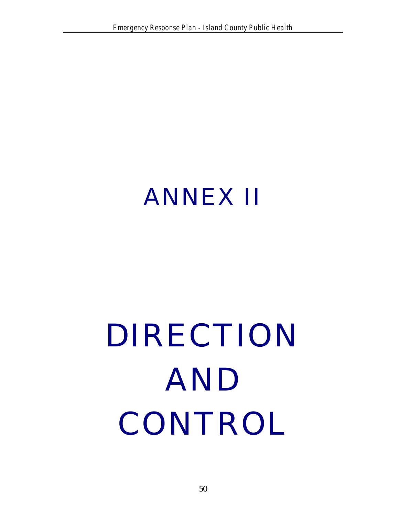# ANNEX II

# DIRECTION AND CONTROL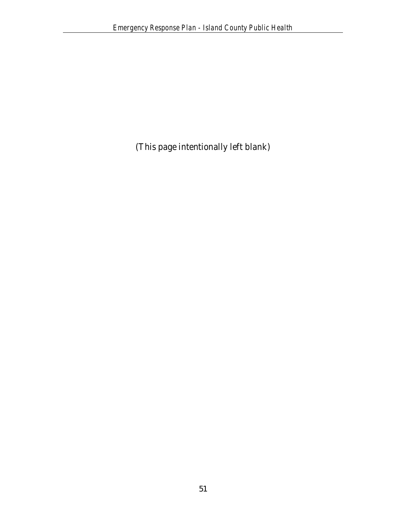**(This page intentionally left blank)**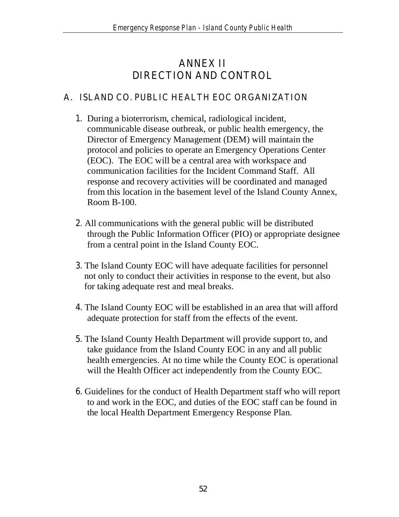# **ANNEX II DIRECTION AND CONTROL**

# **A. ISLAND CO. PUBLIC HEALTH EOC ORGANIZATION**

- **1.** During a bioterrorism, chemical, radiological incident, communicable disease outbreak, or public health emergency, the Director of Emergency Management (DEM) will maintain the protocol and policies to operate an Emergency Operations Center (EOC). The EOC will be a central area with workspace and communication facilities for the Incident Command Staff. All response and recovery activities will be coordinated and managed from this location in the basement level of the Island County Annex, Room B-100.
- **2.** All communications with the general public will be distributed through the Public Information Officer (PIO) or appropriate designee from a central point in the Island County EOC.
- **3.** The Island County EOC will have adequate facilities for personnel not only to conduct their activities in response to the event, but also for taking adequate rest and meal breaks.
- **4.** The Island County EOC will be established in an area that will afford adequate protection for staff from the effects of the event.
- **5.** The Island County Health Department will provide support to, and take guidance from the Island County EOC in any and all public health emergencies. At no time while the County EOC is operational will the Health Officer act independently from the County EOC.
- **6.** Guidelines for the conduct of Health Department staff who will report to and work in the EOC, and duties of the EOC staff can be found in the local Health Department Emergency Response Plan.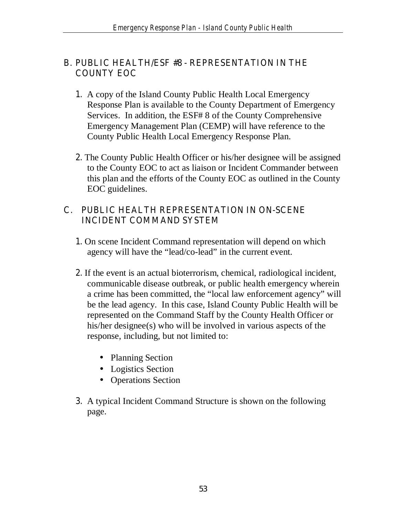# **B. PUBLIC HEALTH/ESF #8 - REPRESENTATION IN THE COUNTY EOC**

- **1.** A copy of the Island County Public Health Local Emergency Response Plan is available to the County Department of Emergency Services. In addition, the ESF# 8 of the County Comprehensive Emergency Management Plan (CEMP) will have reference to the County Public Health Local Emergency Response Plan.
- **2.** The County Public Health Officer or his/her designee will be assigned to the County EOC to act as liaison or Incident Commander between this plan and the efforts of the County EOC as outlined in the County EOC guidelines.

# **C. PUBLIC HEALTH REPRESENTATION IN ON-SCENE INCIDENT COMMAND SYSTEM**

- **1.** On scene Incident Command representation will depend on which agency will have the "lead/co-lead" in the current event.
- **2.** If the event is an actual bioterrorism, chemical, radiological incident, communicable disease outbreak, or public health emergency wherein a crime has been committed, the "local law enforcement agency" will be the lead agency. In this case, Island County Public Health will be represented on the Command Staff by the County Health Officer or his/her designee(s) who will be involved in various aspects of the response, including, but not limited to:
	- Planning Section
	- Logistics Section
	- Operations Section
- **3.** A typical Incident Command Structure is shown on the following page.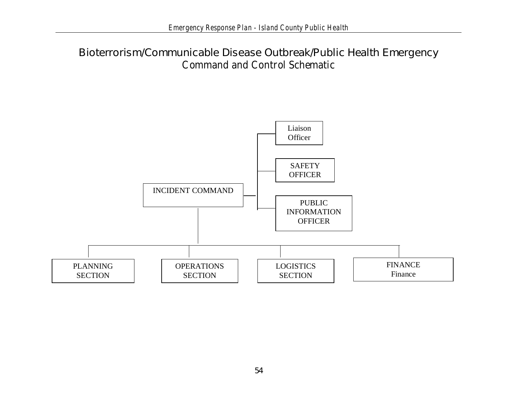# **Bioterrorism/Communicable Disease Outbreak/Public Health Emergency Command and Control Schematic**

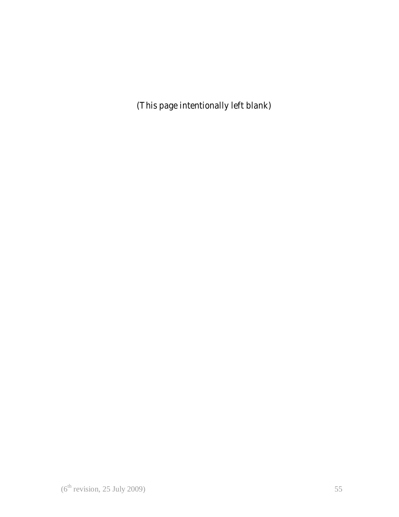**(This page intentionally left blank)**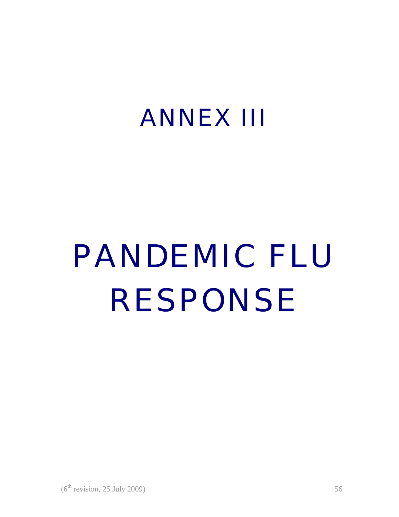# ANNEX III

# PANDEMIC FLU RESPONSE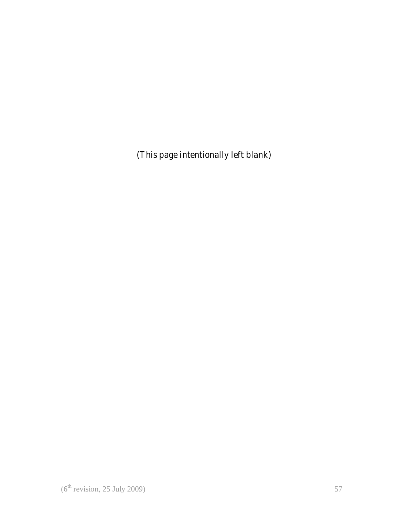**(This page intentionally left blank)**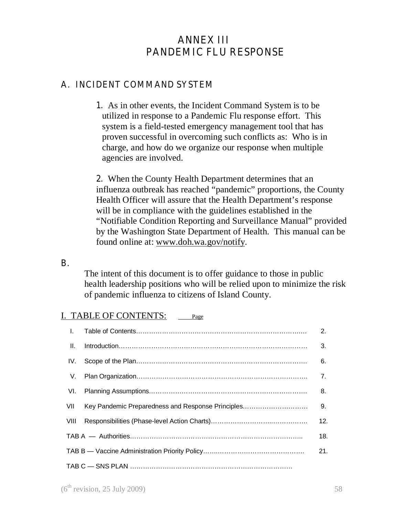# **ANNEX III PANDEMIC FLU RESPONSE**

# **A. INCIDENT COMMAND SYSTEM**

 **1.** As in other events, the Incident Command System is to be utilized in response to a Pandemic Flu response effort. This system is a field-tested emergency management tool that has proven successful in overcoming such conflicts as: Who is in charge, and how do we organize our response when multiple agencies are involved.

 **2.** When the County Health Department determines that an influenza outbreak has reached "pandemic" proportions, the County Health Officer will assure that the Health Department's response will be in compliance with the guidelines established in the "Notifiable Condition Reporting and Surveillance Manual" provided by the Washington State Department of Health. This manual can be found online at: www.doh.wa.gov/notify.

#### **B.**

The intent of this document is to offer guidance to those in public health leadership positions who will be relied upon to minimize the risk of pandemic influenza to citizens of Island County.

# I. TABLE OF CONTENTS: Page

|      |                                                   | 2.             |  |  |
|------|---------------------------------------------------|----------------|--|--|
| Ш.   |                                                   | 3.             |  |  |
| IV.  |                                                   | 6.             |  |  |
| V.   |                                                   | 7 <sub>1</sub> |  |  |
| VI.  |                                                   | 8.             |  |  |
| VII  | Key Pandemic Preparedness and Response Principles | 9.             |  |  |
| VIII |                                                   | 12.            |  |  |
|      |                                                   | 18.            |  |  |
| 21.  |                                                   |                |  |  |
|      |                                                   |                |  |  |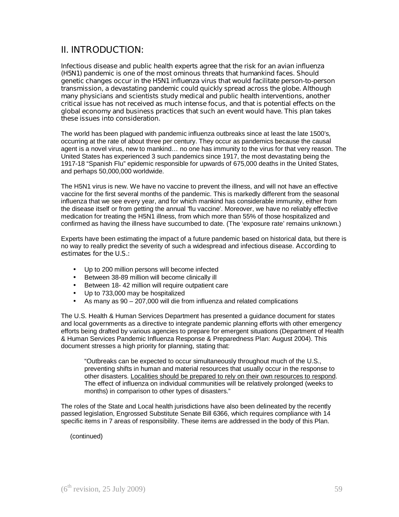# **II. INTRODUCTION:**

*Infectious disease and public health experts agree that the risk for an avian influenza (H5N1) pandemic is one of the most ominous threats that humankind faces. Should genetic changes occur in the H5N1 influenza virus that would facilitate person-to-person transmission, a devastating pandemic could quickly spread across the globe. Although many physicians and scientists study medical and public health interventions, another critical issue has not received as much intense focus, and that is potential effects on the global economy and business practices that such an event would have. This plan takes these issues into consideration.* 

The world has been plagued with pandemic influenza outbreaks since at least the late 1500's, occurring at the rate of about three per century. They occur as pandemics because the causal agent is a novel virus, new to mankind… no one has immunity to the virus for that very reason. The United States has experienced 3 such pandemics since 1917, the most devastating being the 1917-18 "Spanish Flu" epidemic responsible for upwards of 675,000 deaths in the United States, and perhaps 50,000,000 worldwide.

The H5N1 virus is new. We have no vaccine to prevent the illness, and will not have an effective vaccine for the first several months of the pandemic. This is markedly different from the seasonal influenza that we see every year, and for which mankind has considerable immunity, either from the disease itself or from getting the annual 'flu vaccine'. Moreover, we have no reliably effective medication for treating the H5N1 illness, from which more than 55% of those hospitalized and confirmed as having the illness have succumbed to date. (The 'exposure rate' remains unknown.)

Experts have been estimating the impact of a future pandemic based on historical data, but there is no way to really predict the severity of such a widespread and infectious disease. **According to estimates for the U.S.:** 

- Up to 200 million persons will become infected
- Between 38-89 million will become clinically ill
- Between 18- 42 million will require outpatient care
- Up to 733,000 may be hospitalized
- As many as 90 207,000 will die from influenza and related complications

The U.S. Health & Human Services Department has presented a guidance document for states and local governments as a directive to integrate pandemic planning efforts with other emergency efforts being drafted by various agencies to prepare for emergent situations (Department of Health & Human Services Pandemic Influenza Response & Preparedness Plan: August 2004). This document stresses a high priority for planning, stating that:

"Outbreaks can be expected to occur simultaneously throughout much of the U.S., preventing shifts in human and material resources that usually occur in the response to other disasters. Localities should be prepared to rely on their own resources to respond. The effect of influenza on individual communities will be relatively prolonged (weeks to months) in comparison to other types of disasters."

The roles of the State and Local health jurisdictions have also been delineated by the recently passed legislation, Engrossed Substitute Senate Bill 6366, which requires compliance with 14 specific items in 7 areas of responsibility. These items are addressed in the body of this Plan.

(continued)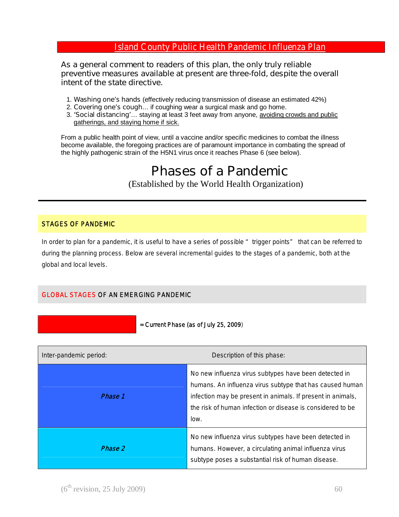**As a general comment to readers of this plan, the only truly reliable preventive measures available at present are three-fold, despite the overall intent of the state directive.** 

- 1. **Washing one's hands** (effectively reducing transmission of disease an estimated 42%)
- 2. **Covering one's cough**… if coughing wear a surgical mask and go home.
- 3. **'Social distancing'**… staying at least 3 feet away from anyone, avoiding crowds and public gatherings, and staying home if sick.

From a public health point of view, until a vaccine and/or specific medicines to combat the illness become available, the foregoing practices are of paramount importance in combating the spread of the highly pathogenic strain of the H5N1 virus once it reaches Phase 6 (see below).

# **Phases of a Pandemic**

(Established by the World Health Organization)

#### STAGES OF PANDEMIC

In order to plan for a pandemic, it is useful to have a series of possible " trigger points" that can be referred to during the planning process. Below are several incremental guides to the stages of a pandemic, both at the global and local levels.

#### GLOBAL STAGES OF AN EMERGING PANDEMIC

= Current Phase (as of July 25, 2009)

| Inter-pandemic period: | Description of this phase:                                                                                                                                                                                                                             |  |  |
|------------------------|--------------------------------------------------------------------------------------------------------------------------------------------------------------------------------------------------------------------------------------------------------|--|--|
| Phase 1                | No new influenza virus subtypes have been detected in<br>humans. An influenza virus subtype that has caused human<br>infection may be present in animals. If present in animals,<br>the risk of human infection or disease is considered to be<br>low. |  |  |
| Phase 2                | No new influenza virus subtypes have been detected in<br>humans. However, a circulating animal influenza virus<br>subtype poses a substantial risk of human disease.                                                                                   |  |  |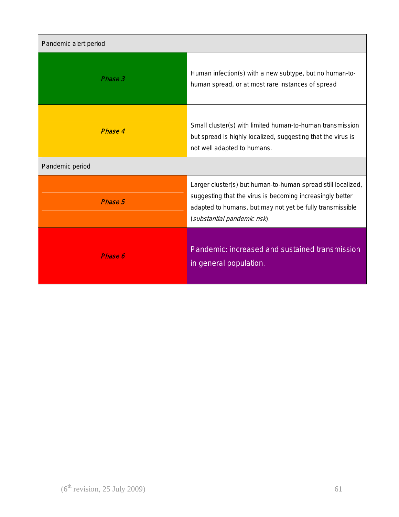| Pandemic alert period |                                                                                                                                                                                                                        |  |  |  |
|-----------------------|------------------------------------------------------------------------------------------------------------------------------------------------------------------------------------------------------------------------|--|--|--|
| Phase 3               | Human infection(s) with a new subtype, but no human-to-<br>human spread, or at most rare instances of spread                                                                                                           |  |  |  |
| Phase 4               | Small cluster(s) with limited human-to-human transmission<br>but spread is highly localized, suggesting that the virus is<br>not well adapted to humans.                                                               |  |  |  |
| Pandemic period       |                                                                                                                                                                                                                        |  |  |  |
| Phase 5               | Larger cluster(s) but human-to-human spread still localized,<br>suggesting that the virus is becoming increasingly better<br>adapted to humans, but may not yet be fully transmissible<br>(substantial pandemic risk). |  |  |  |
| Phase 6               | Pandemic: increased and sustained transmission<br>in general population.                                                                                                                                               |  |  |  |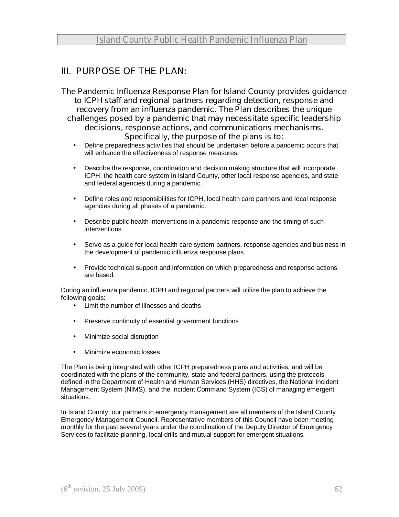# **III. PURPOSE OF THE PLAN:**

**The Pandemic Influenza Response Plan for Island County provides guidance to ICPH staff and regional partners regarding detection, response and recovery from an influenza pandemic. The Plan describes the unique challenges posed by a pandemic that may necessitate specific leadership decisions, response actions, and communications mechanisms. Specifically, the purpose of the plans is to:** 

- Define preparedness activities that should be undertaken before a pandemic occurs that will enhance the effectiveness of response measures.
- Describe the response, coordination and decision making structure that will incorporate ICPH, the health care system in Island County, other local response agencies, and state and federal agencies during a pandemic.
- Define roles and responsibilities for ICPH, local health care partners and local response agencies during all phases of a pandemic.
- Describe public health interventions in a pandemic response and the timing of such interventions.
- Serve as a guide for local health care system partners, response agencies and business in the development of pandemic influenza response plans.
- Provide technical support and information on which preparedness and response actions are based.

During an influenza pandemic, ICPH and regional partners will utilize the plan to achieve the following goals:

- Limit the number of illnesses and deaths
- Preserve continuity of essential government functions
- Minimize social disruption
- Minimize economic losses

The Plan is being integrated with other ICPH preparedness plans and activities, and will be coordinated with the plans of the community, state and federal partners, using the protocols defined in the Department of Health and Human Services (HHS) directives, the National Incident Management System (NIMS), and the Incident Command System (ICS) of managing emergent situations.

In Island County, our partners in emergency management are all members of the Island County Emergency Management Council. Representative members of this Council have been meeting monthly for the past several years under the coordination of the Deputy Director of Emergency Services to facilitate planning, local drills and mutual support for emergent situations.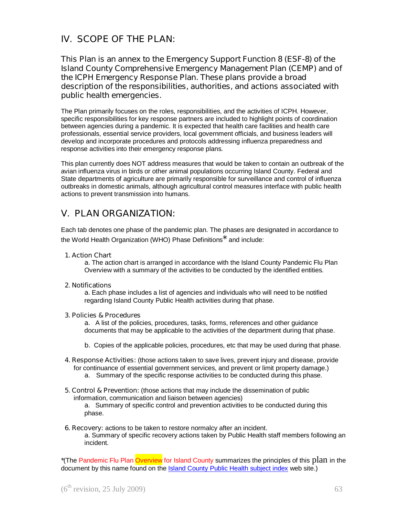# **IV. SCOPE OF THE PLAN:**

#### **This Plan is an annex to the Emergency Support Function 8 (ESF-8) of the Island County Comprehensive Emergency Management Plan (CEMP) and of the ICPH Emergency Response Plan. These plans provide a broad description of the responsibilities, authorities, and actions associated with public health emergencies.**

The Plan primarily focuses on the roles, responsibilities, and the activities of ICPH. However, specific responsibilities for key response partners are included to highlight points of coordination between agencies during a pandemic. It is expected that health care facilities and health care professionals, essential service providers, local government officials, and business leaders will develop and incorporate procedures and protocols addressing influenza preparedness and response activities into their emergency response plans.

This plan currently does NOT address measures that would be taken to contain an outbreak of the avian influenza virus in birds or other animal populations occurring Island County. Federal and State departments of agriculture are primarily responsible for surveillance and control of influenza outbreaks in domestic animals, although agricultural control measures interface with public health actions to prevent transmission into humans.

# **V. PLAN ORGANIZATION:**

Each tab denotes one phase of the pandemic plan. The phases are designated in accordance to the World Health Organization (WHO) Phase Definitions**\*** and include:

#### **1. Action Chart**

**a.** The action chart is arranged in accordance with the Island County Pandemic Flu Plan Overview with a summary of the activities to be conducted by the identified entities.

#### **2. Notifications**

**a.** Each phase includes a list of agencies and individuals who will need to be notified regarding Island County Public Health activities during that phase.

#### **3. Policies & Procedures**

**a.** A list of the policies, procedures, tasks, forms, references and other guidance documents that may be applicable to the activities of the department during that phase.

- **b.** Copies of the applicable policies, procedures, etc that may be used during that phase.
- **4. Response Activities:** (those actions taken to save lives, prevent injury and disease, provide for continuance of essential government services, and prevent or limit property damage.)
	- **a.** Summary of the specific response activities to be conducted during this phase.
- **5. Control & Prevention:** (those actions that may include the dissemination of public information, communication and liaison between agencies)
	- **a.** Summary of specific control and prevention activities to be conducted during this phase.
- **6. Recovery:** actions to be taken to restore normalcy after an incident. **a.** Summary of specific recovery actions taken by Public Health staff members following an incident.

**\***(The Pandemic Flu Plan Overview for Island County summarizes the principles of this plan in the document by this name found on the Island County Public Health subject index web site.)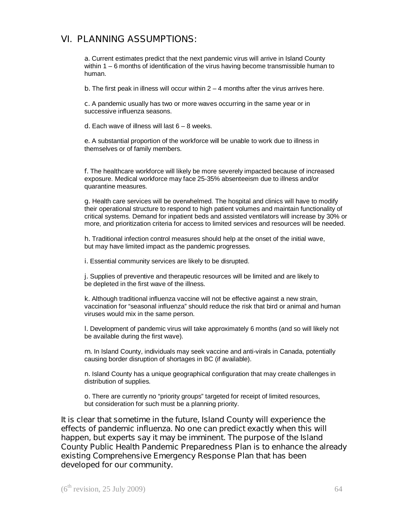# **VI. PLANNING ASSUMPTIONS:**

**a.** Current estimates predict that the next pandemic virus will arrive in Island County within  $1 - 6$  months of identification of the virus having become transmissible human to human.

**b.** The first peak in illness will occur within 2 – 4 months after the virus arrives here.

**c.** A pandemic usually has two or more waves occurring in the same year or in successive influenza seasons.

**d.** Each wave of illness will last 6 – 8 weeks.

**e.** A substantial proportion of the workforce will be unable to work due to illness in themselves or of family members.

**f.** The healthcare workforce will likely be more severely impacted because of increased exposure. Medical workforce may face 25-35% absenteeism due to illness and/or quarantine measures.

**g.** Health care services will be overwhelmed. The hospital and clinics will have to modify their operational structure to respond to high patient volumes and maintain functionality of critical systems. Demand for inpatient beds and assisted ventilators will increase by 30% or more, and prioritization criteria for access to limited services and resources will be needed.

**h.** Traditional infection control measures should help at the onset of the initial wave, but may have limited impact as the pandemic progresses.

**i.** Essential community services are likely to be disrupted.

**j.** Supplies of preventive and therapeutic resources will be limited and are likely to be depleted in the first wave of the illness.

**k.** Although traditional influenza vaccine will not be effective against a new strain, vaccination for "seasonal influenza" should reduce the risk that bird or animal and human viruses would mix in the same person.

**l.** Development of pandemic virus will take approximately 6 months (and so will likely not be available during the first wave).

**m.** In Island County, individuals may seek vaccine and anti-virals in Canada, potentially causing border disruption of shortages in BC (if available).

**n.** Island County has a unique geographical configuration that may create challenges in distribution of supplies.

**o.** There are currently no "priority groups" targeted for receipt of limited resources, but consideration for such must be a planning priority.

**It is clear that sometime in the future, Island County will experience the effects of pandemic influenza. No one can predict exactly when this will happen, but experts say it may be imminent. The purpose of the Island County Public Health Pandemic Preparedness Plan is to enhance the already existing Comprehensive Emergency Response Plan that has been developed for our community.**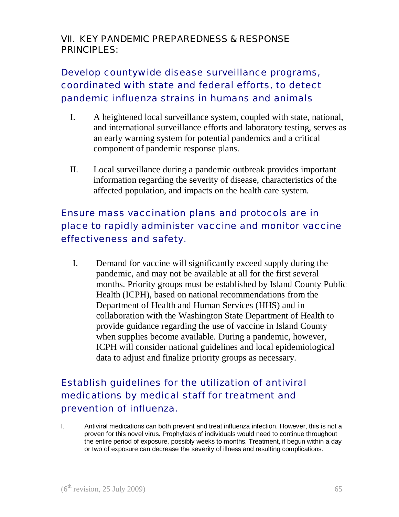# **VII. KEY PANDEMIC PREPAREDNESS & RESPONSE PRINCIPLES:**

# Develop countywide disease surveillance programs, coordinated with state and federal efforts, to detect pandemic influenza strains in humans and animals

- I. A heightened local surveillance system, coupled with state, national, and international surveillance efforts and laboratory testing, serves as an early warning system for potential pandemics and a critical component of pandemic response plans.
- II. Local surveillance during a pandemic outbreak provides important information regarding the severity of disease, characteristics of the affected population, and impacts on the health care system.

# Ensure mass vaccination plans and protocols are in place to rapidly administer vaccine and monitor vaccine effectiveness and safety.

I. Demand for vaccine will significantly exceed supply during the pandemic, and may not be available at all for the first several months. Priority groups must be established by Island County Public Health (ICPH), based on national recommendations from the Department of Health and Human Services (HHS) and in collaboration with the Washington State Department of Health to provide guidance regarding the use of vaccine in Island County when supplies become available. During a pandemic, however, ICPH will consider national guidelines and local epidemiological data to adjust and finalize priority groups as necessary.

# Establish guidelines for the utilization of antiviral medications by medical staff for treatment and prevention of influenza.

I. Antiviral medications can both prevent and treat influenza infection. However, this is not a proven for this novel virus. Prophylaxis of individuals would need to continue throughout the entire period of exposure, possibly weeks to months. Treatment, if begun within a day or two of exposure can decrease the severity of illness and resulting complications.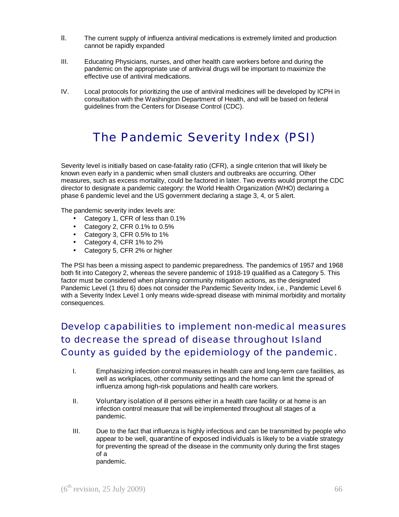- II. The current supply of influenza antiviral medications is extremely limited and production cannot be rapidly expanded
- III. Educating Physicians, nurses, and other health care workers before and during the pandemic on the appropriate use of antiviral drugs will be important to maximize the effective use of antiviral medications.
- IV. Local protocols for prioritizing the use of antiviral medicines will be developed by ICPH in consultation with the Washington Department of Health, and will be based on federal guidelines from the Centers for Disease Control (CDC).

# The Pandemic Severity Index (PSI)

Severity level is initially based on case-fatality ratio (CFR), a single criterion that will likely be known even early in a pandemic when small clusters and outbreaks are occurring. Other measures, such as excess mortality, could be factored in later. Two events would prompt the CDC director to designate a pandemic category: the World Health Organization (WHO) declaring a phase 6 pandemic level and the US government declaring a stage 3, 4, or 5 alert.

The pandemic severity index levels are:

- Category 1, CFR of less than 0.1%
- Category 2, CFR 0.1% to 0.5%
- Category 3, CFR 0.5% to 1%
- Category 4, CFR 1% to 2%
- Category 5, CFR 2% or higher

The PSI has been a missing aspect to pandemic preparedness. The pandemics of 1957 and 1968 both fit into Category 2, whereas the severe pandemic of 1918-19 qualified as a Category 5. This factor must be considered when planning community mitigation actions, as the designated Pandemic Level (1 thru 6) does not consider the Pandemic Severity Index, i.e., Pandemic Level 6 with a Severity Index Level 1 only means wide-spread disease with minimal morbidity and mortality consequences.

# Develop capabilities to implement non-medical measures to decrease the spread of disease throughout Island County as guided by the epidemiology of the pandemic.

- I. Emphasizing infection control measures in health care and long-term care facilities, as well as workplaces, other community settings and the home can limit the spread of influenza among high-risk populations and health care workers.
- II. **Voluntary isolation** of ill persons either in a health care facility or at home is an infection control measure that will be implemented throughout all stages of a pandemic.
- III. Due to the fact that influenza is highly infectious and can be transmitted by people who appear to be well, **quarantine of exposed individuals** is likely to be a viable strategy for preventing the spread of the disease in the community only during the first stages of a pandemic.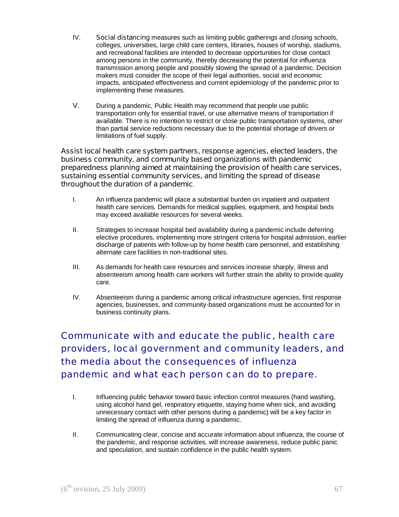- IV. **Social distancing** measures such as limiting public gatherings and closing schools, colleges, universities, large child care centers, libraries, houses of worship, stadiums, and recreational facilities are intended to decrease opportunities for close contact among persons in the community, thereby decreasing the potential for influenza transmission among people and possibly slowing the spread of a pandemic. Decision makers must consider the scope of their legal authorities, social and economic impacts, anticipated effectiveness and current epidemiology of the pandemic prior to implementing these measures.
- V. During a pandemic, Public Health may recommend that people use public transportation only for essential travel, or use alternative means of transportation if available. There is no intention to restrict or close public transportation systems, other than partial service reductions necessary due to the potential shortage of drivers or limitations of fuel supply.

**Assist local health care system partners, response agencies, elected leaders, the business community, and community based organizations with pandemic preparedness planning aimed at maintaining the provision of health care services, sustaining essential community services, and limiting the spread of disease throughout the duration of a pandemic**.

- I. An influenza pandemic will place a substantial burden on inpatient and outpatient health care services. Demands for medical supplies, equipment, and hospital beds may exceed available resources for several weeks.
- II. Strategies to increase hospital bed availability during a pandemic include deferring elective procedures, implementing more stringent criteria for hospital admission, earlier discharge of patients with follow-up by home health care personnel, and establishing alternate care facilities in non-traditional sites.
- III. As demands for health care resources and services increase sharply, illness and absenteeism among health care workers will further strain the ability to provide quality care.
- IV. Absenteeism during a pandemic among critical infrastructure agencies, first response agencies, businesses, and community-based organizations must be accounted for in business continuity plans.

Communicate with and educate the public, health care providers, local government and community leaders, and the media about the consequences of influenza pandemic and what each person can do to prepare.

- I. Influencing public behavior toward basic infection control measures (hand washing, using alcohol hand gel, respiratory etiquette, staying home when sick, and avoiding unnecessary contact with other persons during a pandemic) will be a key factor in limiting the spread of influenza during a pandemic.
- II. Communicating clear, concise and accurate information about influenza, the course of the pandemic, and response activities, will increase awareness, reduce public panic and speculation, and sustain confidence in the public health system.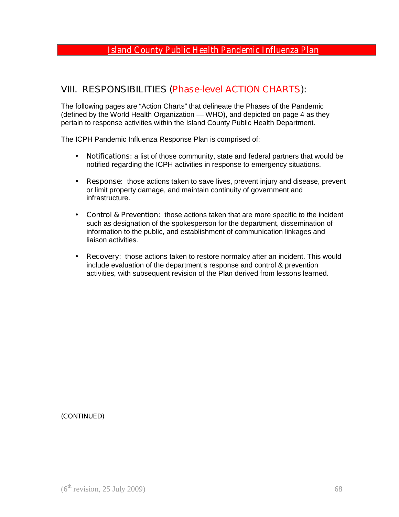# **VIII. RESPONSIBILITIES (Phase-level ACTION CHARTS):**

The following pages are "Action Charts" that delineate the Phases of the Pandemic (defined by the World Health Organization — WHO), and depicted on page 4 as they pertain to response activities within the Island County Public Health Department.

The ICPH Pandemic Influenza Response Plan is comprised of:

- **Notifications:** a list of those community, state and federal partners that would be notified regarding the ICPH activities in response to emergency situations.
- **Response:** those actions taken to save lives, prevent injury and disease, prevent or limit property damage, and maintain continuity of government and infrastructure.
- **Control & Prevention:** those actions taken that are more specific to the incident such as designation of the spokesperson for the department, dissemination of information to the public, and establishment of communication linkages and liaison activities.
- **Recovery:** those actions taken to restore normalcy after an incident. This would include evaluation of the department's response and control & prevention activities, with subsequent revision of the Plan derived from lessons learned.

**(CONTINUED)**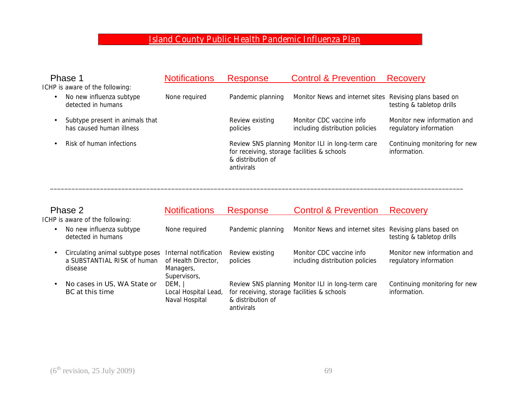| Phase 1                                                     | <b>Notifications</b> | <b>Response</b>                                                                | <b>Control &amp; Prevention</b>                             | Recovery                                              |
|-------------------------------------------------------------|----------------------|--------------------------------------------------------------------------------|-------------------------------------------------------------|-------------------------------------------------------|
| ICHP is aware of the following:                             |                      |                                                                                |                                                             |                                                       |
| No new influenza subtype<br>detected in humans              | None required        | Pandemic planning                                                              | Monitor News and internet sites Revising plans based on     | testing & tabletop drills                             |
| Subtype present in animals that<br>has caused human illness |                      | Review existing<br>policies                                                    | Monitor CDC vaccine info<br>including distribution policies | Monitor new information and<br>regulatory information |
| Risk of human infections                                    |                      | for receiving, storage facilities & schools<br>& distribution of<br>antivirals | Review SNS planning Monitor ILI in long-term care           | Continuing monitoring for new<br>information.         |

\_\_\_\_\_\_\_\_\_\_\_\_\_\_\_\_\_\_\_\_\_\_\_\_\_\_\_\_\_\_\_\_\_\_\_\_\_\_\_\_\_\_\_\_\_\_\_\_\_\_\_\_\_\_\_\_\_\_\_\_\_\_\_\_\_\_\_\_\_\_\_\_\_\_\_\_\_\_\_\_\_\_\_\_\_\_\_\_\_\_\_\_\_\_\_\_\_\_\_\_\_\_\_\_\_\_\_\_\_\_\_\_\_\_\_\_

| Phase 2                                                                    | <b>Notifications</b>                                                      | <b>Response</b>                                                                | <b>Control &amp; Prevention</b>                             | Recovery                                              |
|----------------------------------------------------------------------------|---------------------------------------------------------------------------|--------------------------------------------------------------------------------|-------------------------------------------------------------|-------------------------------------------------------|
| ICHP is aware of the following:                                            |                                                                           |                                                                                |                                                             |                                                       |
| No new influenza subtype<br>detected in humans                             | None required                                                             | Pandemic planning                                                              | Monitor News and internet sites Revising plans based on     | testing & tabletop drills                             |
| Circulating animal subtype poses<br>a SUBSTANTIAL RISK of human<br>disease | Internal notification<br>of Health Director,<br>Managers,<br>Supervisors, | Review existing<br>policies                                                    | Monitor CDC vaccine info<br>including distribution policies | Monitor new information and<br>regulatory information |
| No cases in US, WA State or<br>BC at this time                             | DEM,<br>Local Hospital Lead,<br>Naval Hospital                            | for receiving, storage facilities & schools<br>& distribution of<br>antivirals | Review SNS planning Monitor ILI in long-term care           | Continuing monitoring for new<br>information.         |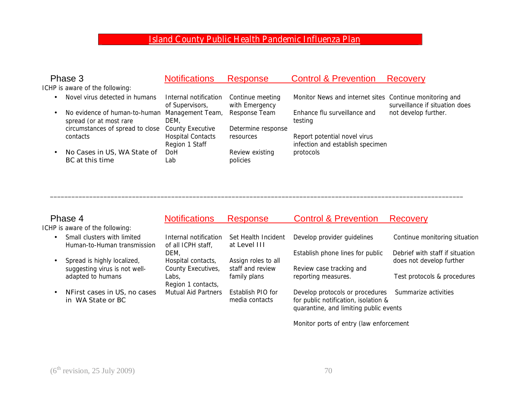| Phase 3                                                                                      | <b>Notifications</b>                                | Response                            | <b>Control &amp; Prevention Recovery</b>                         |                                |
|----------------------------------------------------------------------------------------------|-----------------------------------------------------|-------------------------------------|------------------------------------------------------------------|--------------------------------|
| ICHP is aware of the following:                                                              |                                                     |                                     |                                                                  |                                |
| Novel virus detected in humans                                                               | Internal notification<br>of Supervisors,            | Continue meeting<br>with Emergency  | Monitor News and internet sites Continue monitoring and          | surveillance if situation does |
| No evidence of human-to-human<br>spread (or at most rare<br>circumstances of spread to close | Management Team,<br>DEM.<br><b>County Executive</b> | Response Team<br>Determine response | Enhance flu surveillance and<br>testing                          | not develop further.           |
| contacts                                                                                     | <b>Hospital Contacts</b><br>Region 1 Staff          | resources                           | Report potential novel virus<br>infection and establish specimen |                                |
| No Cases in US, WA State of<br>BC at this time                                               | <b>DoH</b><br>Lab                                   | Review existing<br>policies         | protocols                                                        |                                |

\_\_\_\_\_\_\_\_\_\_\_\_\_\_\_\_\_\_\_\_\_\_\_\_\_\_\_\_\_\_\_\_\_\_\_\_\_\_\_\_\_\_\_\_\_\_\_\_\_\_\_\_\_\_\_\_\_\_\_\_\_\_\_\_\_\_\_\_\_\_\_\_\_\_\_\_\_\_\_\_\_\_\_\_\_\_\_\_\_\_\_\_\_\_\_\_\_\_\_\_\_\_\_\_\_\_\_\_\_\_\_\_\_\_\_\_

| Phase 4                                                    | <b>Notifications</b>                             | Response                            | <b>Control &amp; Prevention</b>                                                                                                        | Recovery                                                    |
|------------------------------------------------------------|--------------------------------------------------|-------------------------------------|----------------------------------------------------------------------------------------------------------------------------------------|-------------------------------------------------------------|
| ICHP is aware of the following:                            |                                                  |                                     |                                                                                                                                        |                                                             |
| Small clusters with limited<br>Human-to-Human transmission | Internal notification<br>of all ICPH staff,      | Set Health Incident<br>at Level III | Develop provider guidelines                                                                                                            | Continue monitoring situation                               |
| Spread is highly localized,                                | DEM.<br>Hospital contacts,                       | Assign roles to all                 | Establish phone lines for public                                                                                                       | Debrief with staff if situation<br>does not develop further |
| suggesting virus is not well-<br>adapted to humans         | County Executives,<br>Labs,                      | staff and review<br>family plans    | Review case tracking and<br>reporting measures.                                                                                        | Test protocols & procedures                                 |
| NFirst cases in US, no cases<br>in WA State or BC          | Region 1 contacts,<br><b>Mutual Aid Partners</b> | Establish PIO for<br>media contacts | Develop protocols or procedures Summarize activities<br>for public notification, isolation &<br>quarantine, and limiting public events |                                                             |
|                                                            |                                                  |                                     | Monitor ports of entry (law enforcement                                                                                                |                                                             |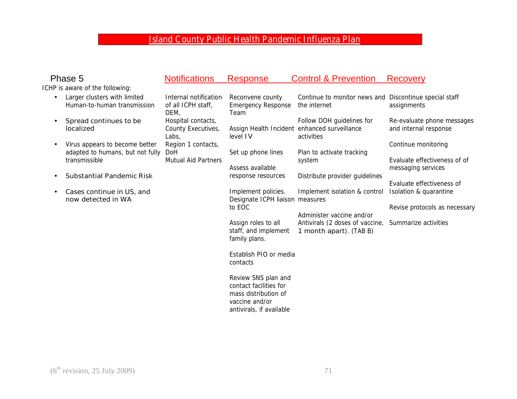|           | Phase 5                                                     | <b>Notifications</b>                                | Response                                                                                                            | <b>Control &amp; Prevention</b>                                        | <b>Recovery</b>                                     |
|-----------|-------------------------------------------------------------|-----------------------------------------------------|---------------------------------------------------------------------------------------------------------------------|------------------------------------------------------------------------|-----------------------------------------------------|
|           | ICHP is aware of the following:                             |                                                     |                                                                                                                     |                                                                        |                                                     |
| $\bullet$ | Larger clusters with limited<br>Human-to-human transmission | Internal notification<br>of all ICPH staff,<br>DEM, | Reconvene county<br><b>Emergency Response</b><br>Team                                                               | Continue to monitor news and Discontinue special staff<br>the internet | assignments                                         |
|           | Spread continues to be<br>localized                         | Hospital contacts,<br>County Executives,<br>Labs,   | Assign Health Incident<br>level IV                                                                                  | Follow DOH guidelines for<br>enhanced surveillance<br>activities       | Re-evaluate phone messages<br>and internal response |
|           | Virus appears to become better                              | Region 1 contacts,                                  |                                                                                                                     |                                                                        | Continue monitoring                                 |
|           | adapted to humans, but not fully                            | DoH                                                 | Set up phone lines                                                                                                  | Plan to activate tracking                                              |                                                     |
|           | transmissible                                               | <b>Mutual Aid Partners</b>                          | Assess available                                                                                                    | system                                                                 | Evaluate effectiveness of of<br>messaging services  |
|           | <b>Substantial Pandemic Risk</b>                            |                                                     | response resources                                                                                                  | Distribute provider guidelines                                         |                                                     |
|           |                                                             |                                                     |                                                                                                                     |                                                                        | Evaluate effectiveness of                           |
|           | Cases continue in US, and<br>now detected in WA             |                                                     | Implement policies.<br>Designate ICPH liaison measures                                                              | Implement isolation & control                                          | Isolation & quarantine                              |
|           |                                                             |                                                     | to EOC                                                                                                              |                                                                        | Revise protocols as necessary                       |
|           |                                                             |                                                     |                                                                                                                     | Administer vaccine and/or                                              |                                                     |
|           |                                                             |                                                     | Assign roles to all<br>staff, and implement<br>family plans.                                                        | Antivirals (2 doses of vaccine,<br>1 month apart). (TAB B)             | Summarize activities                                |
|           |                                                             |                                                     | Establish PIO or media<br>contacts                                                                                  |                                                                        |                                                     |
|           |                                                             |                                                     | Review SNS plan and<br>contact facilities for<br>mass distribution of<br>vaccine and/or<br>antivirals, if available |                                                                        |                                                     |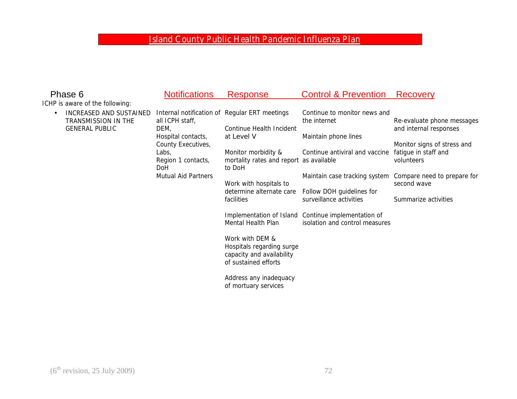| Phase 6                                                                              | <b>Notifications</b>                      | Response                                                                                          | <b>Control &amp; Prevention</b>                                                       | Recovery                                             |
|--------------------------------------------------------------------------------------|-------------------------------------------|---------------------------------------------------------------------------------------------------|---------------------------------------------------------------------------------------|------------------------------------------------------|
| ICHP is aware of the following:                                                      |                                           |                                                                                                   |                                                                                       |                                                      |
| INCREASED AND SUSTAINED<br>$\bullet$<br>TRANSMISSION IN THE<br><b>GENERAL PUBLIC</b> | all ICPH staff,<br>DEM,                   | Internal notification of Regular ERT meetings<br>Continue Health Incident                         | Continue to monitor news and<br>the internet                                          | Re-evaluate phone messages<br>and internal responses |
|                                                                                      | Hospital contacts,                        | at Level V                                                                                        | Maintain phone lines                                                                  |                                                      |
|                                                                                      | County Executives,                        |                                                                                                   |                                                                                       | Monitor signs of stress and                          |
|                                                                                      | Labs,<br>Region 1 contacts,<br><b>DoH</b> | Monitor morbidity &<br>mortality rates and report as available<br>to DoH                          | Continue antiviral and vaccine                                                        | fatigue in staff and<br>volunteers                   |
|                                                                                      | <b>Mutual Aid Partners</b>                | Work with hospitals to                                                                            | Maintain case tracking system                                                         | Compare need to prepare for<br>second wave           |
|                                                                                      |                                           | determine alternate care<br>facilities                                                            | Follow DOH guidelines for<br>surveillance activities                                  | Summarize activities                                 |
|                                                                                      |                                           | Mental Health Plan                                                                                | Implementation of Island Continue implementation of<br>isolation and control measures |                                                      |
|                                                                                      |                                           | Work with DEM &<br>Hospitals regarding surge<br>capacity and availability<br>of sustained efforts |                                                                                       |                                                      |
|                                                                                      |                                           | Address any inadequacy<br>of mortuary services                                                    |                                                                                       |                                                      |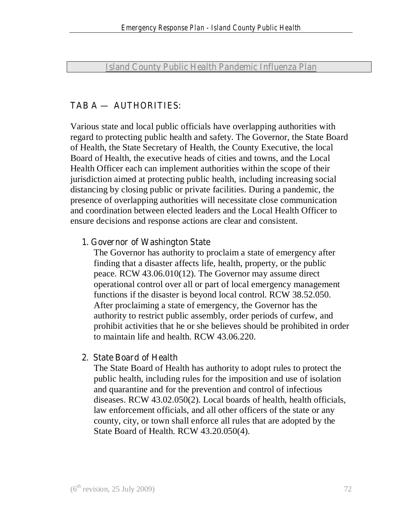**Island County Public Health Pandemic Influenza Plan**

#### **TAB A — AUTHORITIES:**

Various state and local public officials have overlapping authorities with regard to protecting public health and safety. The Governor, the State Board of Health, the State Secretary of Health, the County Executive, the local Board of Health, the executive heads of cities and towns, and the Local Health Officer each can implement authorities within the scope of their jurisdiction aimed at protecting public health, including increasing social distancing by closing public or private facilities. During a pandemic, the presence of overlapping authorities will necessitate close communication and coordination between elected leaders and the Local Health Officer to ensure decisions and response actions are clear and consistent.

#### **1. Governor of Washington State**

The Governor has authority to proclaim a state of emergency after finding that a disaster affects life, health, property, or the public peace. RCW 43.06.010(12). The Governor may assume direct operational control over all or part of local emergency management functions if the disaster is beyond local control. RCW 38.52.050. After proclaiming a state of emergency, the Governor has the authority to restrict public assembly, order periods of curfew, and prohibit activities that he or she believes should be prohibited in order to maintain life and health. RCW 43.06.220.

#### **2. State Board of Health**

The State Board of Health has authority to adopt rules to protect the public health, including rules for the imposition and use of isolation and quarantine and for the prevention and control of infectious diseases. RCW 43.02.050(2). Local boards of health, health officials, law enforcement officials, and all other officers of the state or any county, city, or town shall enforce all rules that are adopted by the State Board of Health. RCW 43.20.050(4).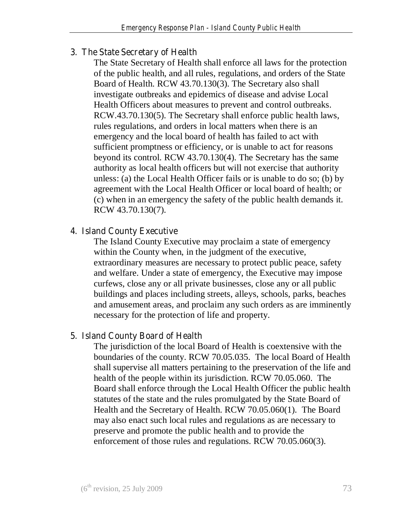#### **3. The State Secretary of Health**

The State Secretary of Health shall enforce all laws for the protection of the public health, and all rules, regulations, and orders of the State Board of Health. RCW 43.70.130(3). The Secretary also shall investigate outbreaks and epidemics of disease and advise Local Health Officers about measures to prevent and control outbreaks. RCW.43.70.130(5). The Secretary shall enforce public health laws, rules regulations, and orders in local matters when there is an emergency and the local board of health has failed to act with sufficient promptness or efficiency, or is unable to act for reasons beyond its control. RCW 43.70.130(4). The Secretary has the same authority as local health officers but will not exercise that authority unless: (a) the Local Health Officer fails or is unable to do so; (b) by agreement with the Local Health Officer or local board of health; or (c) when in an emergency the safety of the public health demands it. RCW 43.70.130(7).

#### **4. Island County Executive**

The Island County Executive may proclaim a state of emergency within the County when, in the judgment of the executive, extraordinary measures are necessary to protect public peace, safety and welfare. Under a state of emergency, the Executive may impose curfews, close any or all private businesses, close any or all public buildings and places including streets, alleys, schools, parks, beaches and amusement areas, and proclaim any such orders as are imminently necessary for the protection of life and property.

#### **5. Island County Board of Health**

The jurisdiction of the local Board of Health is coextensive with the boundaries of the county. RCW 70.05.035. The local Board of Health shall supervise all matters pertaining to the preservation of the life and health of the people within its jurisdiction. RCW 70.05.060. The Board shall enforce through the Local Health Officer the public health statutes of the state and the rules promulgated by the State Board of Health and the Secretary of Health. RCW 70.05.060(1). The Board may also enact such local rules and regulations as are necessary to preserve and promote the public health and to provide the enforcement of those rules and regulations. RCW 70.05.060(3).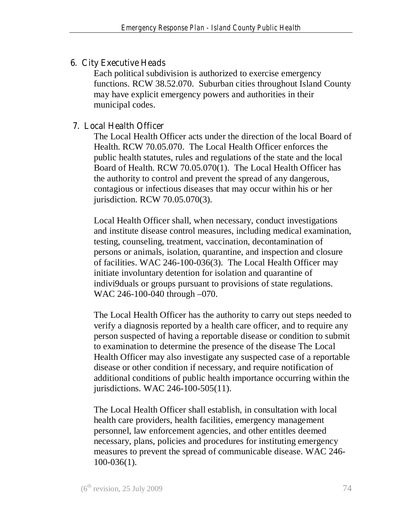#### **6. City Executive Heads**

Each political subdivision is authorized to exercise emergency functions. RCW 38.52.070. Suburban cities throughout Island County may have explicit emergency powers and authorities in their municipal codes.

#### **7. Local Health Officer**

The Local Health Officer acts under the direction of the local Board of Health. RCW 70.05.070. The Local Health Officer enforces the public health statutes, rules and regulations of the state and the local Board of Health. RCW 70.05.070(1). The Local Health Officer has the authority to control and prevent the spread of any dangerous, contagious or infectious diseases that may occur within his or her jurisdiction. RCW 70.05.070(3).

Local Health Officer shall, when necessary, conduct investigations and institute disease control measures, including medical examination, testing, counseling, treatment, vaccination, decontamination of persons or animals, isolation, quarantine, and inspection and closure of facilities. WAC 246-100-036(3). The Local Health Officer may initiate involuntary detention for isolation and quarantine of indivi9duals or groups pursuant to provisions of state regulations. WAC 246-100-040 through –070.

The Local Health Officer has the authority to carry out steps needed to verify a diagnosis reported by a health care officer, and to require any person suspected of having a reportable disease or condition to submit to examination to determine the presence of the disease The Local Health Officer may also investigate any suspected case of a reportable disease or other condition if necessary, and require notification of additional conditions of public health importance occurring within the jurisdictions. WAC 246-100-505(11).

The Local Health Officer shall establish, in consultation with local health care providers, health facilities, emergency management personnel, law enforcement agencies, and other entitles deemed necessary, plans, policies and procedures for instituting emergency measures to prevent the spread of communicable disease. WAC 246- 100-036(1).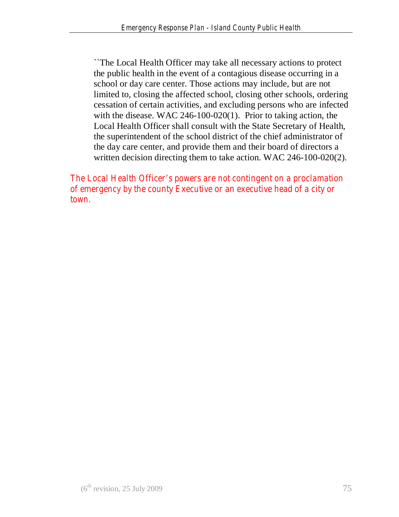``The Local Health Officer may take all necessary actions to protect the public health in the event of a contagious disease occurring in a school or day care center. Those actions may include, but are not limited to, closing the affected school, closing other schools, ordering cessation of certain activities, and excluding persons who are infected with the disease. WAC 246-100-020(1). Prior to taking action, the Local Health Officer shall consult with the State Secretary of Health, the superintendent of the school district of the chief administrator of the day care center, and provide them and their board of directors a written decision directing them to take action. WAC 246-100-020(2).

*The Local Health Officer's powers are not contingent on a proclamation of emergency by the county Executive or an executive head of a city or town.*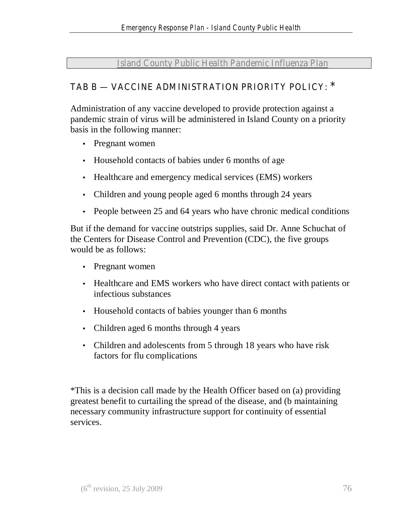**Island County Public Health Pandemic Influenza Plan**

# **TAB B — VACCINE ADMINISTRATION PRIORITY POLICY: \***

Administration of any vaccine developed to provide protection against a pandemic strain of virus will be administered in Island County on a priority basis in the following manner:

- Pregnant women
- Household contacts of babies under 6 months of age
- Healthcare and emergency medical services (EMS) workers
- Children and young people aged 6 months through 24 years
- People between 25 and 64 years who have chronic medical conditions

But if the demand for vaccine outstrips supplies, said Dr. Anne Schuchat of the Centers for Disease Control and Prevention (CDC), the five groups would be as follows:

- Pregnant women
- Healthcare and EMS workers who have direct contact with patients or infectious substances
- Household contacts of babies younger than 6 months
- Children aged 6 months through 4 years
- Children and adolescents from 5 through 18 years who have risk factors for flu complications

\*This is a decision call made by the Health Officer based on (a) providing greatest benefit to curtailing the spread of the disease, and (b maintaining necessary community infrastructure support for continuity of essential services.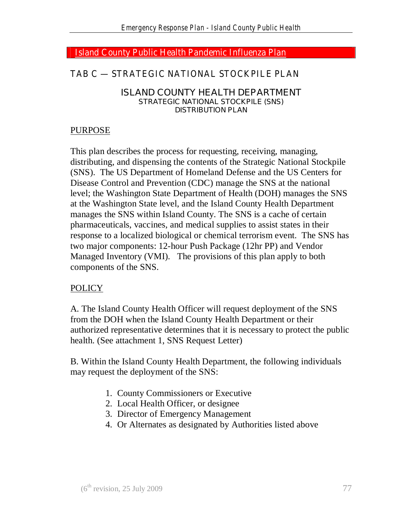#### **Island County Public Health Pandemic Influenza Plan**

#### **TAB C — STRATEGIC NATIONAL STOCKPILE PLAN**

#### **ISLAND COUNTY HEALTH DEPARTMENT STRATEGIC NATIONAL STOCKPILE (SNS) DISTRIBUTION PLAN**

#### PURPOSE

This plan describes the process for requesting, receiving, managing, distributing, and dispensing the contents of the Strategic National Stockpile (SNS). The US Department of Homeland Defense and the US Centers for Disease Control and Prevention (CDC) manage the SNS at the national level; the Washington State Department of Health (DOH) manages the SNS at the Washington State level, and the Island County Health Department manages the SNS within Island County. The SNS is a cache of certain pharmaceuticals, vaccines, and medical supplies to assist states in their response to a localized biological or chemical terrorism event. The SNS has two major components: 12-hour Push Package (12hr PP) and Vendor Managed Inventory (VMI). The provisions of this plan apply to both components of the SNS.

#### POLICY

A. The Island County Health Officer will request deployment of the SNS from the DOH when the Island County Health Department or their authorized representative determines that it is necessary to protect the public health. (See attachment 1, SNS Request Letter)

B. Within the Island County Health Department, the following individuals may request the deployment of the SNS:

- 1. County Commissioners or Executive
- 2. Local Health Officer, or designee
- 3. Director of Emergency Management
- 4. Or Alternates as designated by Authorities listed above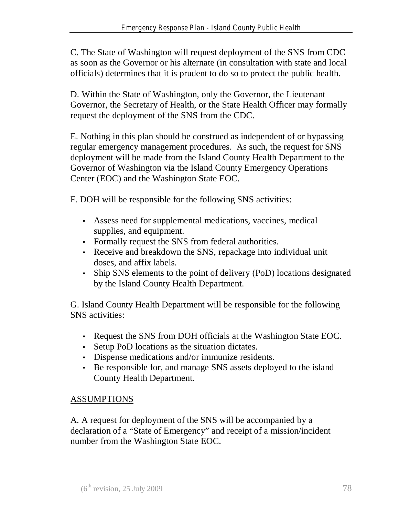C. The State of Washington will request deployment of the SNS from CDC as soon as the Governor or his alternate (in consultation with state and local officials) determines that it is prudent to do so to protect the public health.

D. Within the State of Washington, only the Governor, the Lieutenant Governor, the Secretary of Health, or the State Health Officer may formally request the deployment of the SNS from the CDC.

E. Nothing in this plan should be construed as independent of or bypassing regular emergency management procedures. As such, the request for SNS deployment will be made from the Island County Health Department to the Governor of Washington via the Island County Emergency Operations Center (EOC) and the Washington State EOC.

F. DOH will be responsible for the following SNS activities:

- Assess need for supplemental medications, vaccines, medical supplies, and equipment.
- Formally request the SNS from federal authorities.
- Receive and breakdown the SNS, repackage into individual unit doses, and affix labels.
- Ship SNS elements to the point of delivery (PoD) locations designated by the Island County Health Department.

G. Island County Health Department will be responsible for the following SNS activities:

- Request the SNS from DOH officials at the Washington State EOC.
- Setup PoD locations as the situation dictates.
- Dispense medications and/or immunize residents.
- Be responsible for, and manage SNS assets deployed to the island County Health Department.

#### ASSUMPTIONS

A. A request for deployment of the SNS will be accompanied by a declaration of a "State of Emergency" and receipt of a mission/incident number from the Washington State EOC.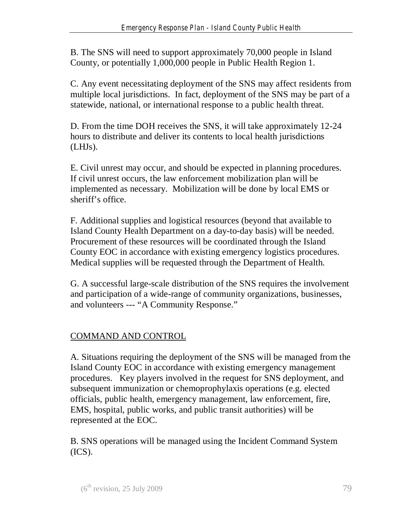B. The SNS will need to support approximately 70,000 people in Island County, or potentially 1,000,000 people in Public Health Region 1.

C. Any event necessitating deployment of the SNS may affect residents from multiple local jurisdictions. In fact, deployment of the SNS may be part of a statewide, national, or international response to a public health threat.

D. From the time DOH receives the SNS, it will take approximately 12-24 hours to distribute and deliver its contents to local health jurisdictions (LHJs).

E. Civil unrest may occur, and should be expected in planning procedures. If civil unrest occurs, the law enforcement mobilization plan will be implemented as necessary. Mobilization will be done by local EMS or sheriff's office.

F. Additional supplies and logistical resources (beyond that available to Island County Health Department on a day-to-day basis) will be needed. Procurement of these resources will be coordinated through the Island County EOC in accordance with existing emergency logistics procedures. Medical supplies will be requested through the Department of Health.

G. A successful large-scale distribution of the SNS requires the involvement and participation of a wide-range of community organizations, businesses, and volunteers --- "A Community Response."

## COMMAND AND CONTROL

A. Situations requiring the deployment of the SNS will be managed from the Island County EOC in accordance with existing emergency management procedures. Key players involved in the request for SNS deployment, and subsequent immunization or chemoprophylaxis operations (e.g. elected officials, public health, emergency management, law enforcement, fire, EMS, hospital, public works, and public transit authorities) will be represented at the EOC.

B. SNS operations will be managed using the Incident Command System  $(ICS).$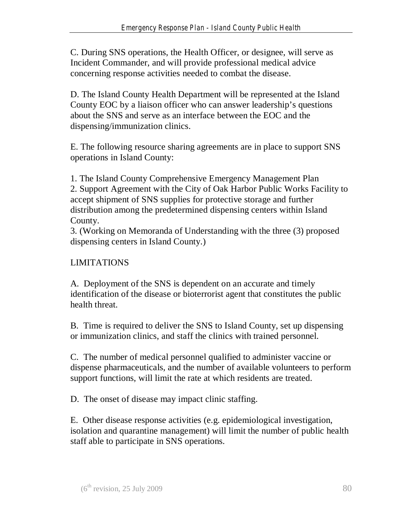C. During SNS operations, the Health Officer, or designee, will serve as Incident Commander, and will provide professional medical advice concerning response activities needed to combat the disease.

D. The Island County Health Department will be represented at the Island County EOC by a liaison officer who can answer leadership's questions about the SNS and serve as an interface between the EOC and the dispensing/immunization clinics.

E. The following resource sharing agreements are in place to support SNS operations in Island County:

1. The Island County Comprehensive Emergency Management Plan 2. Support Agreement with the City of Oak Harbor Public Works Facility to accept shipment of SNS supplies for protective storage and further distribution among the predetermined dispensing centers within Island County.

3. (Working on Memoranda of Understanding with the three (3) proposed dispensing centers in Island County.)

## LIMITATIONS

A. Deployment of the SNS is dependent on an accurate and timely identification of the disease or bioterrorist agent that constitutes the public health threat.

B. Time is required to deliver the SNS to Island County, set up dispensing or immunization clinics, and staff the clinics with trained personnel.

C. The number of medical personnel qualified to administer vaccine or dispense pharmaceuticals, and the number of available volunteers to perform support functions, will limit the rate at which residents are treated.

D. The onset of disease may impact clinic staffing.

E. Other disease response activities (e.g. epidemiological investigation, isolation and quarantine management) will limit the number of public health staff able to participate in SNS operations.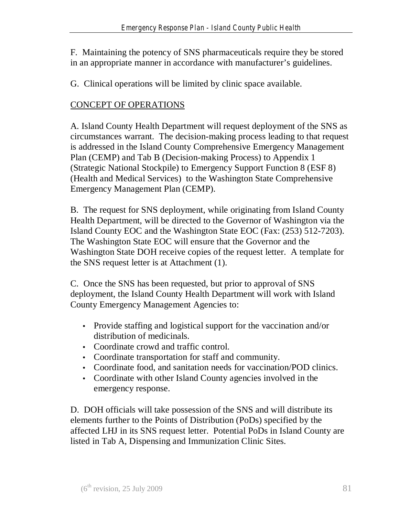F. Maintaining the potency of SNS pharmaceuticals require they be stored in an appropriate manner in accordance with manufacturer's guidelines.

G. Clinical operations will be limited by clinic space available.

### CONCEPT OF OPERATIONS

A. Island County Health Department will request deployment of the SNS as circumstances warrant. The decision-making process leading to that request is addressed in the Island County Comprehensive Emergency Management Plan (CEMP) and Tab B (Decision-making Process) to Appendix 1 (Strategic National Stockpile) to Emergency Support Function 8 (ESF 8) (Health and Medical Services) to the Washington State Comprehensive Emergency Management Plan (CEMP).

B. The request for SNS deployment, while originating from Island County Health Department, will be directed to the Governor of Washington via the Island County EOC and the Washington State EOC (Fax: (253) 512-7203). The Washington State EOC will ensure that the Governor and the Washington State DOH receive copies of the request letter. A template for the SNS request letter is at Attachment (1).

C. Once the SNS has been requested, but prior to approval of SNS deployment, the Island County Health Department will work with Island County Emergency Management Agencies to:

- Provide staffing and logistical support for the vaccination and/or distribution of medicinals.
- Coordinate crowd and traffic control.
- Coordinate transportation for staff and community.
- Coordinate food, and sanitation needs for vaccination/POD clinics.
- Coordinate with other Island County agencies involved in the emergency response.

D. DOH officials will take possession of the SNS and will distribute its elements further to the Points of Distribution (PoDs) specified by the affected LHJ in its SNS request letter. Potential PoDs in Island County are listed in Tab A, Dispensing and Immunization Clinic Sites.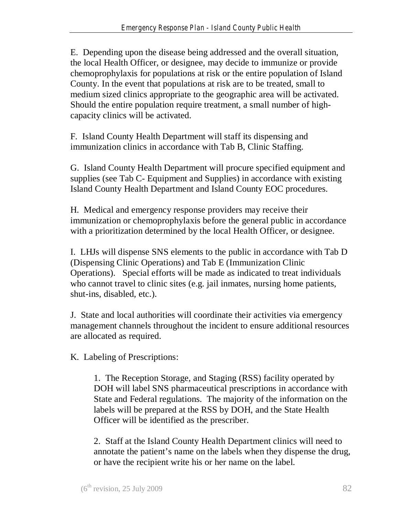E. Depending upon the disease being addressed and the overall situation, the local Health Officer, or designee, may decide to immunize or provide chemoprophylaxis for populations at risk or the entire population of Island County. In the event that populations at risk are to be treated, small to medium sized clinics appropriate to the geographic area will be activated. Should the entire population require treatment, a small number of highcapacity clinics will be activated.

F. Island County Health Department will staff its dispensing and immunization clinics in accordance with Tab B, Clinic Staffing.

G. Island County Health Department will procure specified equipment and supplies (see Tab C- Equipment and Supplies) in accordance with existing Island County Health Department and Island County EOC procedures.

H. Medical and emergency response providers may receive their immunization or chemoprophylaxis before the general public in accordance with a prioritization determined by the local Health Officer, or designee.

I. LHJs will dispense SNS elements to the public in accordance with Tab D (Dispensing Clinic Operations) and Tab E (Immunization Clinic Operations). Special efforts will be made as indicated to treat individuals who cannot travel to clinic sites (e.g. jail inmates, nursing home patients, shut-ins, disabled, etc.).

J. State and local authorities will coordinate their activities via emergency management channels throughout the incident to ensure additional resources are allocated as required.

K. Labeling of Prescriptions:

1. The Reception Storage, and Staging (RSS) facility operated by DOH will label SNS pharmaceutical prescriptions in accordance with State and Federal regulations. The majority of the information on the labels will be prepared at the RSS by DOH, and the State Health Officer will be identified as the prescriber.

2. Staff at the Island County Health Department clinics will need to annotate the patient's name on the labels when they dispense the drug, or have the recipient write his or her name on the label.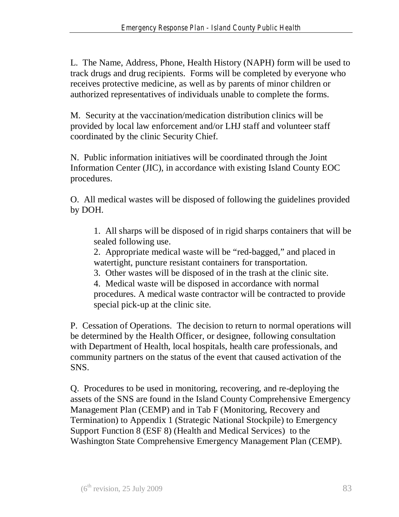L. The Name, Address, Phone, Health History (NAPH) form will be used to track drugs and drug recipients. Forms will be completed by everyone who receives protective medicine, as well as by parents of minor children or authorized representatives of individuals unable to complete the forms.

M. Security at the vaccination/medication distribution clinics will be provided by local law enforcement and/or LHJ staff and volunteer staff coordinated by the clinic Security Chief.

N. Public information initiatives will be coordinated through the Joint Information Center (JIC), in accordance with existing Island County EOC procedures.

O. All medical wastes will be disposed of following the guidelines provided by DOH.

1. All sharps will be disposed of in rigid sharps containers that will be sealed following use.

2. Appropriate medical waste will be "red-bagged," and placed in watertight, puncture resistant containers for transportation.

3. Other wastes will be disposed of in the trash at the clinic site.

4. Medical waste will be disposed in accordance with normal procedures. A medical waste contractor will be contracted to provide special pick-up at the clinic site.

P. Cessation of Operations. The decision to return to normal operations will be determined by the Health Officer, or designee, following consultation with Department of Health, local hospitals, health care professionals, and community partners on the status of the event that caused activation of the SNS.

Q. Procedures to be used in monitoring, recovering, and re-deploying the assets of the SNS are found in the Island County Comprehensive Emergency Management Plan (CEMP) and in Tab F (Monitoring, Recovery and Termination) to Appendix 1 (Strategic National Stockpile) to Emergency Support Function 8 (ESF 8) (Health and Medical Services) to the Washington State Comprehensive Emergency Management Plan (CEMP).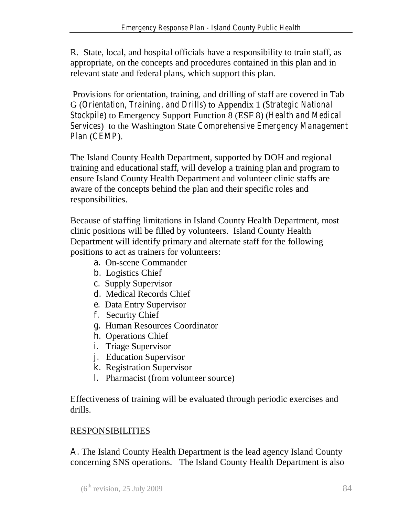R. State, local, and hospital officials have a responsibility to train staff, as appropriate, on the concepts and procedures contained in this plan and in relevant state and federal plans, which support this plan.

Provisions for orientation, training, and drilling of staff are covered in Tab G (*Orientation, Training, and Drills*) to Appendix 1 (*Strategic National Stockpile*) to Emergency Support Function 8 (ESF 8) (*Health and Medical Services*) to the Washington State *Comprehensive Emergency Management Plan* (*CEMP*).

The Island County Health Department, supported by DOH and regional training and educational staff, will develop a training plan and program to ensure Island County Health Department and volunteer clinic staffs are aware of the concepts behind the plan and their specific roles and responsibilities.

Because of staffing limitations in Island County Health Department, most clinic positions will be filled by volunteers. Island County Health Department will identify primary and alternate staff for the following positions to act as trainers for volunteers:

- **a.** On-scene Commander
- **b.** Logistics Chief
- **c.** Supply Supervisor
- **d.** Medical Records Chief
- **e.** Data Entry Supervisor
- **f.** Security Chief
- **g.** Human Resources Coordinator
- **h.** Operations Chief
- **i.** Triage Supervisor
- **j.** Education Supervisor
- **k.** Registration Supervisor
- **l.** Pharmacist (from volunteer source)

Effectiveness of training will be evaluated through periodic exercises and drills.

#### RESPONSIBILITIES

**A.** The Island County Health Department is the lead agency Island County concerning SNS operations. The Island County Health Department is also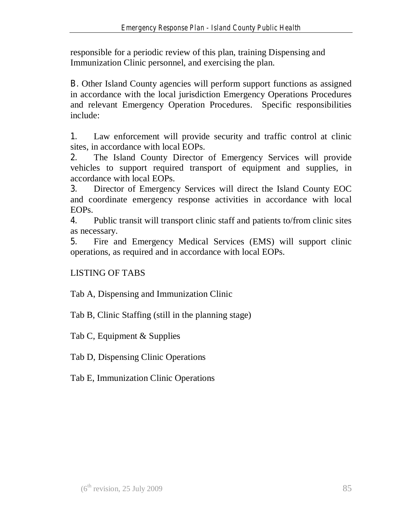responsible for a periodic review of this plan, training Dispensing and Immunization Clinic personnel, and exercising the plan.

**B.** Other Island County agencies will perform support functions as assigned in accordance with the local jurisdiction Emergency Operations Procedures and relevant Emergency Operation Procedures. Specific responsibilities include:

**1.** Law enforcement will provide security and traffic control at clinic sites, in accordance with local EOPs.

**2.** The Island County Director of Emergency Services will provide vehicles to support required transport of equipment and supplies, in accordance with local EOPs.

**3.** Director of Emergency Services will direct the Island County EOC and coordinate emergency response activities in accordance with local EOPs.

**4.** Public transit will transport clinic staff and patients to/from clinic sites as necessary.

**5.** Fire and Emergency Medical Services (EMS) will support clinic operations, as required and in accordance with local EOPs.

LISTING OF TABS

Tab A, Dispensing and Immunization Clinic

Tab B, Clinic Staffing (still in the planning stage)

Tab C, Equipment & Supplies

Tab D, Dispensing Clinic Operations

Tab E, Immunization Clinic Operations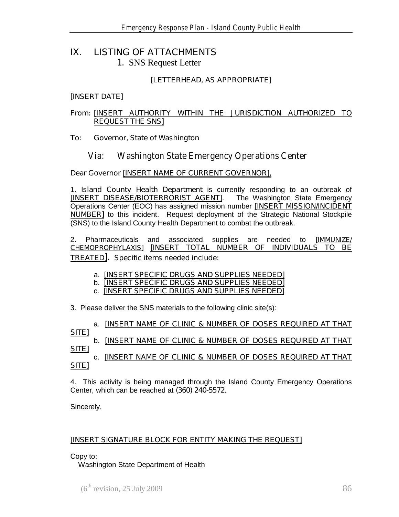#### **IX. LISTING OF ATTACHMENTS**

**1.** SNS Request Letter

#### **[LETTERHEAD, AS APPROPRIATE]**

#### **[INSERT DATE]**

#### **From: [INSERT AUTHORITY WITHIN THE JURISDICTION AUTHORIZED TO REQUEST THE SNS]**

#### **To: Governor, State of Washington**

#### **Via: Washington State Emergency Operations Center**

#### **Dear Governor [INSERT NAME OF CURRENT GOVERNOR],**

1. **Island County Health Department** is currently responding to an outbreak of **[INSERT DISEASE/BIOTERRORIST AGENT]**. The Washington State Emergency Operations Center (EOC) has assigned mission number **[INSERT MISSION/INCIDENT NUMBER]** to this incident. Request deployment of the Strategic National Stockpile (SNS) to the Island County Health Department to combat the outbreak.

2. Pharmaceuticals and associated supplies are needed to **[IMMUNIZE/ CHEMOPROPHYLAXIS] [INSERT TOTAL NUMBER OF INDIVIDUALS TO BE TREATED]. Specific items needed include:** 

- a. **[INSERT SPECIFIC DRUGS AND SUPPLIES NEEDED]**
- b. **[INSERT SPECIFIC DRUGS AND SUPPLIES NEEDED]**
- c. **[INSERT SPECIFIC DRUGS AND SUPPLIES NEEDED]**

3. Please deliver the SNS materials to the following clinic site(s):

#### a. **[INSERT NAME OF CLINIC & NUMBER OF DOSES REQUIRED AT THAT**

**SITE]**

#### b. **[INSERT NAME OF CLINIC & NUMBER OF DOSES REQUIRED AT THAT SITE]**

#### c. **[INSERT NAME OF CLINIC & NUMBER OF DOSES REQUIRED AT THAT SITE]**

4. This activity is being managed through the Island County Emergency Operations Center, which can be reached at **(360) 240-5572**.

Sincerely,

#### **[INSERT SIGNATURE BLOCK FOR ENTITY MAKING THE REQUEST]**

Copy to:

Washington State Department of Health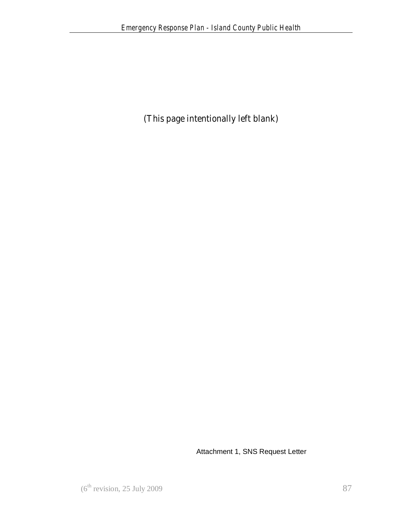**(This page intentionally left blank)** 

Attachment 1, SNS Request Letter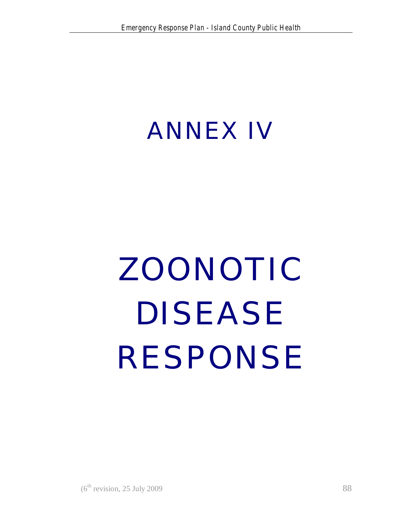# ANNEX IV

# ZOONOTIC DISEASE RESPONSE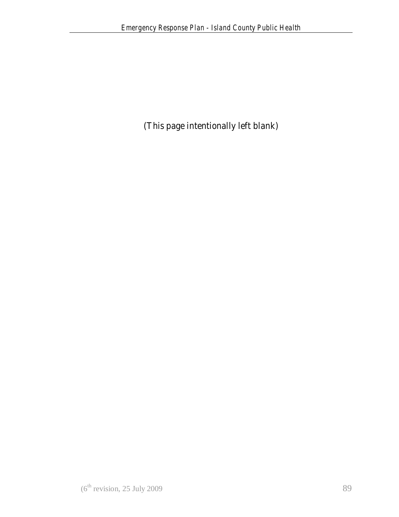# **(This page intentionally left blank)**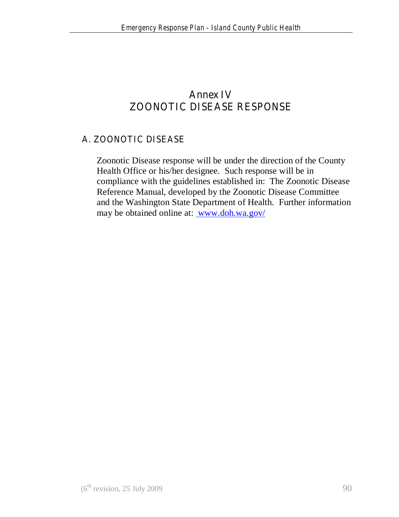# **Annex IV ZOONOTIC DISEASE RESPONSE**

#### **A. ZOONOTIC DISEASE**

Zoonotic Disease response will be under the direction of the County Health Office or his/her designee. Such response will be in compliance with the guidelines established in: The Zoonotic Disease Reference Manual, developed by the Zoonotic Disease Committee and the Washington State Department of Health. Further information may be obtained online at: www.doh.wa.gov/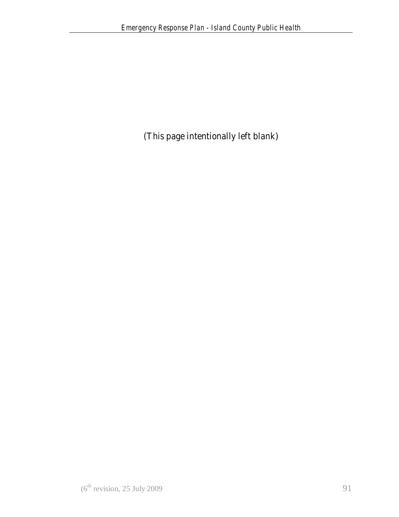**(This page intentionally left blank)**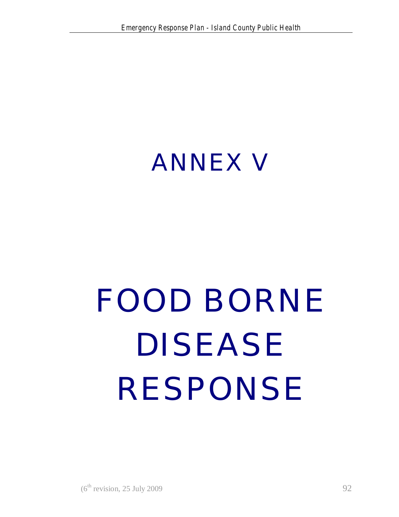# ANNEX V

# FOOD BORNE DISEASE RESPONSE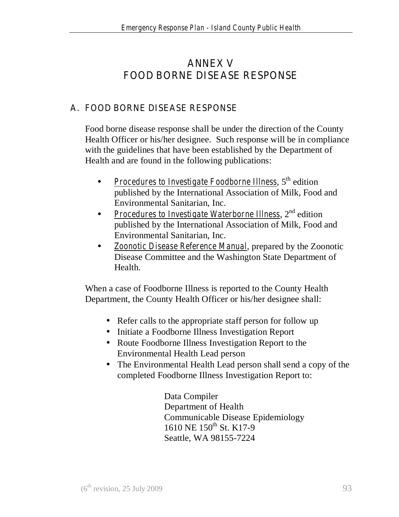# **ANNEX V FOOD BORNE DISEASE RESPONSE**

#### **A. FOOD BORNE DISEASE RESPONSE**

Food borne disease response shall be under the direction of the County Health Officer or his/her designee. Such response will be in compliance with the guidelines that have been established by the Department of Health and are found in the following publications:

- *Procedures to Investigate Foodborne Illness*, 5<sup>th</sup> edition published by the International Association of Milk, Food and Environmental Sanitarian, Inc.
- *Procedures to Investigate Waterborne Illness*, 2<sup>nd</sup> edition published by the International Association of Milk, Food and Environmental Sanitarian, Inc.
- *Zoonotic Disease Reference Manual*, prepared by the Zoonotic Disease Committee and the Washington State Department of Health.

When a case of Foodborne Illness is reported to the County Health Department, the County Health Officer or his/her designee shall:

- Refer calls to the appropriate staff person for follow up
- Initiate a Foodborne Illness Investigation Report
- Route Foodborne Illness Investigation Report to the Environmental Health Lead person
- The Environmental Health Lead person shall send a copy of the completed Foodborne Illness Investigation Report to:

 Data Compiler Department of Health Communicable Disease Epidemiology 1610 NE 150<sup>th</sup> St. K17-9 Seattle, WA 98155-7224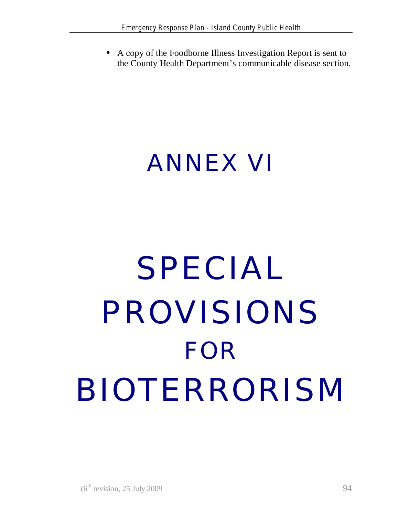• A copy of the Foodborne Illness Investigation Report is sent to the County Health Department's communicable disease section.

# ANNEX VI

# SPECIAL PROVISIONS FOR BIOTERRORISM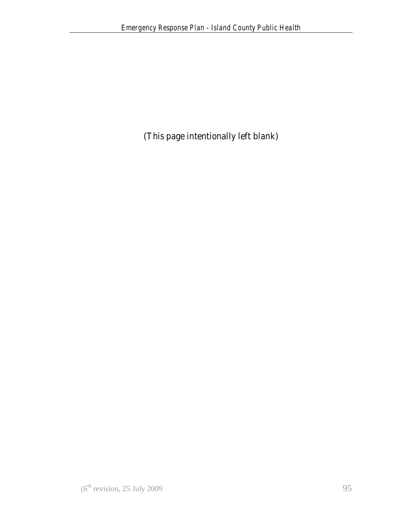**(This page intentionally left blank)**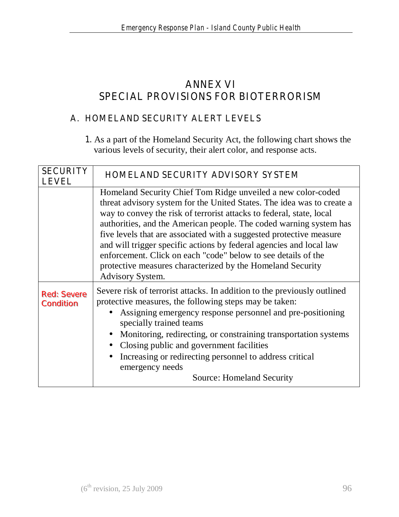# **ANNEX VI SPECIAL PROVISIONS FOR BIOTERRORISM**

#### **A. HOMELAND SECURITY ALERT LEVELS**

**1.** As a part of the Homeland Security Act, the following chart shows the various levels of security, their alert color, and response acts.

| <b>SECURITY</b><br><b>LEVEL</b>        | <b>HOMELAND SECURITY ADVISORY SYSTEM</b>                                                                                                                                                                                                                                                                                                                                                                                                                                                                                                                                                     |
|----------------------------------------|----------------------------------------------------------------------------------------------------------------------------------------------------------------------------------------------------------------------------------------------------------------------------------------------------------------------------------------------------------------------------------------------------------------------------------------------------------------------------------------------------------------------------------------------------------------------------------------------|
|                                        | Homeland Security Chief Tom Ridge unveiled a new color-coded<br>threat advisory system for the United States. The idea was to create a<br>way to convey the risk of terrorist attacks to federal, state, local<br>authorities, and the American people. The coded warning system has<br>five levels that are associated with a suggested protective measure<br>and will trigger specific actions by federal agencies and local law<br>enforcement. Click on each "code" below to see details of the<br>protective measures characterized by the Homeland Security<br><b>Advisory System.</b> |
| <b>Red: Severe</b><br><b>Condition</b> | Severe risk of terrorist attacks. In addition to the previously outlined<br>protective measures, the following steps may be taken:<br>Assigning emergency response personnel and pre-positioning<br>specially trained teams<br>Monitoring, redirecting, or constraining transportation systems<br>Closing public and government facilities<br>Increasing or redirecting personnel to address critical<br>emergency needs<br><b>Source: Homeland Security</b>                                                                                                                                 |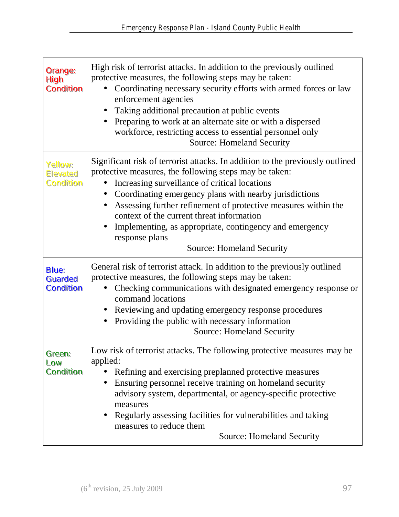| <b>Orange:</b><br>High<br><b>Condition</b>            | High risk of terrorist attacks. In addition to the previously outlined<br>protective measures, the following steps may be taken:<br>Coordinating necessary security efforts with armed forces or law<br>enforcement agencies<br>Taking additional precaution at public events<br>Preparing to work at an alternate site or with a dispersed<br>workforce, restricting access to essential personnel only<br><b>Source: Homeland Security</b>                                                                              |
|-------------------------------------------------------|---------------------------------------------------------------------------------------------------------------------------------------------------------------------------------------------------------------------------------------------------------------------------------------------------------------------------------------------------------------------------------------------------------------------------------------------------------------------------------------------------------------------------|
| <b>Yellow:</b><br><b>Elevated</b><br><b>Condition</b> | Significant risk of terrorist attacks. In addition to the previously outlined<br>protective measures, the following steps may be taken:<br>Increasing surveillance of critical locations<br>Coordinating emergency plans with nearby jurisdictions<br>$\bullet$<br>Assessing further refinement of protective measures within the<br>$\bullet$<br>context of the current threat information<br>Implementing, as appropriate, contingency and emergency<br>$\bullet$<br>response plans<br><b>Source: Homeland Security</b> |
| <b>Blue:</b><br><b>Guarded</b><br><b>Condition</b>    | General risk of terrorist attack. In addition to the previously outlined<br>protective measures, the following steps may be taken:<br>Checking communications with designated emergency response or<br>$\bullet$<br>command locations<br>Reviewing and updating emergency response procedures<br>Providing the public with necessary information<br><b>Source: Homeland Security</b>                                                                                                                                      |
| Green:<br>Low<br><b>Condition</b>                     | Low risk of terrorist attacks. The following protective measures may be<br>applied:<br>Refining and exercising preplanned protective measures<br>Ensuring personnel receive training on homeland security<br>$\bullet$<br>advisory system, departmental, or agency-specific protective<br>measures<br>Regularly assessing facilities for vulnerabilities and taking<br>measures to reduce them<br><b>Source: Homeland Security</b>                                                                                        |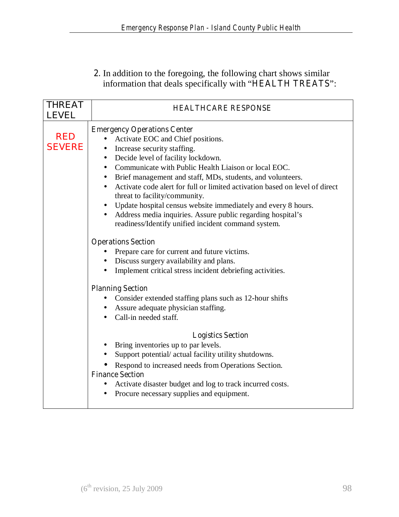#### **2.** In addition to the foregoing, the following chart shows similar information that deals specifically with "**HEALTH TREATS**":

| <b>THREAT</b><br><b>LEVEL</b> | <b>HEALTHCARE RESPONSE</b>                                                                                                                                                                                                                                                                                                                                                                                                                                                                                                                                                                                       |
|-------------------------------|------------------------------------------------------------------------------------------------------------------------------------------------------------------------------------------------------------------------------------------------------------------------------------------------------------------------------------------------------------------------------------------------------------------------------------------------------------------------------------------------------------------------------------------------------------------------------------------------------------------|
| <b>RED</b><br><b>SEVERE</b>   | <b>Emergency Operations Center</b><br>Activate EOC and Chief positions.<br>Increase security staffing.<br>$\bullet$<br>Decide level of facility lockdown.<br>Communicate with Public Health Liaison or local EOC.<br>Brief management and staff, MDs, students, and volunteers.<br>$\bullet$<br>Activate code alert for full or limited activation based on level of direct<br>threat to facility/community.<br>Update hospital census website immediately and every 8 hours.<br>Address media inquiries. Assure public regarding hospital's<br>$\bullet$<br>readiness/Identify unified incident command system. |
|                               | <b>Operations Section</b><br>Prepare care for current and future victims.<br>Discuss surgery availability and plans.<br>Implement critical stress incident debriefing activities.<br><b>Planning Section</b><br>Consider extended staffing plans such as 12-hour shifts                                                                                                                                                                                                                                                                                                                                          |
|                               | Assure adequate physician staffing.<br>Call-in needed staff.<br><b>Logistics Section</b><br>Bring inventories up to par levels.<br>Support potential/actual facility utility shutdowns.<br>Respond to increased needs from Operations Section.<br><b>Finance Section</b><br>Activate disaster budget and log to track incurred costs.<br>Procure necessary supplies and equipment.                                                                                                                                                                                                                               |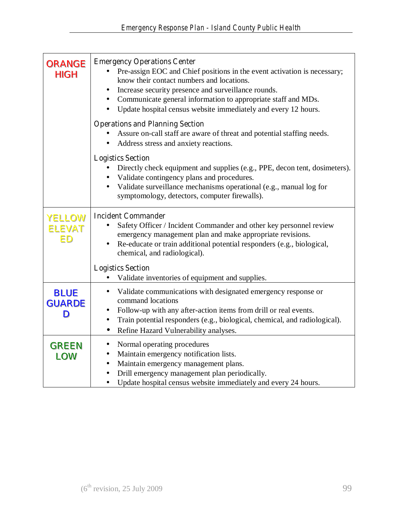| <b>ORANGE</b><br><b>HIGH</b>      | <b>Emergency Operations Center</b><br>Pre-assign EOC and Chief positions in the event activation is necessary;<br>know their contact numbers and locations.<br>Increase security presence and surveillance rounds.<br>$\bullet$<br>Communicate general information to appropriate staff and MDs.<br>$\bullet$<br>Update hospital census website immediately and every 12 hours.<br>$\bullet$ |
|-----------------------------------|----------------------------------------------------------------------------------------------------------------------------------------------------------------------------------------------------------------------------------------------------------------------------------------------------------------------------------------------------------------------------------------------|
|                                   | <b>Operations and Planning Section</b><br>Assure on-call staff are aware of threat and potential staffing needs.<br>Address stress and anxiety reactions.                                                                                                                                                                                                                                    |
|                                   | <b>Logistics Section</b><br>Directly check equipment and supplies (e.g., PPE, decon tent, dosimeters).<br>$\bullet$<br>• Validate contingency plans and procedures.<br>• Validate surveillance mechanisms operational (e.g., manual log for<br>symptomology, detectors, computer firewalls).                                                                                                 |
| YELLOW<br><b>ELEVAT</b><br>ED     | <b>Incident Commander</b><br>Safety Officer / Incident Commander and other key personnel review<br>emergency management plan and make appropriate revisions.<br>Re-educate or train additional potential responders (e.g., biological,<br>chemical, and radiological).                                                                                                                       |
|                                   | <b>Logistics Section</b><br>Validate inventories of equipment and supplies.                                                                                                                                                                                                                                                                                                                  |
| <b>BLUE</b><br><b>GUARDE</b><br>D | Validate communications with designated emergency response or<br>$\bullet$<br>command locations<br>Follow-up with any after-action items from drill or real events.<br>$\bullet$<br>Train potential responders (e.g., biological, chemical, and radiological).<br>$\bullet$<br>Refine Hazard Vulnerability analyses.<br>$\bullet$                                                            |
| <b>GREEN</b><br><b>LOW</b>        | Normal operating procedures<br>$\bullet$<br>Maintain emergency notification lists.<br>$\bullet$<br>Maintain emergency management plans.<br>$\bullet$<br>Drill emergency management plan periodically.<br>$\bullet$<br>Update hospital census website immediately and every 24 hours.                                                                                                         |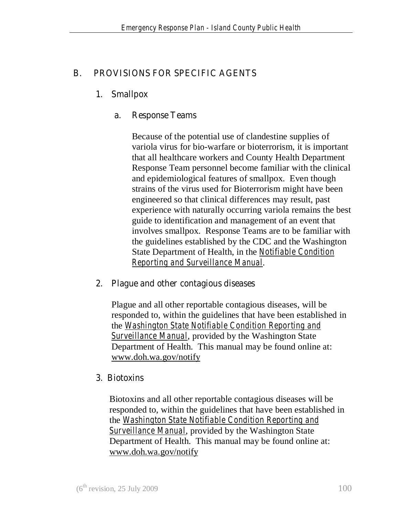## **B. PROVISIONS FOR SPECIFIC AGENTS**

# **1. Smallpox**

## **a. Response Teams**

Because of the potential use of clandestine supplies of variola virus for bio-warfare or bioterrorism, it is important that all healthcare workers and County Health Department Response Team personnel become familiar with the clinical and epidemiological features of smallpox. Even though strains of the virus used for Bioterrorism might have been engineered so that clinical differences may result, past experience with naturally occurring variola remains the best guide to identification and management of an event that involves smallpox. Response Teams are to be familiar with the guidelines established by the CDC and the Washington State Department of Health, in the *Notifiable Condition Reporting and Surveillance Manual*.

## **2. Plague and other contagious diseases**

Plague and all other reportable contagious diseases, will be responded to, within the guidelines that have been established in the *Washington State Notifiable Condition Reporting and Surveillance Manual*, provided by the Washington State Department of Health. This manual may be found online at: www.doh.wa.gov/notify

## **3. Biotoxins**

Biotoxins and all other reportable contagious diseases will be responded to, within the guidelines that have been established in the *Washington State Notifiable Condition Reporting and Surveillance Manual*, provided by the Washington State Department of Health. This manual may be found online at: www.doh.wa.gov/notify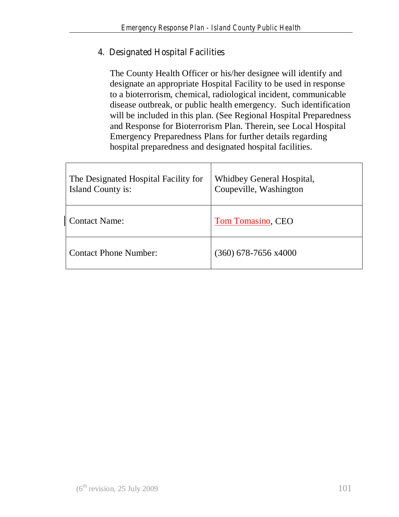#### **4. Designated Hospital Facilities**

The County Health Officer or his/her designee will identify and designate an appropriate Hospital Facility to be used in response to a bioterrorism, chemical, radiological incident, communicable disease outbreak, or public health emergency. Such identification will be included in this plan. (See Regional Hospital Preparedness and Response for Bioterrorism Plan. Therein, see Local Hospital Emergency Preparedness Plans for further details regarding hospital preparedness and designated hospital facilities.

| The Designated Hospital Facility for<br>Island County is: | Whidbey General Hospital,<br>Coupeville, Washington |
|-----------------------------------------------------------|-----------------------------------------------------|
| <b>Contact Name:</b>                                      | <b>Tom Tomasino, CEO</b>                            |
| <b>Contact Phone Number:</b>                              | $(360)$ 678-7656 x4000                              |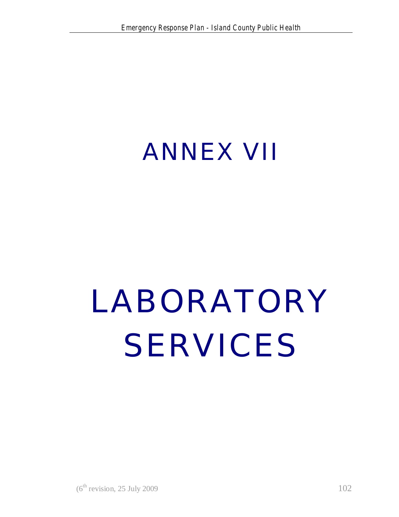# ANNEX VII

# LABORATORY SERVICES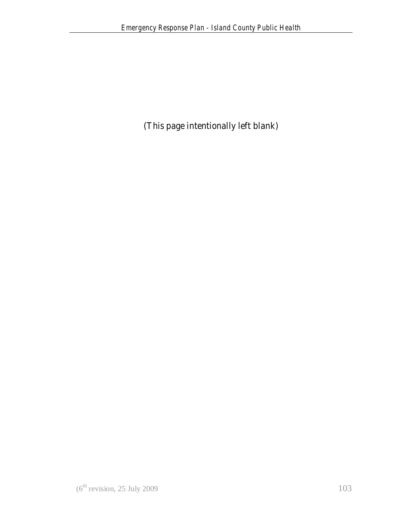# **(This page intentionally left blank)**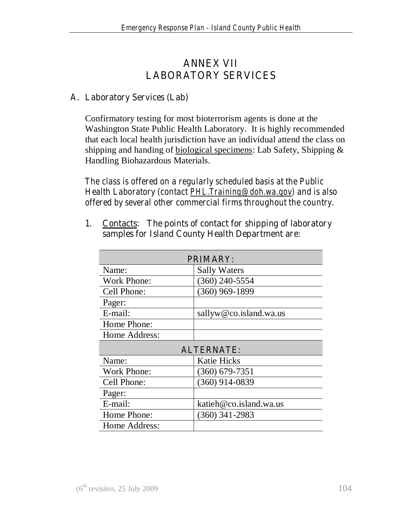# **ANNEX VII LABORATORY SERVICES**

#### **A. Laboratory Services (Lab)**

Confirmatory testing for most bioterrorism agents is done at the Washington State Public Health Laboratory. It is highly recommended that each local health jurisdiction have an individual attend the class on shipping and handing of biological specimens: Lab Safety, Shipping & Handling Biohazardous Materials.

*The class is offered on a regularly scheduled basis at the Public Health Laboratory (contact PHL.Training@doh.wa.gov) and is also offered by several other commercial firms throughout the country***.** 

| <b>PRIMARY:</b>    |                        |  |  |
|--------------------|------------------------|--|--|
| Name:              | <b>Sally Waters</b>    |  |  |
| Work Phone:        | $(360)$ 240-5554       |  |  |
| Cell Phone:        | (360) 969-1899         |  |  |
| Pager:             |                        |  |  |
| E-mail:            | sallyw@co.island.wa.us |  |  |
| Home Phone:        |                        |  |  |
| Home Address:      |                        |  |  |
| <b>ALTERNATE:</b>  |                        |  |  |
| Name:              | <b>Katie Hicks</b>     |  |  |
| <b>Work Phone:</b> | $(360)$ 679-7351       |  |  |
| Cell Phone:        | $(360)$ 914-0839       |  |  |
| Pager:             |                        |  |  |
| E-mail:            | katieh@co.island.wa.us |  |  |
|                    |                        |  |  |
| Home Phone:        | $(360)$ 341-2983       |  |  |

**1. Contacts: The points of contact for shipping of laboratory samples for Island County Health Department are***:*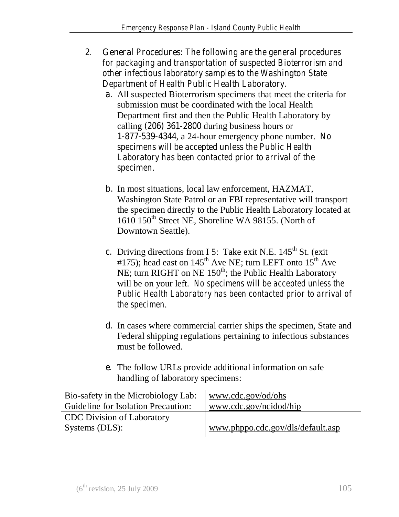- **2. General Procedures:** *The following are the general procedures for packaging and transportation of suspected Bioterrorism and other infectious laboratory samples to the Washington State Department of Health Public Health Laboratory.* 
	- **a.** All suspected Bioterrorism specimens that meet the criteria for submission must be coordinated with the local Health Department first and then the Public Health Laboratory by calling **(206) 361-2800** during business hours or **1-877-539-4344**, a 24-hour emergency phone number.*No specimens will be accepted unless the Public Health Laboratory has been contacted prior to arrival of the specimen*.
	- **b.** In most situations, local law enforcement, HAZMAT, Washington State Patrol or an FBI representative will transport the specimen directly to the Public Health Laboratory located at 1610 150<sup>th</sup> Street NE, Shoreline WA 98155. (North of Downtown Seattle).
	- **c.** Driving directions from I 5: Take exit N.E. 145<sup>th</sup> St. (exit #175); head east on 145<sup>th</sup> Ave NE; turn LEFT onto  $15^{th}$  Ave NE; turn RIGHT on NE  $150<sup>th</sup>$ ; the Public Health Laboratory will be on your left.*No specimens will be accepted unless the Public Health Laboratory has been contacted prior to arrival of the specimen*.
	- **d.** In cases where commercial carrier ships the specimen, State and Federal shipping regulations pertaining to infectious substances must be followed.
	- **e.** The follow URLs provide additional information on safe handling of laboratory specimens:

| Bio-safety in the Microbiology Lab:        | www.cdc.gov/od/ohs                |
|--------------------------------------------|-----------------------------------|
| <b>Guideline for Isolation Precaution:</b> | www.cdc.gov/ncidod/hip            |
| <b>CDC</b> Division of Laboratory          |                                   |
| Systems (DLS):                             | www.phppo.cdc.gov/dls/default.asp |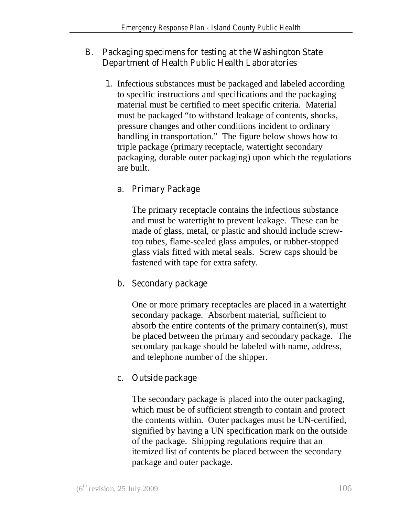#### **B. Packaging specimens for testing at the Washington State Department of Health Public Health Laboratories**

**1.** Infectious substances must be packaged and labeled according to specific instructions and specifications and the packaging material must be certified to meet specific criteria. Material must be packaged "to withstand leakage of contents, shocks, pressure changes and other conditions incident to ordinary handling in transportation." The figure below shows how to triple package (primary receptacle, watertight secondary packaging, durable outer packaging) upon which the regulations are built.

# **a. Primary Package**

The primary receptacle contains the infectious substance and must be watertight to prevent leakage. These can be made of glass, metal, or plastic and should include screwtop tubes, flame-sealed glass ampules, or rubber-stopped glass vials fitted with metal seals. Screw caps should be fastened with tape for extra safety.

## **b. Secondary package**

One or more primary receptacles are placed in a watertight secondary package. Absorbent material, sufficient to absorb the entire contents of the primary container(s), must be placed between the primary and secondary package. The secondary package should be labeled with name, address, and telephone number of the shipper.

# **c. Outside package**

The secondary package is placed into the outer packaging, which must be of sufficient strength to contain and protect the contents within. Outer packages must be UN-certified, signified by having a UN specification mark on the outside of the package. Shipping regulations require that an itemized list of contents be placed between the secondary package and outer package**.**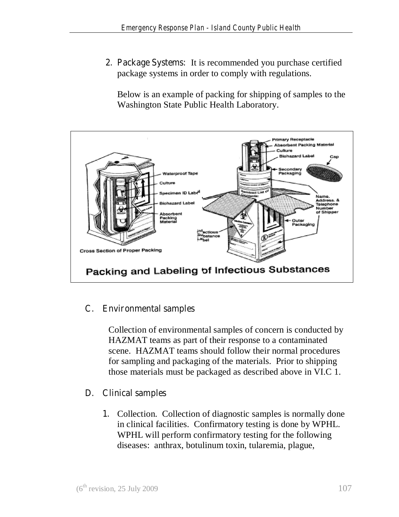**2. Package Systems:** It is recommended you purchase certified package systems in order to comply with regulations.

Below is an example of packing for shipping of samples to the Washington State Public Health Laboratory.



#### **C. Environmental samples**

 Collection of environmental samples of concern is conducted by HAZMAT teams as part of their response to a contaminated scene. HAZMAT teams should follow their normal procedures for sampling and packaging of the materials. Prior to shipping those materials must be packaged as described above in VI.C 1.

#### **D. Clinical samples**

**1.** Collection. Collection of diagnostic samples is normally done in clinical facilities. Confirmatory testing is done by WPHL. WPHL will perform confirmatory testing for the following diseases: anthrax, botulinum toxin, tularemia, plague,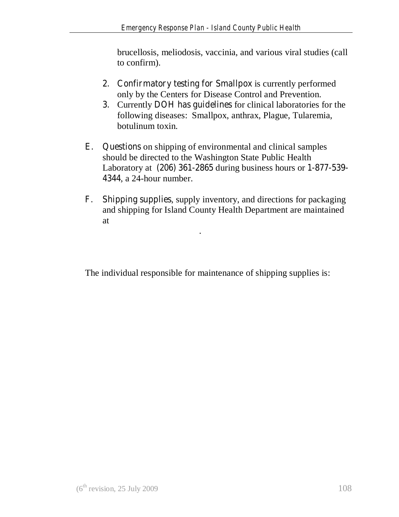brucellosis, meliodosis, vaccinia, and various viral studies (call to confirm).

- **2. Confirmatory testing for Smallpox** is currently performed only by the Centers for Disease Control and Prevention.
- **3.** Currently **DOH has guidelines** for clinical laboratories for the following diseases: Smallpox, anthrax, Plague, Tularemia, botulinum toxin.
- **E. Questions** on shipping of environmental and clinical samples should be directed to the Washington State Public Health Laboratory at **(206) 361-2865** during business hours or **1-877-539- 4344**, a 24-hour number.
- **F. Shipping supplies**, supply inventory, and directions for packaging and shipping for Island County Health Department are maintained at

The individual responsible for maintenance of shipping supplies is:

.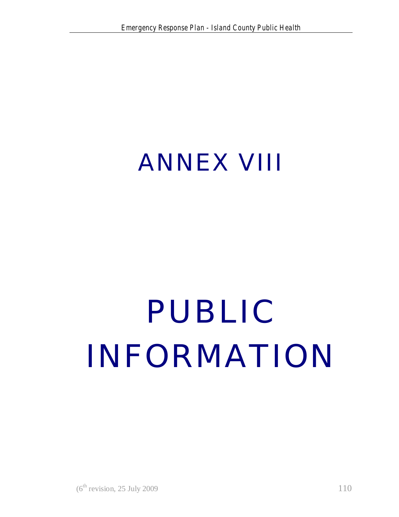# ANNEX VIII

# PUBLIC INFORMATION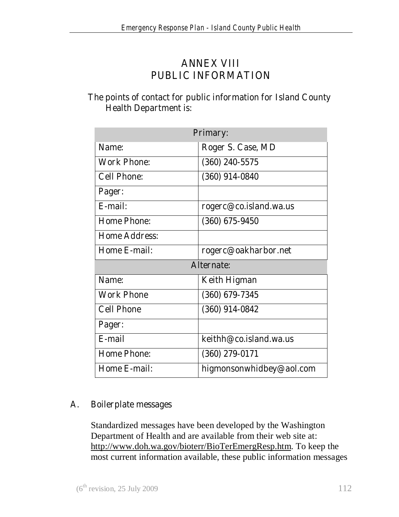#### **ANNEX VIII PUBLIC INFORMATION**

#### **The points of contact for public information for Island County Health Department is:**

| <b>Primary:</b>      |                          |  |  |  |
|----------------------|--------------------------|--|--|--|
| Name:                | Roger S. Case, MD        |  |  |  |
| <b>Work Phone:</b>   | $(360)$ 240-5575         |  |  |  |
| <b>Cell Phone:</b>   | $(360)$ 914-0840         |  |  |  |
| Pager:               |                          |  |  |  |
| E-mail:              | rogerc@co.island.wa.us   |  |  |  |
| <b>Home Phone:</b>   | $(360)$ 675-9450         |  |  |  |
| <b>Home Address:</b> |                          |  |  |  |
| <b>Home E-mail:</b>  | rogerc@oakharbor.net     |  |  |  |
| Alternate:           |                          |  |  |  |
| Name:                | <b>Keith Higman</b>      |  |  |  |
| <b>Work Phone</b>    | $(360)$ 679-7345         |  |  |  |
| <b>Cell Phone</b>    | $(360)$ 914-0842         |  |  |  |
| Pager:               |                          |  |  |  |
| E-mail               | keithh@co.island.wa.us   |  |  |  |
| <b>Home Phone:</b>   | $(360)$ 279-0171         |  |  |  |
| <b>Home E-mail:</b>  | higmonsonwhidbey@aol.com |  |  |  |

#### **A. Boilerplate messages**

Standardized messages have been developed by the Washington Department of Health and are available from their web site at: http://www.doh.wa.gov/bioterr/BioTerEmergResp.htm. To keep the most current information available, these public information messages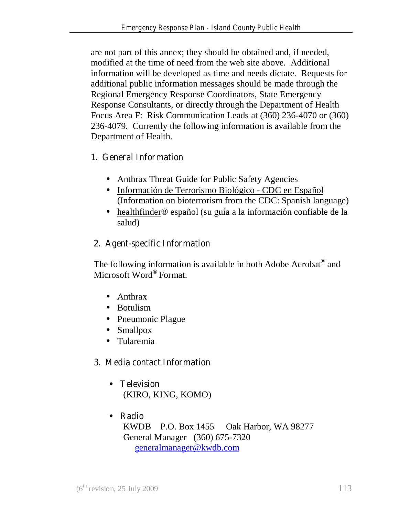are not part of this annex; they should be obtained and, if needed, modified at the time of need from the web site above. Additional information will be developed as time and needs dictate. Requests for additional public information messages should be made through the Regional Emergency Response Coordinators, State Emergency Response Consultants, or directly through the Department of Health Focus Area F: Risk Communication Leads at (360) 236-4070 or (360) 236-4079. Currently the following information is available from the Department of Health.

#### **1. General Information**

- Anthrax Threat Guide for Public Safety Agencies
- Información de Terrorismo Biológico CDC en Español (Information on bioterrorism from the CDC: Spanish language)
- healthfinder® español (su guía a la información confiable de la salud)

#### **2. Agent-specific Information**

The following information is available in both Adobe Acrobat<sup>®</sup> and Microsoft Word® Format.

- Anthrax
- Botulism
- Pneumonic Plague
- Smallpox
- Tularemia

#### **3. Media contact Information**

- **Television** (KIRO, KING, KOMO)
- **Radio**

KWDB P.O. Box 1455 Oak Harbor, WA 98277 General Manager (360) 675-7320 generalmanager@kwdb.com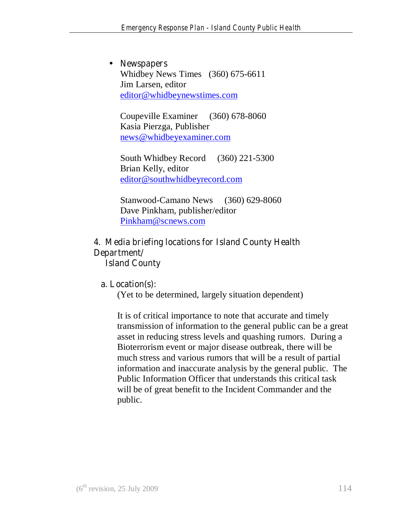#### • **Newspapers** Whidbey News Times (360) 675-6611 Jim Larsen, editor editor@whidbeynewstimes.com

Coupeville Examiner (360) 678-8060 Kasia Pierzga, Publisher news@whidbeyexaminer.com

South Whidbey Record (360) 221-5300 Brian Kelly, editor editor@southwhidbeyrecord.com

Stanwood-Camano News (360) 629-8060 Dave Pinkham, publisher/editor Pinkham@scnews.com

#### **4. Media briefing locations for Island County Health Department/ Island County**

#### **a. Location(s):**

(Yet to be determined, largely situation dependent)

It is of critical importance to note that accurate and timely transmission of information to the general public can be a great asset in reducing stress levels and quashing rumors. During a Bioterrorism event or major disease outbreak, there will be much stress and various rumors that will be a result of partial information and inaccurate analysis by the general public. The Public Information Officer that understands this critical task will be of great benefit to the Incident Commander and the public.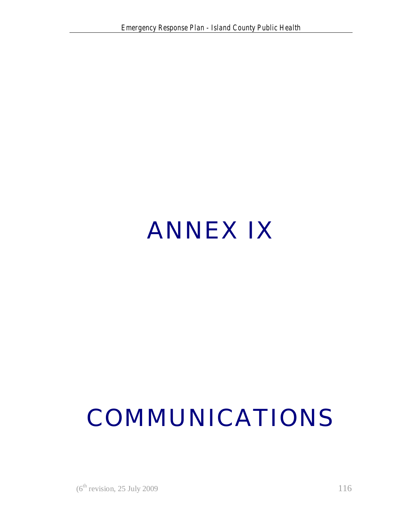# ANNEX IX

# COMMUNICATIONS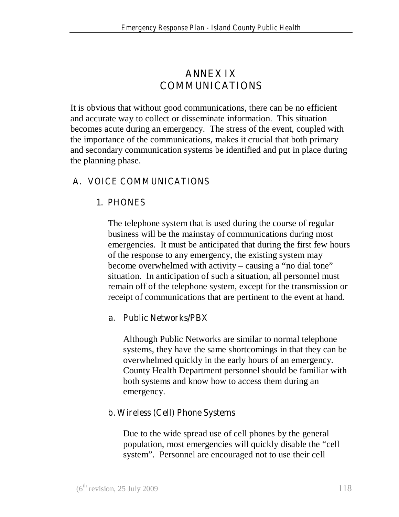### **ANNEX IX COMMUNICATIONS**

It is obvious that without good communications, there can be no efficient and accurate way to collect or disseminate information. This situation becomes acute during an emergency. The stress of the event, coupled with the importance of the communications, makes it crucial that both primary and secondary communication systems be identified and put in place during the planning phase.

#### **A. VOICE COMMUNICATIONS**

#### **1. PHONES**

The telephone system that is used during the course of regular business will be the mainstay of communications during most emergencies. It must be anticipated that during the first few hours of the response to any emergency, the existing system may become overwhelmed with activity – causing a "no dial tone" situation. In anticipation of such a situation, all personnel must remain off of the telephone system, except for the transmission or receipt of communications that are pertinent to the event at hand.

#### **a. Public Networks/PBX**

Although Public Networks are similar to normal telephone systems, they have the same shortcomings in that they can be overwhelmed quickly in the early hours of an emergency. County Health Department personnel should be familiar with both systems and know how to access them during an emergency.

#### **b. Wireless (Cell) Phone Systems**

Due to the wide spread use of cell phones by the general population, most emergencies will quickly disable the "cell system". Personnel are encouraged not to use their cell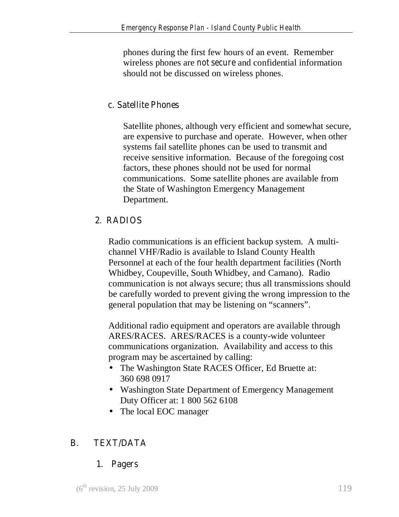phones during the first few hours of an event. Remember wireless phones are *not secure* and confidential information should not be discussed on wireless phones.

#### **c. Satellite Phones**

Satellite phones, although very efficient and somewhat secure, are expensive to purchase and operate. However, when other systems fail satellite phones can be used to transmit and receive sensitive information. Because of the foregoing cost factors, these phones should not be used for normal communications. Some satellite phones are available from the State of Washington Emergency Management Department.

#### **2. RADIOS**

Radio communications is an efficient backup system. A multichannel VHF/Radio is available to Island County Health Personnel at each of the four health department facilities (North Whidbey, Coupeville, South Whidbey, and Camano). Radio communication is not always secure; thus all transmissions should be carefully worded to prevent giving the wrong impression to the general population that may be listening on "scanners".

Additional radio equipment and operators are available through ARES/RACES. ARES/RACES is a county-wide volunteer communications organization. Availability and access to this program may be ascertained by calling:

- The Washington State RACES Officer, Ed Bruette at: 360 698 0917
- Washington State Department of Emergency Management Duty Officer at: 1 800 562 6108
- The local EOC manager

## **B. TEXT/DATA**

#### **1. Pagers**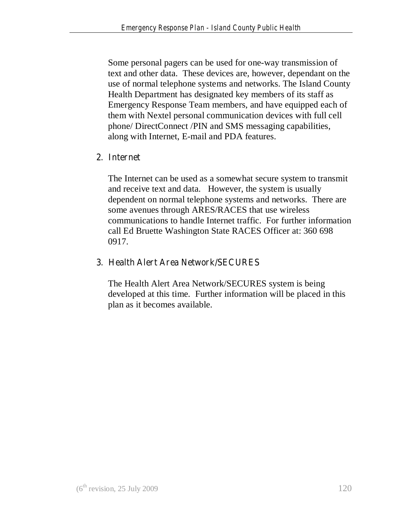Some personal pagers can be used for one-way transmission of text and other data. These devices are, however, dependant on the use of normal telephone systems and networks. The Island County Health Department has designated key members of its staff as Emergency Response Team members, and have equipped each of them with Nextel personal communication devices with full cell phone/ DirectConnect /PIN and SMS messaging capabilities, along with Internet, E-mail and PDA features.

#### **2. Internet**

The Internet can be used as a somewhat secure system to transmit and receive text and data. However, the system is usually dependent on normal telephone systems and networks. There are some avenues through ARES/RACES that use wireless communications to handle Internet traffic. For further information call Ed Bruette Washington State RACES Officer at: 360 698 0917.

#### **3. Health Alert Area Network/SECURES**

The Health Alert Area Network/SECURES system is being developed at this time. Further information will be placed in this plan as it becomes available.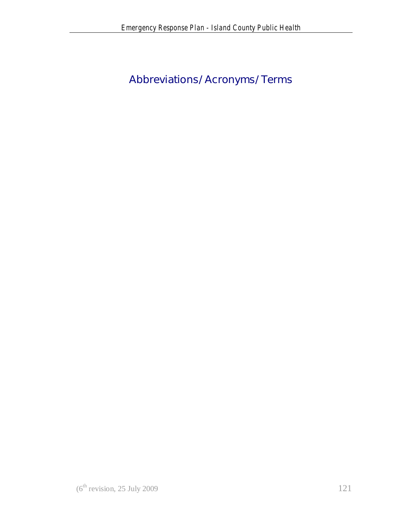# **Abbreviations/ Acronyms/ Terms**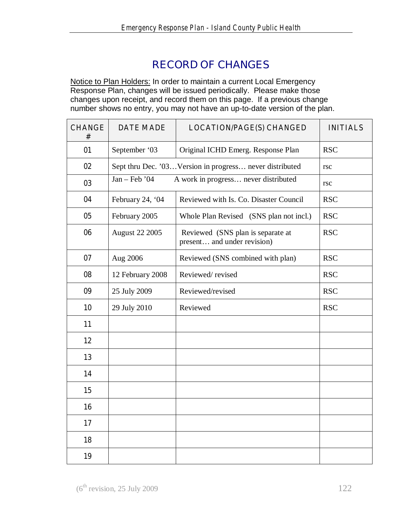# **RECORD OF CHANGES**

Notice to Plan Holders: In order to maintain a current Local Emergency Response Plan, changes will be issued periodically. Please make those changes upon receipt, and record them on this page. If a previous change number shows no entry, you may not have an up-to-date version of the plan.

| <b>CHANGE</b><br># | <b>DATE MADE</b>                                        | <b>LOCATION/PAGE(S) CHANGED</b>                                  | <b>INITIALS</b> |
|--------------------|---------------------------------------------------------|------------------------------------------------------------------|-----------------|
| 01                 | September '03                                           | Original ICHD Emerg. Response Plan                               | <b>RSC</b>      |
| 02                 | Sept thru Dec. '03Version in progress never distributed |                                                                  | rsc             |
| 03                 | A work in progress never distributed<br>$Jan - Feb'04$  |                                                                  | rsc             |
| 04                 | February 24, '04                                        | Reviewed with Is. Co. Disaster Council                           | <b>RSC</b>      |
| 0 <sub>5</sub>     | February 2005                                           | Whole Plan Revised (SNS plan not incl.)                          | <b>RSC</b>      |
| 06                 | <b>August 22 2005</b>                                   | Reviewed (SNS plan is separate at<br>present and under revision) | <b>RSC</b>      |
| 07                 | Aug 2006                                                | Reviewed (SNS combined with plan)                                | <b>RSC</b>      |
| 08                 | 12 February 2008                                        | Reviewed/revised                                                 | <b>RSC</b>      |
| 09                 | 25 July 2009                                            | Reviewed/revised                                                 | <b>RSC</b>      |
| 10                 | 29 July 2010                                            | Reviewed                                                         | <b>RSC</b>      |
| 11                 |                                                         |                                                                  |                 |
| 12                 |                                                         |                                                                  |                 |
| 13                 |                                                         |                                                                  |                 |
| 14                 |                                                         |                                                                  |                 |
| 15                 |                                                         |                                                                  |                 |
| 16                 |                                                         |                                                                  |                 |
| 17                 |                                                         |                                                                  |                 |
| 18                 |                                                         |                                                                  |                 |
| 19                 |                                                         |                                                                  |                 |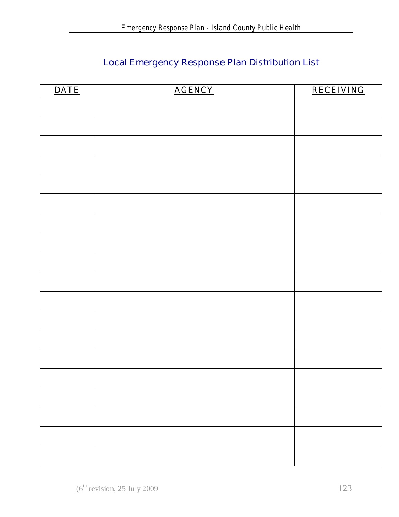## **Local Emergency Response Plan Distribution List**

| <b>DATE</b> | <b>AGENCY</b> | <b>RECEIVING</b> |
|-------------|---------------|------------------|
|             |               |                  |
|             |               |                  |
|             |               |                  |
|             |               |                  |
|             |               |                  |
|             |               |                  |
|             |               |                  |
|             |               |                  |
|             |               |                  |
|             |               |                  |
|             |               |                  |
|             |               |                  |
|             |               |                  |
|             |               |                  |
|             |               |                  |
|             |               |                  |
|             |               |                  |
|             |               |                  |
|             |               |                  |
|             |               |                  |